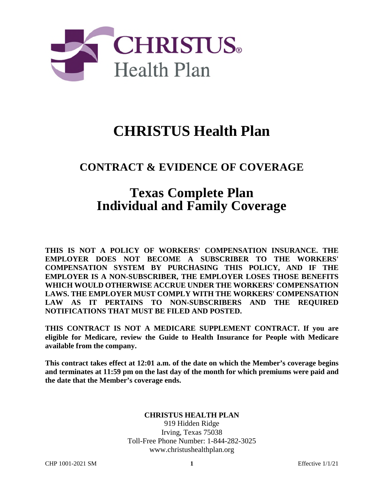

# **CHRISTUS Health Plan**

## **CONTRACT & EVIDENCE OF COVERAGE**

## **Texas Complete Plan Individual and Family Coverage**

**THIS IS NOT A POLICY OF WORKERS' COMPENSATION INSURANCE. THE EMPLOYER DOES NOT BECOME A SUBSCRIBER TO THE WORKERS' COMPENSATION SYSTEM BY PURCHASING THIS POLICY, AND IF THE EMPLOYER IS A NON-SUBSCRIBER, THE EMPLOYER LOSES THOSE BENEFITS WHICH WOULD OTHERWISE ACCRUE UNDER THE WORKERS' COMPENSATION LAWS. THE EMPLOYER MUST COMPLY WITH THE WORKERS' COMPENSATION LAW AS IT PERTAINS TO NON-SUBSCRIBERS AND THE REQUIRED NOTIFICATIONS THAT MUST BE FILED AND POSTED.** 

**THIS CONTRACT IS NOT A MEDICARE SUPPLEMENT CONTRACT. If you are eligible for Medicare, review the Guide to Health Insurance for People with Medicare available from the company.** 

**This contract takes effect at 12:01 a.m. of the date on which the Member's coverage begins and terminates at 11:59 pm on the last day of the month for which premiums were paid and the date that the Member's coverage ends.** 

#### **CHRISTUS HEALTH PLAN**

919 Hidden Ridge Irving, Texas 75038 Toll-Free Phone Number: 1-844-282-3025 www.christushealthplan.org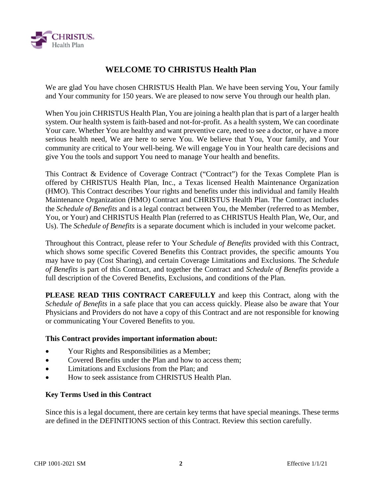

## **WELCOME TO CHRISTUS Health Plan**

We are glad You have chosen CHRISTUS Health Plan. We have been serving You, Your family and Your community for 150 years. We are pleased to now serve You through our health plan.

When You join CHRISTUS Health Plan, You are joining a health plan that is part of a larger health system. Our health system is faith-based and not-for-profit. As a health system, We can coordinate Your care. Whether You are healthy and want preventive care, need to see a doctor, or have a more serious health need, We are here to serve You. We believe that You, Your family, and Your community are critical to Your well-being. We will engage You in Your health care decisions and give You the tools and support You need to manage Your health and benefits.

This Contract & Evidence of Coverage Contract ("Contract") for the Texas Complete Plan is offered by CHRISTUS Health Plan, Inc., a Texas licensed Health Maintenance Organization (HMO). This Contract describes Your rights and benefits under this individual and family Health Maintenance Organization (HMO) Contract and CHRISTUS Health Plan. The Contract includes the *Schedule of Benefits* and is a legal contract between You, the Member (referred to as Member, You, or Your) and CHRISTUS Health Plan (referred to as CHRISTUS Health Plan, We, Our, and Us). The *Schedule of Benefits* is a separate document which is included in your welcome packet.

Throughout this Contract, please refer to Your *Schedule of Benefits* provided with this Contract, which shows some specific Covered Benefits this Contract provides, the specific amounts You may have to pay (Cost Sharing), and certain Coverage Limitations and Exclusions. The *Schedule of Benefits* is part of this Contract, and together the Contract and *Schedule of Benefits* provide a full description of the Covered Benefits, Exclusions, and conditions of the Plan.

**PLEASE READ THIS CONTRACT CAREFULLY** and keep this Contract, along with the *Schedule of Benefits* in a safe place that you can access quickly. Please also be aware that Your Physicians and Providers do not have a copy of this Contract and are not responsible for knowing or communicating Your Covered Benefits to you.

#### **This Contract provides important information about:**

- Your Rights and Responsibilities as a Member;
- Covered Benefits under the Plan and how to access them:
- Limitations and Exclusions from the Plan; and
- How to seek assistance from CHRISTUS Health Plan.

#### **Key Terms Used in this Contract**

Since this is a legal document, there are certain key terms that have special meanings. These terms are defined in the DEFINITIONS section of this Contract. Review this section carefully.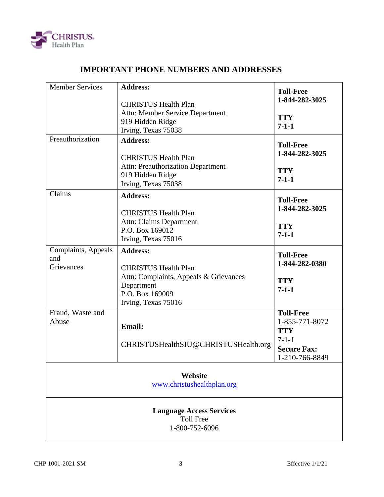

## **IMPORTANT PHONE NUMBERS AND ADDRESSES**

| <b>Member Services</b>                                                | <b>Address:</b><br><b>CHRISTUS Health Plan</b><br>Attn: Member Service Department<br>919 Hidden Ridge                         | <b>Toll-Free</b><br>1-844-282-3025<br><b>TTY</b><br>$7 - 1 - 1$ |  |  |
|-----------------------------------------------------------------------|-------------------------------------------------------------------------------------------------------------------------------|-----------------------------------------------------------------|--|--|
|                                                                       | Irving, Texas 75038                                                                                                           |                                                                 |  |  |
| Preauthorization                                                      | <b>Address:</b><br><b>CHRISTUS Health Plan</b>                                                                                | <b>Toll-Free</b><br>1-844-282-3025                              |  |  |
|                                                                       | <b>Attn: Preauthorization Department</b><br>919 Hidden Ridge<br>Irving, Texas 75038                                           | <b>TTY</b><br>$7 - 1 - 1$                                       |  |  |
| Claims                                                                | <b>Address:</b><br><b>CHRISTUS Health Plan</b>                                                                                | <b>Toll-Free</b><br>1-844-282-3025                              |  |  |
|                                                                       | <b>Attn: Claims Department</b><br>P.O. Box 169012<br>Irving, Texas 75016                                                      | <b>TTY</b><br>$7 - 1 - 1$                                       |  |  |
| Complaints, Appeals<br>and                                            | <b>Address:</b>                                                                                                               | <b>Toll-Free</b><br>1-844-282-0380                              |  |  |
| Grievances                                                            | <b>CHRISTUS Health Plan</b><br>Attn: Complaints, Appeals & Grievances<br>Department<br>P.O. Box 169009<br>Irving, Texas 75016 | <b>TTY</b><br>$7 - 1 - 1$                                       |  |  |
| Fraud, Waste and<br>Abuse                                             | <b>Email:</b>                                                                                                                 | <b>Toll-Free</b><br>1-855-771-8072<br><b>TTY</b><br>$7 - 1 - 1$ |  |  |
|                                                                       | CHRISTUSHealthSIU@CHRISTUSHealth.org                                                                                          | <b>Secure Fax:</b><br>1-210-766-8849                            |  |  |
| Website<br>www.christushealthplan.org                                 |                                                                                                                               |                                                                 |  |  |
| <b>Language Access Services</b><br><b>Toll Free</b><br>1-800-752-6096 |                                                                                                                               |                                                                 |  |  |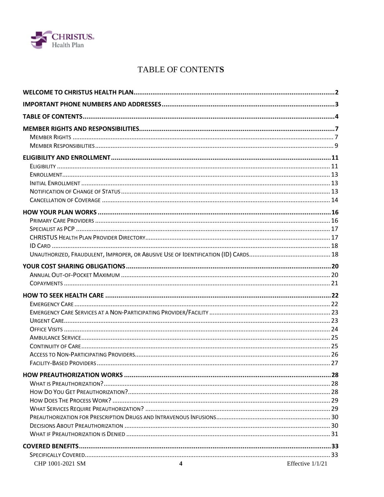

## TABLE OF CONTENTS

| CHP 1001-2021 SM<br>$\blacktriangle$ | Effective 1/1/21 |
|--------------------------------------|------------------|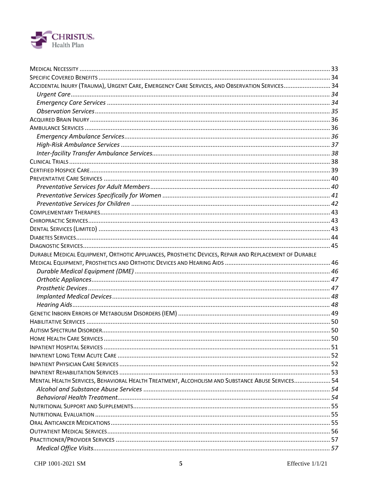

| ACCIDENTAL INJURY (TRAUMA), URGENT CARE, EMERGENCY CARE SERVICES, AND OBSERVATION SERVICES 34         |  |
|-------------------------------------------------------------------------------------------------------|--|
|                                                                                                       |  |
|                                                                                                       |  |
|                                                                                                       |  |
|                                                                                                       |  |
|                                                                                                       |  |
|                                                                                                       |  |
|                                                                                                       |  |
|                                                                                                       |  |
|                                                                                                       |  |
|                                                                                                       |  |
|                                                                                                       |  |
|                                                                                                       |  |
|                                                                                                       |  |
|                                                                                                       |  |
|                                                                                                       |  |
|                                                                                                       |  |
|                                                                                                       |  |
|                                                                                                       |  |
|                                                                                                       |  |
| DURABLE MEDICAL EQUIPMENT, ORTHOTIC APPLIANCES, PROSTHETIC DEVICES, REPAIR AND REPLACEMENT OF DURABLE |  |
|                                                                                                       |  |
|                                                                                                       |  |
|                                                                                                       |  |
|                                                                                                       |  |
|                                                                                                       |  |
|                                                                                                       |  |
|                                                                                                       |  |
|                                                                                                       |  |
|                                                                                                       |  |
|                                                                                                       |  |
|                                                                                                       |  |
|                                                                                                       |  |
|                                                                                                       |  |
|                                                                                                       |  |
| MENTAL HEALTH SERVICES, BEHAVIORAL HEALTH TREATMENT, ALCOHOLISM AND SUBSTANCE ABUSE SERVICES 54       |  |
|                                                                                                       |  |
|                                                                                                       |  |
|                                                                                                       |  |
|                                                                                                       |  |
|                                                                                                       |  |
|                                                                                                       |  |
|                                                                                                       |  |
|                                                                                                       |  |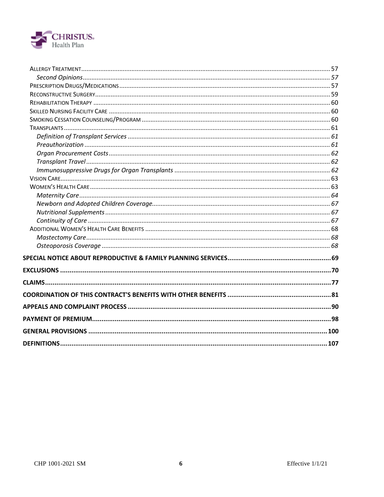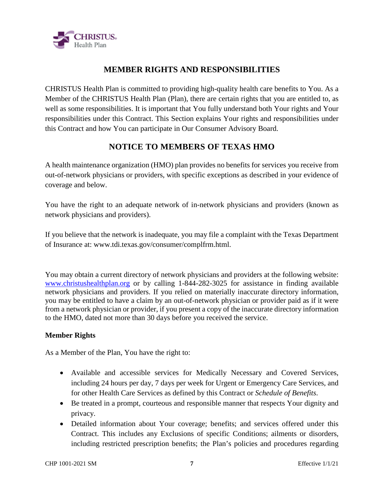

## **MEMBER RIGHTS AND RESPONSIBILITIES**

CHRISTUS Health Plan is committed to providing high-quality health care benefits to You. As a Member of the CHRISTUS Health Plan (Plan), there are certain rights that you are entitled to, as well as some responsibilities. It is important that You fully understand both Your rights and Your responsibilities under this Contract. This Section explains Your rights and responsibilities under this Contract and how You can participate in Our Consumer Advisory Board.

## **NOTICE TO MEMBERS OF TEXAS HMO**

A health maintenance organization (HMO) plan provides no benefits for services you receive from out-of-network physicians or providers, with specific exceptions as described in your evidence of coverage and below.

You have the right to an adequate network of in-network physicians and providers (known as network physicians and providers).

If you believe that the network is inadequate, you may file a complaint with the Texas Department of Insurance at: www.tdi.texas.gov/consumer/complfrm.html.

You may obtain a current directory of network physicians and providers at the following website: www.christushealthplan.org or by calling 1-844-282-3025 for assistance in finding available network physicians and providers. If you relied on materially inaccurate directory information, you may be entitled to have a claim by an out-of-network physician or provider paid as if it were from a network physician or provider, if you present a copy of the inaccurate directory information to the HMO, dated not more than 30 days before you received the service.

#### **Member Rights**

As a Member of the Plan, You have the right to:

- Available and accessible services for Medically Necessary and Covered Services, including 24 hours per day, 7 days per week for Urgent or Emergency Care Services, and for other Health Care Services as defined by this Contract or *Schedule of Benefits*.
- Be treated in a prompt, courteous and responsible manner that respects Your dignity and privacy.
- Detailed information about Your coverage; benefits; and services offered under this Contract. This includes any Exclusions of specific Conditions; ailments or disorders, including restricted prescription benefits; the Plan's policies and procedures regarding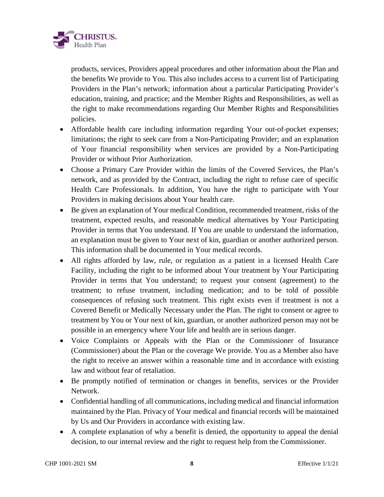

products, services, Providers appeal procedures and other information about the Plan and the benefits We provide to You. This also includes access to a current list of Participating Providers in the Plan's network; information about a particular Participating Provider's education, training, and practice; and the Member Rights and Responsibilities, as well as the right to make recommendations regarding Our Member Rights and Responsibilities policies.

- Affordable health care including information regarding Your out-of-pocket expenses; limitations; the right to seek care from a Non-Participating Provider; and an explanation of Your financial responsibility when services are provided by a Non-Participating Provider or without Prior Authorization.
- Choose a Primary Care Provider within the limits of the Covered Services, the Plan's network, and as provided by the Contract, including the right to refuse care of specific Health Care Professionals. In addition, You have the right to participate with Your Providers in making decisions about Your health care.
- Be given an explanation of Your medical Condition, recommended treatment, risks of the treatment, expected results, and reasonable medical alternatives by Your Participating Provider in terms that You understand. If You are unable to understand the information, an explanation must be given to Your next of kin, guardian or another authorized person. This information shall be documented in Your medical records.
- All rights afforded by law, rule, or regulation as a patient in a licensed Health Care Facility, including the right to be informed about Your treatment by Your Participating Provider in terms that You understand; to request your consent (agreement) to the treatment; to refuse treatment, including medication; and to be told of possible consequences of refusing such treatment. This right exists even if treatment is not a Covered Benefit or Medically Necessary under the Plan. The right to consent or agree to treatment by You or Your next of kin, guardian, or another authorized person may not be possible in an emergency where Your life and health are in serious danger.
- Voice Complaints or Appeals with the Plan or the Commissioner of Insurance (Commissioner) about the Plan or the coverage We provide. You as a Member also have the right to receive an answer within a reasonable time and in accordance with existing law and without fear of retaliation.
- Be promptly notified of termination or changes in benefits, services or the Provider Network.
- Confidential handling of all communications, including medical and financial information maintained by the Plan. Privacy of Your medical and financial records will be maintained by Us and Our Providers in accordance with existing law.
- A complete explanation of why a benefit is denied, the opportunity to appeal the denial decision, to our internal review and the right to request help from the Commissioner.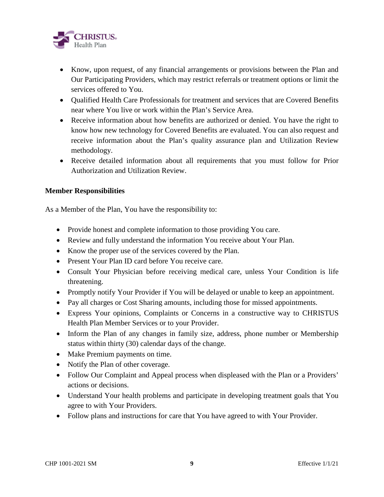

- Know, upon request, of any financial arrangements or provisions between the Plan and Our Participating Providers, which may restrict referrals or treatment options or limit the services offered to You.
- Oualified Health Care Professionals for treatment and services that are Covered Benefits near where You live or work within the Plan's Service Area.
- Receive information about how benefits are authorized or denied. You have the right to know how new technology for Covered Benefits are evaluated. You can also request and receive information about the Plan's quality assurance plan and Utilization Review methodology.
- Receive detailed information about all requirements that you must follow for Prior Authorization and Utilization Review.

#### **Member Responsibilities**

As a Member of the Plan, You have the responsibility to:

- Provide honest and complete information to those providing You care.
- Review and fully understand the information You receive about Your Plan.
- Know the proper use of the services covered by the Plan.
- Present Your Plan ID card before You receive care.
- Consult Your Physician before receiving medical care, unless Your Condition is life threatening.
- Promptly notify Your Provider if You will be delayed or unable to keep an appointment.
- Pay all charges or Cost Sharing amounts, including those for missed appointments.
- Express Your opinions, Complaints or Concerns in a constructive way to CHRISTUS Health Plan Member Services or to your Provider.
- Inform the Plan of any changes in family size, address, phone number or Membership status within thirty (30) calendar days of the change.
- Make Premium payments on time.
- Notify the Plan of other coverage.
- Follow Our Complaint and Appeal process when displeased with the Plan or a Providers' actions or decisions.
- Understand Your health problems and participate in developing treatment goals that You agree to with Your Providers.
- Follow plans and instructions for care that You have agreed to with Your Provider.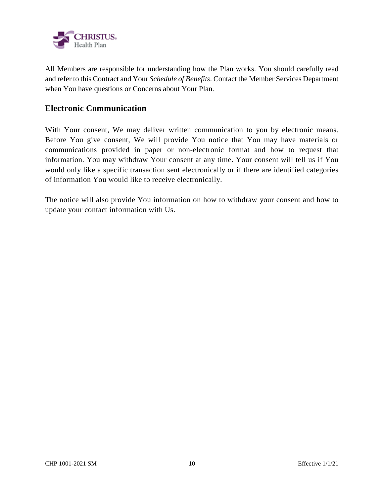

All Members are responsible for understanding how the Plan works. You should carefully read and refer to this Contract and Your *Schedule of Benefits*. Contact the Member Services Department when You have questions or Concerns about Your Plan.

## **Electronic Communication**

With Your consent, We may deliver written communication to you by electronic means. Before You give consent, We will provide You notice that You may have materials or communications provided in paper or non-electronic format and how to request that information. You may withdraw Your consent at any time. Your consent will tell us if You would only like a specific transaction sent electronically or if there are identified categories of information You would like to receive electronically.

The notice will also provide You information on how to withdraw your consent and how to update your contact information with Us.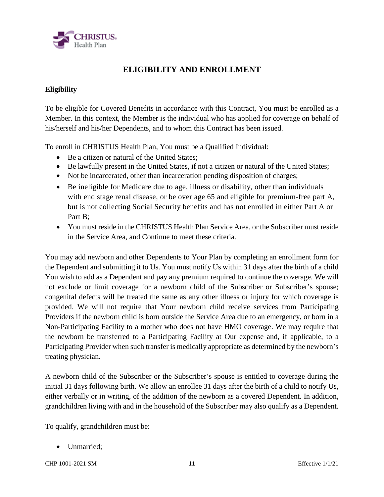

## **ELIGIBILITY AND ENROLLMENT**

#### **Eligibility**

To be eligible for Covered Benefits in accordance with this Contract, You must be enrolled as a Member. In this context, the Member is the individual who has applied for coverage on behalf of his/herself and his/her Dependents, and to whom this Contract has been issued.

To enroll in CHRISTUS Health Plan, You must be a Qualified Individual:

- Be a citizen or natural of the United States:
- Be lawfully present in the United States, if not a citizen or natural of the United States;
- Not be incarcerated, other than incarceration pending disposition of charges;
- Be ineligible for Medicare due to age, illness or disability, other than individuals with end stage renal disease, or be over age 65 and eligible for premium-free part A, but is not collecting Social Security benefits and has not enrolled in either Part A or Part B;
- You must reside in the CHRISTUS Health Plan Service Area, or the Subscriber must reside in the Service Area, and Continue to meet these criteria.

You may add newborn and other Dependents to Your Plan by completing an enrollment form for the Dependent and submitting it to Us. You must notify Us within 31 days after the birth of a child You wish to add as a Dependent and pay any premium required to continue the coverage. We will not exclude or limit coverage for a newborn child of the Subscriber or Subscriber's spouse; congenital defects will be treated the same as any other illness or injury for which coverage is provided. We will not require that Your newborn child receive services from Participating Providers if the newborn child is born outside the Service Area due to an emergency, or born in a Non-Participating Facility to a mother who does not have HMO coverage. We may require that the newborn be transferred to a Participating Facility at Our expense and, if applicable, to a Participating Provider when such transfer is medically appropriate as determined by the newborn's treating physician.

A newborn child of the Subscriber or the Subscriber's spouse is entitled to coverage during the initial 31 days following birth. We allow an enrollee 31 days after the birth of a child to notify Us, either verbally or in writing, of the addition of the newborn as a covered Dependent. In addition, grandchildren living with and in the household of the Subscriber may also qualify as a Dependent.

To qualify, grandchildren must be:

• Unmarried:

CHP 1001-2021 SM **11** Effective 1/1/21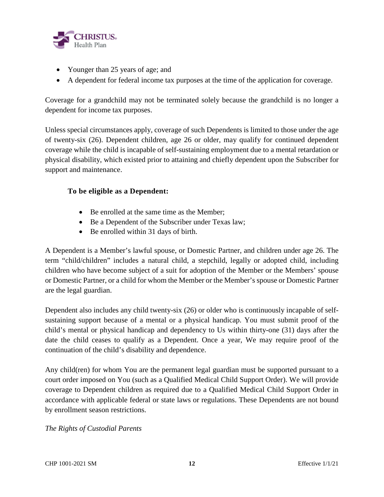

- Younger than 25 years of age; and
- A dependent for federal income tax purposes at the time of the application for coverage.

Coverage for a grandchild may not be terminated solely because the grandchild is no longer a dependent for income tax purposes.

Unless special circumstances apply, coverage of such Dependents is limited to those under the age of twenty-six (26). Dependent children, age 26 or older, may qualify for continued dependent coverage while the child is incapable of self-sustaining employment due to a mental retardation or physical disability, which existed prior to attaining and chiefly dependent upon the Subscriber for support and maintenance.

#### **To be eligible as a Dependent:**

- Be enrolled at the same time as the Member;
- Be a Dependent of the Subscriber under Texas law;
- Be enrolled within 31 days of birth.

A Dependent is a Member's lawful spouse, or Domestic Partner, and children under age 26. The term "child/children" includes a natural child, a stepchild, legally or adopted child, including children who have become subject of a suit for adoption of the Member or the Members' spouse or Domestic Partner, or a child for whom the Member or the Member's spouse or Domestic Partner are the legal guardian.

Dependent also includes any child twenty-six (26) or older who is continuously incapable of selfsustaining support because of a mental or a physical handicap. You must submit proof of the child's mental or physical handicap and dependency to Us within thirty-one (31) days after the date the child ceases to qualify as a Dependent. Once a year, We may require proof of the continuation of the child's disability and dependence.

Any child(ren) for whom You are the permanent legal guardian must be supported pursuant to a court order imposed on You (such as a Qualified Medical Child Support Order). We will provide coverage to Dependent children as required due to a Qualified Medical Child Support Order in accordance with applicable federal or state laws or regulations. These Dependents are not bound by enrollment season restrictions.

#### *The Rights of Custodial Parents*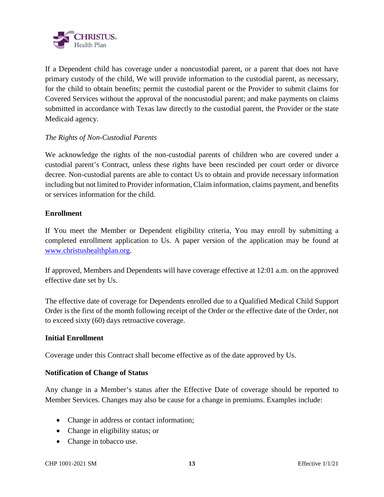

If a Dependent child has coverage under a noncustodial parent, or a parent that does not have primary custody of the child, We will provide information to the custodial parent, as necessary, for the child to obtain benefits; permit the custodial parent or the Provider to submit claims for Covered Services without the approval of the noncustodial parent; and make payments on claims submitted in accordance with Texas law directly to the custodial parent, the Provider or the state Medicaid agency.

#### *The Rights of Non-Custodial Parents*

We acknowledge the rights of the non-custodial parents of children who are covered under a custodial parent's Contract, unless these rights have been rescinded per court order or divorce decree. Non-custodial parents are able to contact Us to obtain and provide necessary information including but not limited to Provider information, Claim information, claims payment, and benefits or services information for the child.

#### **Enrollment**

If You meet the Member or Dependent eligibility criteria, You may enroll by submitting a completed enrollment application to Us. A paper version of the application may be found at www.christushealthplan.org.

If approved, Members and Dependents will have coverage effective at 12:01 a.m. on the approved effective date set by Us.

The effective date of coverage for Dependents enrolled due to a Qualified Medical Child Support Order is the first of the month following receipt of the Order or the effective date of the Order, not to exceed sixty (60) days retroactive coverage.

#### **Initial Enrollment**

Coverage under this Contract shall become effective as of the date approved by Us.

#### **Notification of Change of Status**

Any change in a Member's status after the Effective Date of coverage should be reported to Member Services. Changes may also be cause for a change in premiums. Examples include:

- Change in address or contact information;
- Change in eligibility status; or
- Change in tobacco use.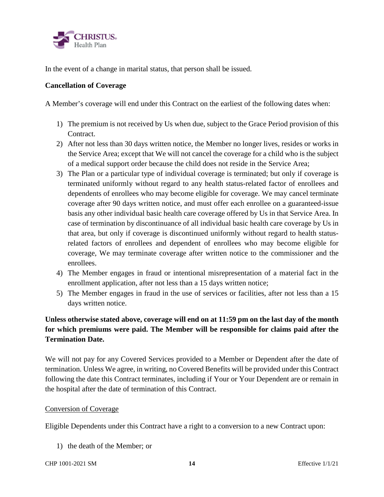

In the event of a change in marital status, that person shall be issued.

#### **Cancellation of Coverage**

A Member's coverage will end under this Contract on the earliest of the following dates when:

- 1) The premium is not received by Us when due, subject to the Grace Period provision of this Contract.
- 2) After not less than 30 days written notice, the Member no longer lives, resides or works in the Service Area; except that We will not cancel the coverage for a child who is the subject of a medical support order because the child does not reside in the Service Area;
- 3) The Plan or a particular type of individual coverage is terminated; but only if coverage is terminated uniformly without regard to any health status-related factor of enrollees and dependents of enrollees who may become eligible for coverage. We may cancel terminate coverage after 90 days written notice, and must offer each enrollee on a guaranteed-issue basis any other individual basic health care coverage offered by Us in that Service Area. In case of termination by discontinuance of all individual basic health care coverage by Us in that area, but only if coverage is discontinued uniformly without regard to health statusrelated factors of enrollees and dependent of enrollees who may become eligible for coverage, We may terminate coverage after written notice to the commissioner and the enrollees.
- 4) The Member engages in fraud or intentional misrepresentation of a material fact in the enrollment application, after not less than a 15 days written notice;
- 5) The Member engages in fraud in the use of services or facilities, after not less than a 15 days written notice.

## **Unless otherwise stated above, coverage will end on at 11:59 pm on the last day of the month for which premiums were paid. The Member will be responsible for claims paid after the Termination Date.**

We will not pay for any Covered Services provided to a Member or Dependent after the date of termination. Unless We agree, in writing, no Covered Benefits will be provided under this Contract following the date this Contract terminates, including if Your or Your Dependent are or remain in the hospital after the date of termination of this Contract.

#### Conversion of Coverage

Eligible Dependents under this Contract have a right to a conversion to a new Contract upon:

1) the death of the Member; or

CHP 1001-2021 SM **14** Effective 1/1/21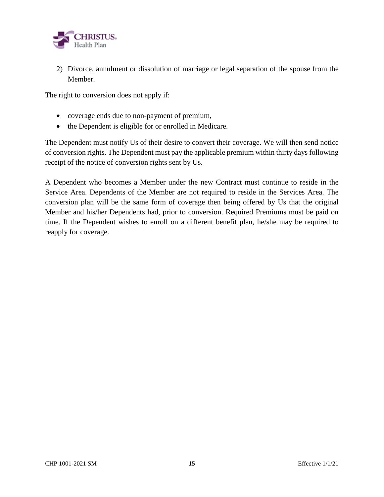

2) Divorce, annulment or dissolution of marriage or legal separation of the spouse from the Member.

The right to conversion does not apply if:

- coverage ends due to non-payment of premium,
- the Dependent is eligible for or enrolled in Medicare.

The Dependent must notify Us of their desire to convert their coverage. We will then send notice of conversion rights. The Dependent must pay the applicable premium within thirty days following receipt of the notice of conversion rights sent by Us.

A Dependent who becomes a Member under the new Contract must continue to reside in the Service Area. Dependents of the Member are not required to reside in the Services Area. The conversion plan will be the same form of coverage then being offered by Us that the original Member and his/her Dependents had, prior to conversion. Required Premiums must be paid on time. If the Dependent wishes to enroll on a different benefit plan, he/she may be required to reapply for coverage.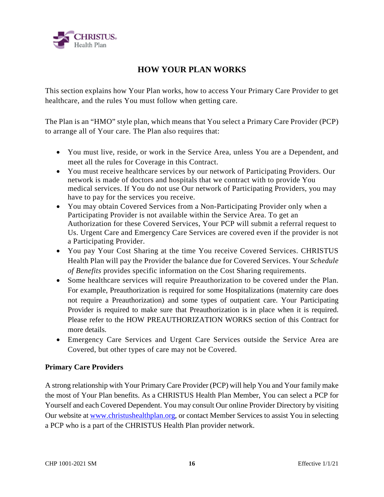

## **HOW YOUR PLAN WORKS**

This section explains how Your Plan works, how to access Your Primary Care Provider to get healthcare, and the rules You must follow when getting care.

The Plan is an "HMO" style plan, which means that You select a Primary Care Provider (PCP) to arrange all of Your care. The Plan also requires that:

- You must live, reside, or work in the Service Area, unless You are a Dependent, and meet all the rules for Coverage in this Contract.
- You must receive healthcare services by our network of Participating Providers. Our network is made of doctors and hospitals that we contract with to provide You medical services. If You do not use Our network of Participating Providers, you may have to pay for the services you receive.
- You may obtain Covered Services from a Non-Participating Provider only when a Participating Provider is not available within the Service Area. To get an Authorization for these Covered Services, Your PCP will submit a referral request to Us. Urgent Care and Emergency Care Services are covered even if the provider is not a Participating Provider.
- You pay Your Cost Sharing at the time You receive Covered Services. CHRISTUS Health Plan will pay the Provider the balance due for Covered Services. Your *Schedule of Benefits* provides specific information on the Cost Sharing requirements.
- Some healthcare services will require Preauthorization to be covered under the Plan. For example, Preauthorization is required for some Hospitalizations (maternity care does not require a Preauthorization) and some types of outpatient care. Your Participating Provider is required to make sure that Preauthorization is in place when it is required. Please refer to the HOW PREAUTHORIZATION WORKS section of this Contract for more details.
- Emergency Care Services and Urgent Care Services outside the Service Area are Covered, but other types of care may not be Covered.

#### **Primary Care Providers**

A strong relationship with Your Primary Care Provider (PCP) will help You and Your family make the most of Your Plan benefits. As a CHRISTUS Health Plan Member, You can select a PCP for Yourself and each Covered Dependent. You may consult Our online Provider Directory by visiting Our website at www.christushealthplan.org, or contact Member Services to assist You in selecting a PCP who is a part of the CHRISTUS Health Plan provider network.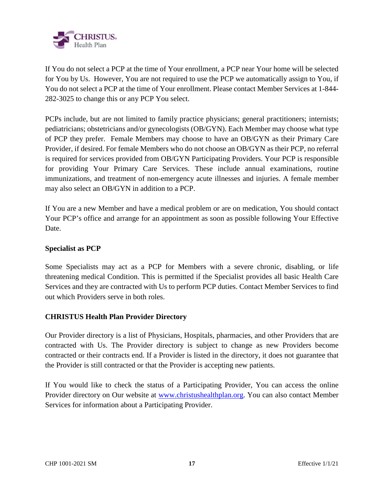

If You do not select a PCP at the time of Your enrollment, a PCP near Your home will be selected for You by Us. However, You are not required to use the PCP we automatically assign to You, if You do not select a PCP at the time of Your enrollment. Please contact Member Services at 1-844- 282-3025 to change this or any PCP You select.

PCPs include, but are not limited to family practice physicians; general practitioners; internists; pediatricians; obstetricians and/or gynecologists (OB/GYN). Each Member may choose what type of PCP they prefer. Female Members may choose to have an OB/GYN as their Primary Care Provider, if desired. For female Members who do not choose an OB/GYN as their PCP, no referral is required for services provided from OB/GYN Participating Providers. Your PCP is responsible for providing Your Primary Care Services. These include annual examinations, routine immunizations, and treatment of non-emergency acute illnesses and injuries. A female member may also select an OB/GYN in addition to a PCP.

If You are a new Member and have a medical problem or are on medication, You should contact Your PCP's office and arrange for an appointment as soon as possible following Your Effective Date.

#### **Specialist as PCP**

Some Specialists may act as a PCP for Members with a severe chronic, disabling, or life threatening medical Condition. This is permitted if the Specialist provides all basic Health Care Services and they are contracted with Us to perform PCP duties. Contact Member Services to find out which Providers serve in both roles.

#### **CHRISTUS Health Plan Provider Directory**

Our Provider directory is a list of Physicians, Hospitals, pharmacies, and other Providers that are contracted with Us. The Provider directory is subject to change as new Providers become contracted or their contracts end. If a Provider is listed in the directory, it does not guarantee that the Provider is still contracted or that the Provider is accepting new patients.

If You would like to check the status of a Participating Provider, You can access the online Provider directory on Our website at www.christushealthplan.org. You can also contact Member Services for information about a Participating Provider.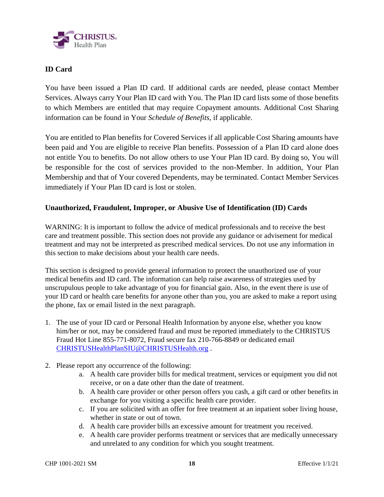

#### **ID Card**

You have been issued a Plan ID card. If additional cards are needed, please contact Member Services. Always carry Your Plan ID card with You. The Plan ID card lists some of those benefits to which Members are entitled that may require Copayment amounts. Additional Cost Sharing information can be found in Your *Schedule of Benefits,* if applicable.

You are entitled to Plan benefits for Covered Services if all applicable Cost Sharing amounts have been paid and You are eligible to receive Plan benefits. Possession of a Plan ID card alone does not entitle You to benefits. Do not allow others to use Your Plan ID card. By doing so, You will be responsible for the cost of services provided to the non-Member. In addition, Your Plan Membership and that of Your covered Dependents, may be terminated. Contact Member Services immediately if Your Plan ID card is lost or stolen.

#### **Unauthorized, Fraudulent, Improper, or Abusive Use of Identification (ID) Cards**

WARNING: It is important to follow the advice of medical professionals and to receive the best care and treatment possible. This section does not provide any guidance or advisement for medical treatment and may not be interpreted as prescribed medical services. Do not use any information in this section to make decisions about your health care needs.

This section is designed to provide general information to protect the unauthorized use of your medical benefits and ID card. The information can help raise awareness of strategies used by unscrupulous people to take advantage of you for financial gain. Also, in the event there is use of your ID card or health care benefits for anyone other than you, you are asked to make a report using the phone, fax or email listed in the next paragraph.

- 1. The use of your ID card or Personal Health Information by anyone else, whether you know him/her or not, may be considered fraud and must be reported immediately to the CHRISTUS Fraud Hot Line 855-771-8072, Fraud secure fax 210-766-8849 or dedicated email CHRISTUSHealthPlanSIU@CHRISTUSHealth.org .
- 2. Please report any occurrence of the following:
	- a. A health care provider bills for medical treatment, services or equipment you did not receive, or on a date other than the date of treatment.
	- b. A health care provider or other person offers you cash, a gift card or other benefits in exchange for you visiting a specific health care provider.
	- c. If you are solicited with an offer for free treatment at an inpatient sober living house, whether in state or out of town.
	- d. A health care provider bills an excessive amount for treatment you received.
	- e. A health care provider performs treatment or services that are medically unnecessary and unrelated to any condition for which you sought treatment.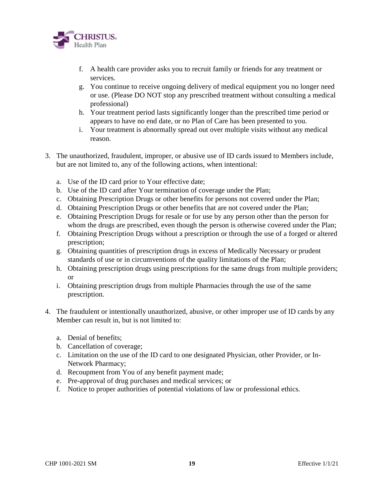

- f. A health care provider asks you to recruit family or friends for any treatment or services.
- g. You continue to receive ongoing delivery of medical equipment you no longer need or use. (Please DO NOT stop any prescribed treatment without consulting a medical professional)
- h. Your treatment period lasts significantly longer than the prescribed time period or appears to have no end date, or no Plan of Care has been presented to you.
- i. Your treatment is abnormally spread out over multiple visits without any medical reason.
- 3. The unauthorized, fraudulent, improper, or abusive use of ID cards issued to Members include, but are not limited to, any of the following actions, when intentional:
	- a. Use of the ID card prior to Your effective date;
	- b. Use of the ID card after Your termination of coverage under the Plan;
	- c. Obtaining Prescription Drugs or other benefits for persons not covered under the Plan;
	- d. Obtaining Prescription Drugs or other benefits that are not covered under the Plan;
	- e. Obtaining Prescription Drugs for resale or for use by any person other than the person for whom the drugs are prescribed, even though the person is otherwise covered under the Plan;
	- f. Obtaining Prescription Drugs without a prescription or through the use of a forged or altered prescription;
	- g. Obtaining quantities of prescription drugs in excess of Medically Necessary or prudent standards of use or in circumventions of the quality limitations of the Plan;
	- h. Obtaining prescription drugs using prescriptions for the same drugs from multiple providers; or
	- i. Obtaining prescription drugs from multiple Pharmacies through the use of the same prescription.
- 4. The fraudulent or intentionally unauthorized, abusive, or other improper use of ID cards by any Member can result in, but is not limited to:
	- a. Denial of benefits;
	- b. Cancellation of coverage;
	- c. Limitation on the use of the ID card to one designated Physician, other Provider, or In-Network Pharmacy;
	- d. Recoupment from You of any benefit payment made;
	- e. Pre-approval of drug purchases and medical services; or
	- f. Notice to proper authorities of potential violations of law or professional ethics.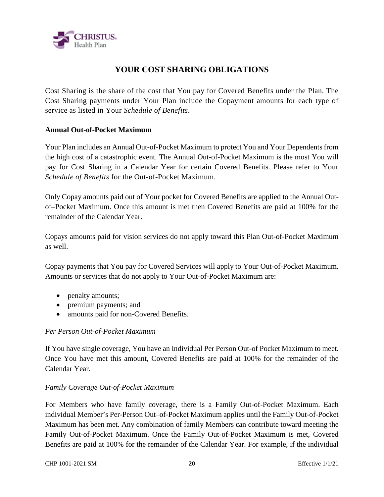

## **YOUR COST SHARING OBLIGATIONS**

Cost Sharing is the share of the cost that You pay for Covered Benefits under the Plan. The Cost Sharing payments under Your Plan include the Copayment amounts for each type of service as listed in Your *Schedule of Benefits*.

#### **Annual Out-of-Pocket Maximum**

Your Plan includes an Annual Out-of-Pocket Maximum to protect You and Your Dependents from the high cost of a catastrophic event. The Annual Out-of-Pocket Maximum is the most You will pay for Cost Sharing in a Calendar Year for certain Covered Benefits. Please refer to Your *Schedule of Benefits* for the Out-of-Pocket Maximum.

Only Copay amounts paid out of Your pocket for Covered Benefits are applied to the Annual Outof–Pocket Maximum. Once this amount is met then Covered Benefits are paid at 100% for the remainder of the Calendar Year.

Copays amounts paid for vision services do not apply toward this Plan Out-of-Pocket Maximum as well.

Copay payments that You pay for Covered Services will apply to Your Out-of-Pocket Maximum. Amounts or services that do not apply to Your Out-of-Pocket Maximum are:

- penalty amounts;
- premium payments; and
- amounts paid for non-Covered Benefits.

#### *Per Person Out-of-Pocket Maximum*

If You have single coverage, You have an Individual Per Person Out-of Pocket Maximum to meet. Once You have met this amount, Covered Benefits are paid at 100% for the remainder of the Calendar Year.

#### *Family Coverage Out-of-Pocket Maximum*

For Members who have family coverage, there is a Family Out-of-Pocket Maximum. Each individual Member's Per-Person Out–of-Pocket Maximum applies until the Family Out-of-Pocket Maximum has been met. Any combination of family Members can contribute toward meeting the Family Out-of-Pocket Maximum. Once the Family Out-of-Pocket Maximum is met, Covered Benefits are paid at 100% for the remainder of the Calendar Year. For example, if the individual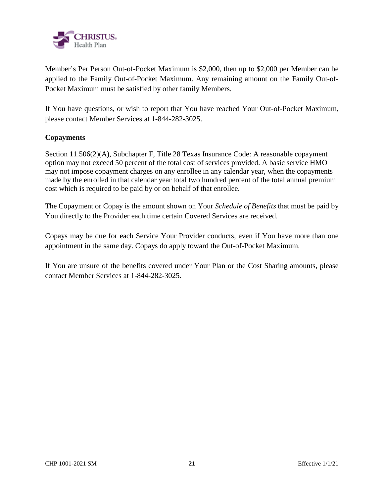

Member's Per Person Out-of-Pocket Maximum is \$2,000, then up to \$2,000 per Member can be applied to the Family Out-of-Pocket Maximum. Any remaining amount on the Family Out-of-Pocket Maximum must be satisfied by other family Members.

If You have questions, or wish to report that You have reached Your Out-of-Pocket Maximum, please contact Member Services at 1-844-282-3025.

#### **Copayments**

Section 11.506(2)(A), Subchapter F, Title 28 Texas Insurance Code: A reasonable copayment option may not exceed 50 percent of the total cost of services provided. A basic service HMO may not impose copayment charges on any enrollee in any calendar year, when the copayments made by the enrolled in that calendar year total two hundred percent of the total annual premium cost which is required to be paid by or on behalf of that enrollee.

The Copayment or Copay is the amount shown on Your *Schedule of Benefits* that must be paid by You directly to the Provider each time certain Covered Services are received.

Copays may be due for each Service Your Provider conducts, even if You have more than one appointment in the same day. Copays do apply toward the Out-of-Pocket Maximum.

If You are unsure of the benefits covered under Your Plan or the Cost Sharing amounts, please contact Member Services at 1-844-282-3025.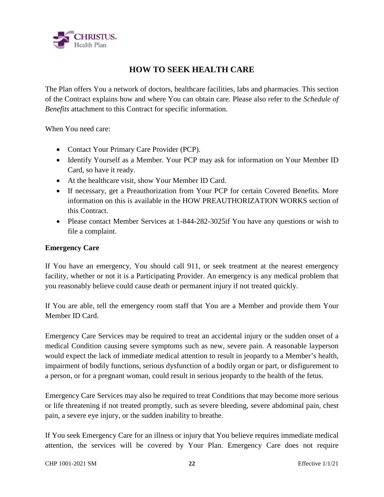

## **HOW TO SEEK HEALTH CARE**

The Plan offers You a network of doctors, healthcare facilities, labs and pharmacies. This section of the Contract explains how and where You can obtain care. Please also refer to the *Schedule of Benefits* attachment to this Contract for specific information.

When You need care:

- Contact Your Primary Care Provider (PCP).
- Identify Yourself as a Member. Your PCP may ask for information on Your Member ID Card, so have it ready.
- At the healthcare visit, show Your Member ID Card.
- If necessary, get a Preauthorization from Your PCP for certain Covered Benefits. More information on this is available in the HOW PREAUTHORIZATION WORKS section of this Contract.
- Please contact Member Services at 1-844-282-3025 if You have any questions or wish to file a complaint.

#### **Emergency Care**

If You have an emergency, You should call 911, or seek treatment at the nearest emergency facility, whether or not it is a Participating Provider. An emergency is any medical problem that you reasonably believe could cause death or permanent injury if not treated quickly.

If You are able, tell the emergency room staff that You are a Member and provide them Your Member ID Card.

Emergency Care Services may be required to treat an accidental injury or the sudden onset of a medical Condition causing severe symptoms such as new, severe pain. A reasonable layperson would expect the lack of immediate medical attention to result in jeopardy to a Member's health, impairment of bodily functions, serious dysfunction of a bodily organ or part, or disfigurement to a person, or for a pregnant woman, could result in serious jeopardy to the health of the fetus.

Emergency Care Services may also be required to treat Conditions that may become more serious or life threatening if not treated promptly, such as severe bleeding, severe abdominal pain, chest pain, a severe eye injury, or the sudden inability to breathe.

If You seek Emergency Care for an illness or injury that You believe requires immediate medical attention, the services will be covered by Your Plan. Emergency Care does not require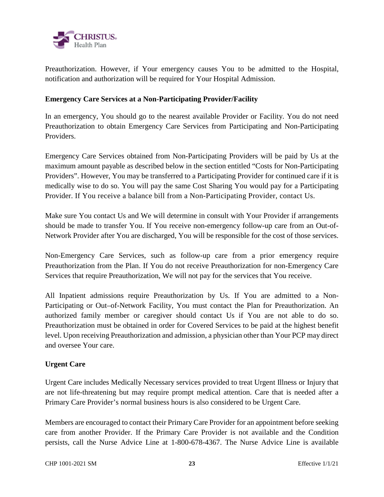

Preauthorization. However, if Your emergency causes You to be admitted to the Hospital, notification and authorization will be required for Your Hospital Admission.

#### **Emergency Care Services at a Non-Participating Provider/Facility**

In an emergency, You should go to the nearest available Provider or Facility. You do not need Preauthorization to obtain Emergency Care Services from Participating and Non-Participating Providers.

Emergency Care Services obtained from Non-Participating Providers will be paid by Us at the maximum amount payable as described below in the section entitled "Costs for Non-Participating Providers". However, You may be transferred to a Participating Provider for continued care if it is medically wise to do so. You will pay the same Cost Sharing You would pay for a Participating Provider. If You receive a balance bill from a Non-Participating Provider, contact Us.

Make sure You contact Us and We will determine in consult with Your Provider if arrangements should be made to transfer You. If You receive non-emergency follow-up care from an Out-of-Network Provider after You are discharged, You will be responsible for the cost of those services.

Non-Emergency Care Services, such as follow-up care from a prior emergency require Preauthorization from the Plan. If You do not receive Preauthorization for non-Emergency Care Services that require Preauthorization, We will not pay for the services that You receive.

All Inpatient admissions require Preauthorization by Us. If You are admitted to a Non-Participating or Out–of-Network Facility, You must contact the Plan for Preauthorization. An authorized family member or caregiver should contact Us if You are not able to do so. Preauthorization must be obtained in order for Covered Services to be paid at the highest benefit level. Upon receiving Preauthorization and admission, a physician other than Your PCP may direct and oversee Your care.

#### **Urgent Care**

Urgent Care includes Medically Necessary services provided to treat Urgent Illness or Injury that are not life-threatening but may require prompt medical attention. Care that is needed after a Primary Care Provider's normal business hours is also considered to be Urgent Care.

Members are encouraged to contact their Primary Care Provider for an appointment before seeking care from another Provider. If the Primary Care Provider is not available and the Condition persists, call the Nurse Advice Line at 1-800-678-4367. The Nurse Advice Line is available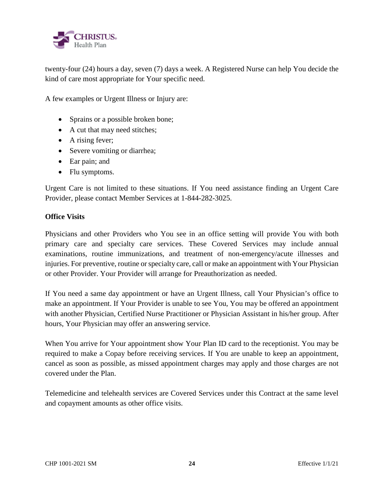

twenty-four (24) hours a day, seven (7) days a week. A Registered Nurse can help You decide the kind of care most appropriate for Your specific need.

A few examples or Urgent Illness or Injury are:

- Sprains or a possible broken bone;
- A cut that may need stitches;
- A rising fever;
- Severe vomiting or diarrhea;
- Ear pain; and
- Flu symptoms.

Urgent Care is not limited to these situations. If You need assistance finding an Urgent Care Provider, please contact Member Services at 1-844-282-3025.

#### **Office Visits**

Physicians and other Providers who You see in an office setting will provide You with both primary care and specialty care services. These Covered Services may include annual examinations, routine immunizations, and treatment of non-emergency/acute illnesses and injuries. For preventive, routine or specialty care, call or make an appointment with Your Physician or other Provider. Your Provider will arrange for Preauthorization as needed.

If You need a same day appointment or have an Urgent Illness, call Your Physician's office to make an appointment. If Your Provider is unable to see You, You may be offered an appointment with another Physician, Certified Nurse Practitioner or Physician Assistant in his/her group. After hours, Your Physician may offer an answering service.

When You arrive for Your appointment show Your Plan ID card to the receptionist. You may be required to make a Copay before receiving services. If You are unable to keep an appointment, cancel as soon as possible, as missed appointment charges may apply and those charges are not covered under the Plan.

Telemedicine and telehealth services are Covered Services under this Contract at the same level and copayment amounts as other office visits.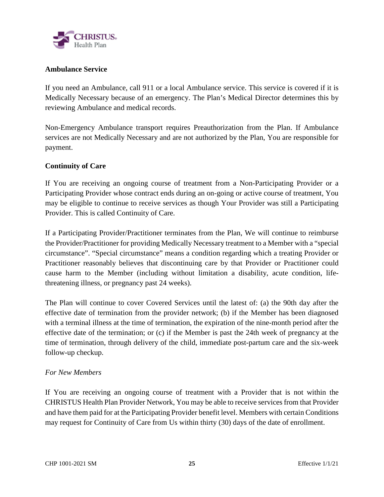

#### **Ambulance Service**

If you need an Ambulance, call 911 or a local Ambulance service. This service is covered if it is Medically Necessary because of an emergency. The Plan's Medical Director determines this by reviewing Ambulance and medical records.

Non-Emergency Ambulance transport requires Preauthorization from the Plan. If Ambulance services are not Medically Necessary and are not authorized by the Plan, You are responsible for payment.

#### **Continuity of Care**

If You are receiving an ongoing course of treatment from a Non-Participating Provider or a Participating Provider whose contract ends during an on-going or active course of treatment, You may be eligible to continue to receive services as though Your Provider was still a Participating Provider. This is called Continuity of Care.

If a Participating Provider/Practitioner terminates from the Plan, We will continue to reimburse the Provider/Practitioner for providing Medically Necessary treatment to a Member with a "special circumstance". "Special circumstance" means a condition regarding which a treating Provider or Practitioner reasonably believes that discontinuing care by that Provider or Practitioner could cause harm to the Member (including without limitation a disability, acute condition, lifethreatening illness, or pregnancy past 24 weeks).

The Plan will continue to cover Covered Services until the latest of: (a) the 90th day after the effective date of termination from the provider network; (b) if the Member has been diagnosed with a terminal illness at the time of termination, the expiration of the nine-month period after the effective date of the termination; or (c) if the Member is past the 24th week of pregnancy at the time of termination, through delivery of the child, immediate post-partum care and the six-week follow-up checkup.

#### *For New Members*

If You are receiving an ongoing course of treatment with a Provider that is not within the CHRISTUS Health Plan Provider Network, You may be able to receive services from that Provider and have them paid for at the Participating Provider benefit level. Members with certain Conditions may request for Continuity of Care from Us within thirty (30) days of the date of enrollment.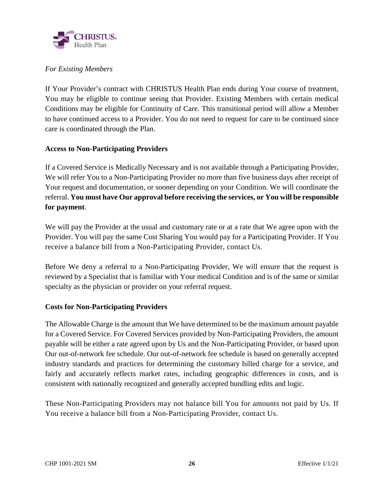

#### *For Existing Members*

If Your Provider's contract with CHRISTUS Health Plan ends during Your course of treatment, You may be eligible to continue seeing that Provider. Existing Members with certain medical Conditions may be eligible for Continuity of Care. This transitional period will allow a Member to have continued access to a Provider. You do not need to request for care to be continued since care is coordinated through the Plan.

#### **Access to Non-Participating Providers**

If a Covered Service is Medically Necessary and is not available through a Participating Provider, We will refer You to a Non-Participating Provider no more than five business days after receipt of Your request and documentation, or sooner depending on your Condition. We will coordinate the referral. **You must have Our approval before receiving the services, or You will be responsible for payment**.

We will pay the Provider at the usual and customary rate or at a rate that We agree upon with the Provider. You will pay the same Cost Sharing You would pay for a Participating Provider. If You receive a balance bill from a Non-Participating Provider, contact Us.

Before We deny a referral to a Non-Participating Provider, We will ensure that the request is reviewed by a Specialist that is familiar with Your medical Condition and is of the same or similar specialty as the physician or provider on your referral request.

#### **Costs for Non-Participating Providers**

The Allowable Charge is the amount that We have determined to be the maximum amount payable for a Covered Service. For Covered Services provided by Non-Participating Providers, the amount payable will be either a rate agreed upon by Us and the Non-Participating Provider, or based upon Our out-of-network fee schedule. Our out-of-network fee schedule is based on generally accepted industry standards and practices for determining the customary billed charge for a service, and fairly and accurately reflects market rates, including geographic differences in costs, and is consistent with nationally recognized and generally accepted bundling edits and logic.

These Non-Participating Providers may not balance bill You for amounts not paid by Us. If You receive a balance bill from a Non-Participating Provider, contact Us.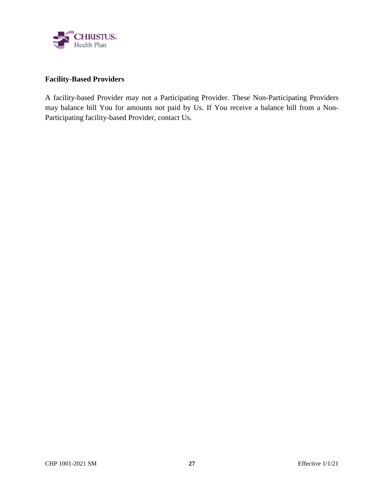

#### **Facility-Based Providers**

A facility-based Provider may not a Participating Provider. These Non-Participating Providers may balance bill You for amounts not paid by Us. If You receive a balance bill from a Non-Participating facility-based Provider, contact Us.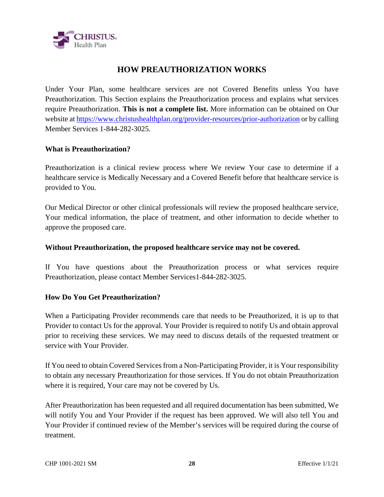

## **HOW PREAUTHORIZATION WORKS**

Under Your Plan, some healthcare services are not Covered Benefits unless You have Preauthorization. This Section explains the Preauthorization process and explains what services require Preauthorization. **This is not a complete list.** More information can be obtained on Our website at https://www.christushealthplan.org/provider-resources/prior-authorization or by calling Member Services 1-844-282-3025.

#### **What is Preauthorization?**

Preauthorization is a clinical review process where We review Your case to determine if a healthcare service is Medically Necessary and a Covered Benefit before that healthcare service is provided to You.

Our Medical Director or other clinical professionals will review the proposed healthcare service, Your medical information, the place of treatment, and other information to decide whether to approve the proposed care.

#### **Without Preauthorization, the proposed healthcare service may not be covered.**

If You have questions about the Preauthorization process or what services require Preauthorization, please contact Member Services1-844-282-3025.

#### **How Do You Get Preauthorization?**

When a Participating Provider recommends care that needs to be Preauthorized, it is up to that Provider to contact Us for the approval. Your Provider is required to notify Us and obtain approval prior to receiving these services. We may need to discuss details of the requested treatment or service with Your Provider.

If You need to obtain Covered Services from a Non-Participating Provider, it is Your responsibility to obtain any necessary Preauthorization for those services. If You do not obtain Preauthorization where it is required, Your care may not be covered by Us.

After Preauthorization has been requested and all required documentation has been submitted, We will notify You and Your Provider if the request has been approved. We will also tell You and Your Provider if continued review of the Member's services will be required during the course of treatment.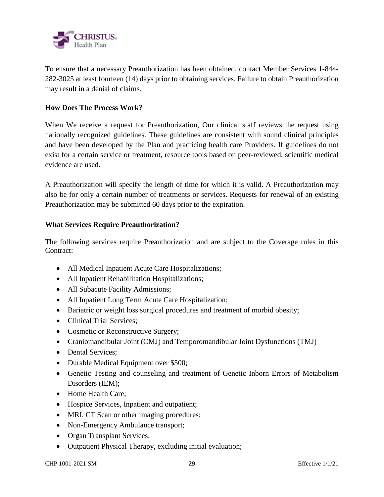

To ensure that a necessary Preauthorization has been obtained, contact Member Services 1-844- 282-3025 at least fourteen (14) days prior to obtaining services. Failure to obtain Preauthorization may result in a denial of claims.

#### **How Does The Process Work?**

When We receive a request for Preauthorization, Our clinical staff reviews the request using nationally recognized guidelines. These guidelines are consistent with sound clinical principles and have been developed by the Plan and practicing health care Providers. If guidelines do not exist for a certain service or treatment, resource tools based on peer-reviewed, scientific medical evidence are used.

A Preauthorization will specify the length of time for which it is valid. A Preauthorization may also be for only a certain number of treatments or services. Requests for renewal of an existing Preauthorization may be submitted 60 days prior to the expiration.

#### **What Services Require Preauthorization?**

The following services require Preauthorization and are subject to the Coverage rules in this Contract:

- All Medical Inpatient Acute Care Hospitalizations;
- All Inpatient Rehabilitation Hospitalizations;
- All Subacute Facility Admissions;
- All Inpatient Long Term Acute Care Hospitalization;
- Bariatric or weight loss surgical procedures and treatment of morbid obesity;
- Clinical Trial Services;
- Cosmetic or Reconstructive Surgery;
- Craniomandibular Joint (CMJ) and Temporomandibular Joint Dysfunctions (TMJ)
- Dental Services;
- Durable Medical Equipment over \$500;
- Genetic Testing and counseling and treatment of Genetic Inborn Errors of Metabolism Disorders (IEM);
- Home Health Care;
- Hospice Services, Inpatient and outpatient;
- MRI, CT Scan or other imaging procedures;
- Non-Emergency Ambulance transport;
- Organ Transplant Services;
- Outpatient Physical Therapy, excluding initial evaluation;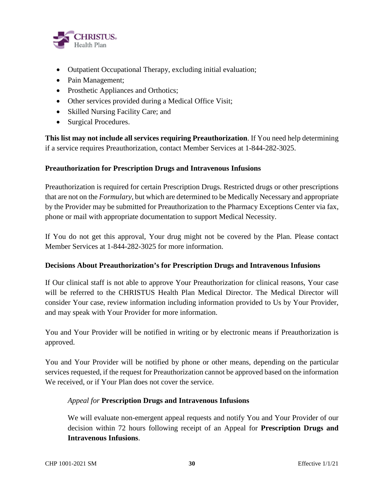

- Outpatient Occupational Therapy, excluding initial evaluation;
- Pain Management;
- Prosthetic Appliances and Orthotics;
- Other services provided during a Medical Office Visit;
- Skilled Nursing Facility Care; and
- Surgical Procedures.

**This list may not include all services requiring Preauthorization**. If You need help determining if a service requires Preauthorization, contact Member Services at 1-844-282-3025.

#### **Preauthorization for Prescription Drugs and Intravenous Infusions**

Preauthorization is required for certain Prescription Drugs. Restricted drugs or other prescriptions that are not on the *Formulary,* but which are determined to be Medically Necessary and appropriate by the Provider may be submitted for Preauthorization to the Pharmacy Exceptions Center via fax, phone or mail with appropriate documentation to support Medical Necessity.

If You do not get this approval, Your drug might not be covered by the Plan. Please contact Member Services at 1-844-282-3025 for more information.

#### **Decisions About Preauthorization's for Prescription Drugs and Intravenous Infusions**

If Our clinical staff is not able to approve Your Preauthorization for clinical reasons, Your case will be referred to the CHRISTUS Health Plan Medical Director. The Medical Director will consider Your case, review information including information provided to Us by Your Provider, and may speak with Your Provider for more information.

You and Your Provider will be notified in writing or by electronic means if Preauthorization is approved.

You and Your Provider will be notified by phone or other means, depending on the particular services requested, if the request for Preauthorization cannot be approved based on the information We received, or if Your Plan does not cover the service.

#### *Appeal for* **Prescription Drugs and Intravenous Infusions**

We will evaluate non-emergent appeal requests and notify You and Your Provider of our decision within 72 hours following receipt of an Appeal for **Prescription Drugs and Intravenous Infusions**.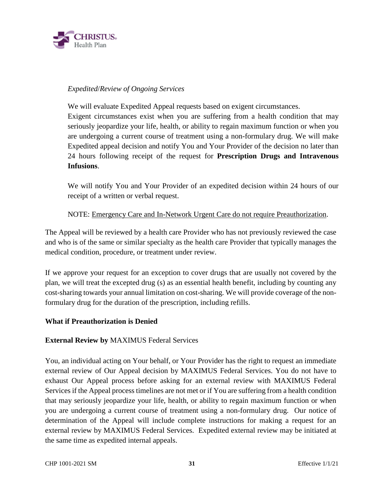

#### *Expedited*/*Review of Ongoing Services*

We will evaluate Expedited Appeal requests based on exigent circumstances.

Exigent circumstances exist when you are suffering from a health condition that may seriously jeopardize your life, health, or ability to regain maximum function or when you are undergoing a current course of treatment using a non-formulary drug. We will make Expedited appeal decision and notify You and Your Provider of the decision no later than 24 hours following receipt of the request for **Prescription Drugs and Intravenous Infusions**.

We will notify You and Your Provider of an expedited decision within 24 hours of our receipt of a written or verbal request.

#### NOTE: Emergency Care and In-Network Urgent Care do not require Preauthorization.

The Appeal will be reviewed by a health care Provider who has not previously reviewed the case and who is of the same or similar specialty as the health care Provider that typically manages the medical condition, procedure, or treatment under review.

If we approve your request for an exception to cover drugs that are usually not covered by the plan, we will treat the excepted drug (s) as an essential health benefit, including by counting any cost-sharing towards your annual limitation on cost-sharing. We will provide coverage of the nonformulary drug for the duration of the prescription, including refills.

#### **What if Preauthorization is Denied**

#### **External Review by** MAXIMUS Federal Services

You, an individual acting on Your behalf, or Your Provider has the right to request an immediate external review of Our Appeal decision by MAXIMUS Federal Services. You do not have to exhaust Our Appeal process before asking for an external review with MAXIMUS Federal Services if the Appeal process timelines are not met or if You are suffering from a health condition that may seriously jeopardize your life, health, or ability to regain maximum function or when you are undergoing a current course of treatment using a non-formulary drug. Our notice of determination of the Appeal will include complete instructions for making a request for an external review by MAXIMUS Federal Services. Expedited external review may be initiated at the same time as expedited internal appeals.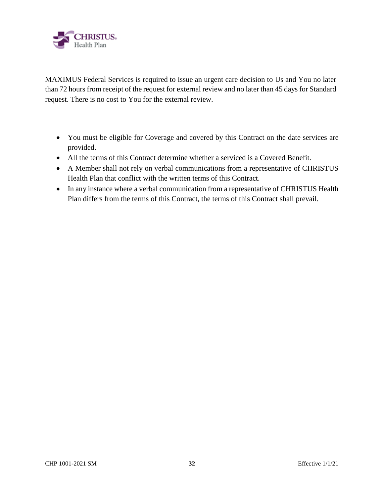

MAXIMUS Federal Services is required to issue an urgent care decision to Us and You no later than 72 hours from receipt of the request for external review and no later than 45 days for Standard request. There is no cost to You for the external review.

- You must be eligible for Coverage and covered by this Contract on the date services are provided.
- All the terms of this Contract determine whether a serviced is a Covered Benefit.
- A Member shall not rely on verbal communications from a representative of CHRISTUS Health Plan that conflict with the written terms of this Contract.
- In any instance where a verbal communication from a representative of CHRISTUS Health Plan differs from the terms of this Contract, the terms of this Contract shall prevail.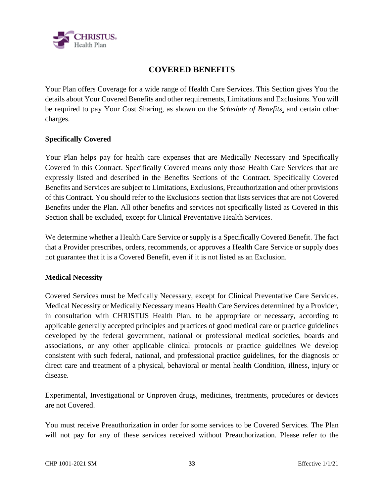

### **COVERED BENEFITS**

Your Plan offers Coverage for a wide range of Health Care Services. This Section gives You the details about Your Covered Benefits and other requirements, Limitations and Exclusions. You will be required to pay Your Cost Sharing, as shown on the *Schedule of Benefits,* and certain other charges.

#### **Specifically Covered**

Your Plan helps pay for health care expenses that are Medically Necessary and Specifically Covered in this Contract. Specifically Covered means only those Health Care Services that are expressly listed and described in the Benefits Sections of the Contract. Specifically Covered Benefits and Services are subject to Limitations, Exclusions, Preauthorization and other provisions of this Contract. You should refer to the Exclusions section that lists services that are not Covered Benefits under the Plan. All other benefits and services not specifically listed as Covered in this Section shall be excluded, except for Clinical Preventative Health Services.

We determine whether a Health Care Service or supply is a Specifically Covered Benefit. The fact that a Provider prescribes, orders, recommends, or approves a Health Care Service or supply does not guarantee that it is a Covered Benefit, even if it is not listed as an Exclusion.

#### **Medical Necessity**

Covered Services must be Medically Necessary, except for Clinical Preventative Care Services. Medical Necessity or Medically Necessary means Health Care Services determined by a Provider, in consultation with CHRISTUS Health Plan, to be appropriate or necessary, according to applicable generally accepted principles and practices of good medical care or practice guidelines developed by the federal government, national or professional medical societies, boards and associations, or any other applicable clinical protocols or practice guidelines We develop consistent with such federal, national, and professional practice guidelines, for the diagnosis or direct care and treatment of a physical, behavioral or mental health Condition, illness, injury or disease.

Experimental, Investigational or Unproven drugs, medicines, treatments, procedures or devices are not Covered.

You must receive Preauthorization in order for some services to be Covered Services. The Plan will not pay for any of these services received without Preauthorization. Please refer to the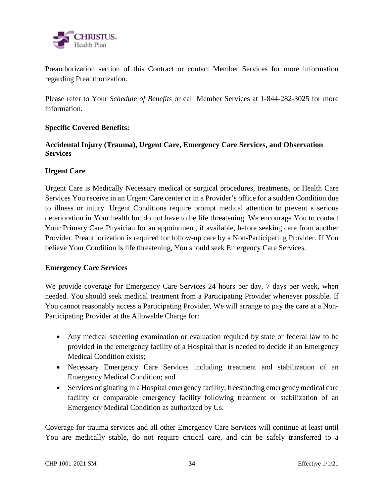

Preauthorization section of this Contract or contact Member Services for more information regarding Preauthorization.

Please refer to Your *Schedule of Benefits* or call Member Services at 1-844-282-3025 for more information.

#### **Specific Covered Benefits:**

#### **Accidental Injury (Trauma), Urgent Care, Emergency Care Services, and Observation Services**

#### **Urgent Care**

Urgent Care is Medically Necessary medical or surgical procedures, treatments, or Health Care Services You receive in an Urgent Care center or in a Provider's office for a sudden Condition due to illness or injury. Urgent Conditions require prompt medical attention to prevent a serious deterioration in Your health but do not have to be life threatening. We encourage You to contact Your Primary Care Physician for an appointment, if available, before seeking care from another Provider. Preauthorization is required for follow-up care by a Non-Participating Provider. If You believe Your Condition is life threatening, You should seek Emergency Care Services.

#### **Emergency Care Services**

We provide coverage for Emergency Care Services 24 hours per day, 7 days per week, when needed. You should seek medical treatment from a Participating Provider whenever possible. If You cannot reasonably access a Participating Provider, We will arrange to pay the care at a Non-Participating Provider at the Allowable Charge for:

- Any medical screening examination or evaluation required by state or federal law to be provided in the emergency facility of a Hospital that is needed to decide if an Emergency Medical Condition exists;
- Necessary Emergency Care Services including treatment and stabilization of an Emergency Medical Condition; and
- Services originating in a Hospital emergency facility, freestanding emergency medical care facility or comparable emergency facility following treatment or stabilization of an Emergency Medical Condition as authorized by Us.

Coverage for trauma services and all other Emergency Care Services will continue at least until You are medically stable, do not require critical care, and can be safely transferred to a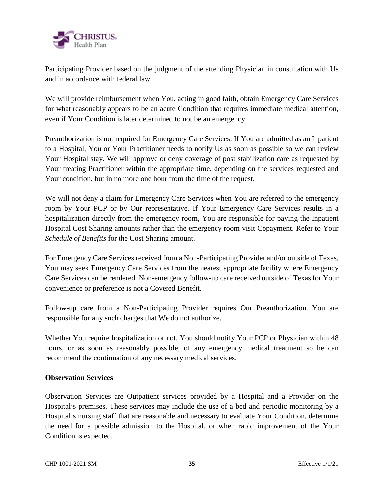

Participating Provider based on the judgment of the attending Physician in consultation with Us and in accordance with federal law.

We will provide reimbursement when You, acting in good faith, obtain Emergency Care Services for what reasonably appears to be an acute Condition that requires immediate medical attention, even if Your Condition is later determined to not be an emergency.

Preauthorization is not required for Emergency Care Services. If You are admitted as an Inpatient to a Hospital, You or Your Practitioner needs to notify Us as soon as possible so we can review Your Hospital stay. We will approve or deny coverage of post stabilization care as requested by Your treating Practitioner within the appropriate time, depending on the services requested and Your condition, but in no more one hour from the time of the request.

We will not deny a claim for Emergency Care Services when You are referred to the emergency room by Your PCP or by Our representative. If Your Emergency Care Services results in a hospitalization directly from the emergency room, You are responsible for paying the Inpatient Hospital Cost Sharing amounts rather than the emergency room visit Copayment. Refer to Your *Schedule of Benefits* for the Cost Sharing amount.

For Emergency Care Services received from a Non-Participating Provider and/or outside of Texas, You may seek Emergency Care Services from the nearest appropriate facility where Emergency Care Services can be rendered. Non-emergency follow-up care received outside of Texas for Your convenience or preference is not a Covered Benefit.

Follow-up care from a Non-Participating Provider requires Our Preauthorization. You are responsible for any such charges that We do not authorize.

Whether You require hospitalization or not, You should notify Your PCP or Physician within 48 hours, or as soon as reasonably possible, of any emergency medical treatment so he can recommend the continuation of any necessary medical services.

#### **Observation Services**

Observation Services are Outpatient services provided by a Hospital and a Provider on the Hospital's premises. These services may include the use of a bed and periodic monitoring by a Hospital's nursing staff that are reasonable and necessary to evaluate Your Condition, determine the need for a possible admission to the Hospital, or when rapid improvement of the Your Condition is expected.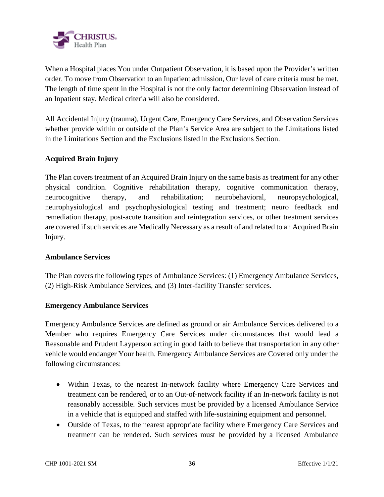

When a Hospital places You under Outpatient Observation, it is based upon the Provider's written order. To move from Observation to an Inpatient admission, Our level of care criteria must be met. The length of time spent in the Hospital is not the only factor determining Observation instead of an Inpatient stay. Medical criteria will also be considered.

All Accidental Injury (trauma), Urgent Care, Emergency Care Services, and Observation Services whether provide within or outside of the Plan's Service Area are subject to the Limitations listed in the Limitations Section and the Exclusions listed in the Exclusions Section.

#### **Acquired Brain Injury**

The Plan covers treatment of an Acquired Brain Injury on the same basis as treatment for any other physical condition. Cognitive rehabilitation therapy, cognitive communication therapy, neurocognitive therapy, and rehabilitation; neurobehavioral, neuropsychological, neurophysiological and psychophysiological testing and treatment; neuro feedback and remediation therapy, post-acute transition and reintegration services, or other treatment services are covered if such services are Medically Necessary as a result of and related to an Acquired Brain Injury.

#### **Ambulance Services**

The Plan covers the following types of Ambulance Services: (1) Emergency Ambulance Services, (2) High-Risk Ambulance Services, and (3) Inter-facility Transfer services.

#### **Emergency Ambulance Services**

Emergency Ambulance Services are defined as ground or air Ambulance Services delivered to a Member who requires Emergency Care Services under circumstances that would lead a Reasonable and Prudent Layperson acting in good faith to believe that transportation in any other vehicle would endanger Your health. Emergency Ambulance Services are Covered only under the following circumstances:

- Within Texas, to the nearest In-network facility where Emergency Care Services and treatment can be rendered, or to an Out-of-network facility if an In-network facility is not reasonably accessible. Such services must be provided by a licensed Ambulance Service in a vehicle that is equipped and staffed with life-sustaining equipment and personnel.
- Outside of Texas, to the nearest appropriate facility where Emergency Care Services and treatment can be rendered. Such services must be provided by a licensed Ambulance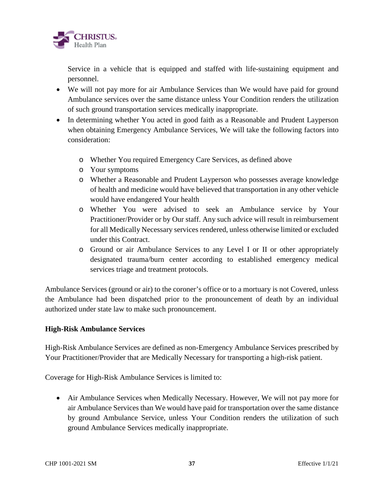

Service in a vehicle that is equipped and staffed with life-sustaining equipment and personnel.

- We will not pay more for air Ambulance Services than We would have paid for ground Ambulance services over the same distance unless Your Condition renders the utilization of such ground transportation services medically inappropriate.
- In determining whether You acted in good faith as a Reasonable and Prudent Layperson when obtaining Emergency Ambulance Services, We will take the following factors into consideration:
	- o Whether You required Emergency Care Services, as defined above
	- o Your symptoms
	- o Whether a Reasonable and Prudent Layperson who possesses average knowledge of health and medicine would have believed that transportation in any other vehicle would have endangered Your health
	- o Whether You were advised to seek an Ambulance service by Your Practitioner/Provider or by Our staff. Any such advice will result in reimbursement for all Medically Necessary services rendered, unless otherwise limited or excluded under this Contract.
	- o Ground or air Ambulance Services to any Level I or II or other appropriately designated trauma/burn center according to established emergency medical services triage and treatment protocols.

Ambulance Services (ground or air) to the coroner's office or to a mortuary is not Covered, unless the Ambulance had been dispatched prior to the pronouncement of death by an individual authorized under state law to make such pronouncement.

### **High-Risk Ambulance Services**

High-Risk Ambulance Services are defined as non-Emergency Ambulance Services prescribed by Your Practitioner/Provider that are Medically Necessary for transporting a high-risk patient.

Coverage for High-Risk Ambulance Services is limited to:

 Air Ambulance Services when Medically Necessary. However, We will not pay more for air Ambulance Services than We would have paid for transportation over the same distance by ground Ambulance Service, unless Your Condition renders the utilization of such ground Ambulance Services medically inappropriate.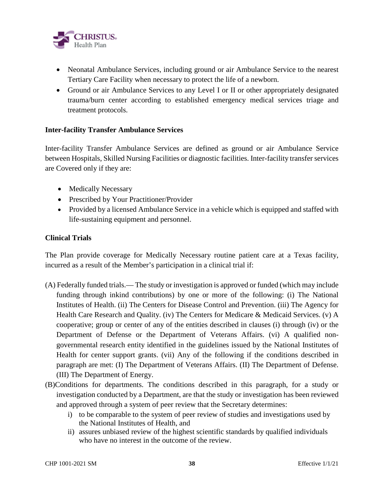

- Neonatal Ambulance Services, including ground or air Ambulance Service to the nearest Tertiary Care Facility when necessary to protect the life of a newborn.
- Ground or air Ambulance Services to any Level I or II or other appropriately designated trauma/burn center according to established emergency medical services triage and treatment protocols.

### **Inter-facility Transfer Ambulance Services**

Inter-facility Transfer Ambulance Services are defined as ground or air Ambulance Service between Hospitals, Skilled Nursing Facilities or diagnostic facilities. Inter-facility transfer services are Covered only if they are:

- Medically Necessary
- Prescribed by Your Practitioner/Provider
- Provided by a licensed Ambulance Service in a vehicle which is equipped and staffed with life-sustaining equipment and personnel.

### **Clinical Trials**

The Plan provide coverage for Medically Necessary routine patient care at a Texas facility, incurred as a result of the Member's participation in a clinical trial if:

- (A) Federally funded trials.— The study or investigation is approved or funded (which may include funding through inkind contributions) by one or more of the following: (i) The National Institutes of Health. (ii) The Centers for Disease Control and Prevention. (iii) The Agency for Health Care Research and Quality. (iv) The Centers for Medicare & Medicaid Services. (v) A cooperative; group or center of any of the entities described in clauses (i) through (iv) or the Department of Defense or the Department of Veterans Affairs. (vi) A qualified nongovernmental research entity identified in the guidelines issued by the National Institutes of Health for center support grants. (vii) Any of the following if the conditions described in paragraph are met: (I) The Department of Veterans Affairs. (II) The Department of Defense. (III) The Department of Energy.
- (B)Conditions for departments. The conditions described in this paragraph, for a study or investigation conducted by a Department, are that the study or investigation has been reviewed and approved through a system of peer review that the Secretary determines:
	- i) to be comparable to the system of peer review of studies and investigations used by the National Institutes of Health, and
	- ii) assures unbiased review of the highest scientific standards by qualified individuals who have no interest in the outcome of the review.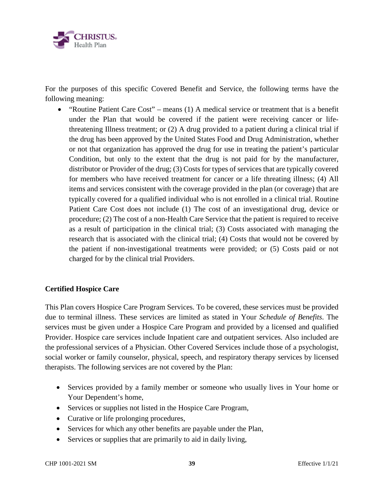

For the purposes of this specific Covered Benefit and Service, the following terms have the following meaning:

 "Routine Patient Care Cost" – means (1) A medical service or treatment that is a benefit under the Plan that would be covered if the patient were receiving cancer or lifethreatening Illness treatment; or (2) A drug provided to a patient during a clinical trial if the drug has been approved by the United States Food and Drug Administration, whether or not that organization has approved the drug for use in treating the patient's particular Condition, but only to the extent that the drug is not paid for by the manufacturer, distributor or Provider of the drug; (3) Costs for types of services that are typically covered for members who have received treatment for cancer or a life threating illness; (4) All items and services consistent with the coverage provided in the plan (or coverage) that are typically covered for a qualified individual who is not enrolled in a clinical trial. Routine Patient Care Cost does not include (1) The cost of an investigational drug, device or procedure; (2) The cost of a non-Health Care Service that the patient is required to receive as a result of participation in the clinical trial; (3) Costs associated with managing the research that is associated with the clinical trial; (4) Costs that would not be covered by the patient if non-investigational treatments were provided; or (5) Costs paid or not charged for by the clinical trial Providers.

# **Certified Hospice Care**

This Plan covers Hospice Care Program Services. To be covered, these services must be provided due to terminal illness. These services are limited as stated in Your *Schedule of Benefits*. The services must be given under a Hospice Care Program and provided by a licensed and qualified Provider. Hospice care services include Inpatient care and outpatient services. Also included are the professional services of a Physician. Other Covered Services include those of a psychologist, social worker or family counselor, physical, speech, and respiratory therapy services by licensed therapists. The following services are not covered by the Plan:

- Services provided by a family member or someone who usually lives in Your home or Your Dependent's home,
- Services or supplies not listed in the Hospice Care Program,
- Curative or life prolonging procedures,
- Services for which any other benefits are payable under the Plan,
- Services or supplies that are primarily to aid in daily living,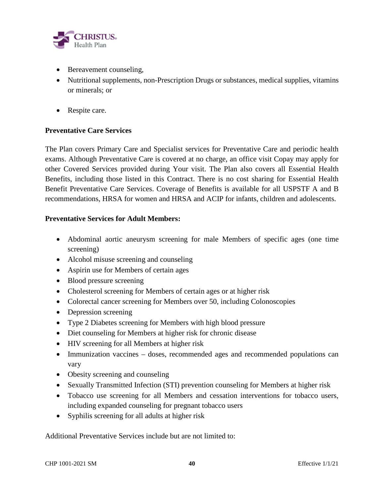

- Bereavement counseling,
- Nutritional supplements, non-Prescription Drugs or substances, medical supplies, vitamins or minerals; or
- Respite care.

### **Preventative Care Services**

The Plan covers Primary Care and Specialist services for Preventative Care and periodic health exams. Although Preventative Care is covered at no charge, an office visit Copay may apply for other Covered Services provided during Your visit. The Plan also covers all Essential Health Benefits, including those listed in this Contract. There is no cost sharing for Essential Health Benefit Preventative Care Services. Coverage of Benefits is available for all USPSTF A and B recommendations, HRSA for women and HRSA and ACIP for infants, children and adolescents.

### **Preventative Services for Adult Members:**

- Abdominal aortic aneurysm screening for male Members of specific ages (one time screening)
- Alcohol misuse screening and counseling
- Aspirin use for Members of certain ages
- Blood pressure screening
- Cholesterol screening for Members of certain ages or at higher risk
- Colorectal cancer screening for Members over 50, including Colonoscopies
- Depression screening
- Type 2 Diabetes screening for Members with high blood pressure
- Diet counseling for Members at higher risk for chronic disease
- HIV screening for all Members at higher risk
- Immunization vaccines doses, recommended ages and recommended populations can vary
- Obesity screening and counseling
- Sexually Transmitted Infection (STI) prevention counseling for Members at higher risk
- Tobacco use screening for all Members and cessation interventions for tobacco users, including expanded counseling for pregnant tobacco users
- Syphilis screening for all adults at higher risk

Additional Preventative Services include but are not limited to: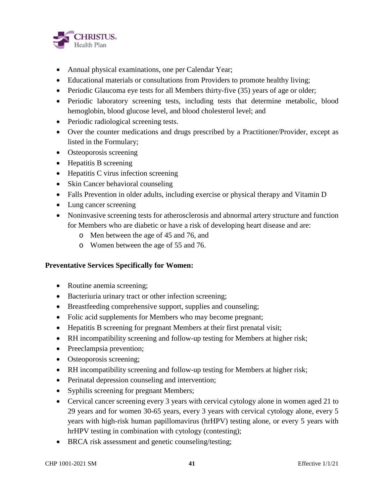

- Annual physical examinations, one per Calendar Year;
- Educational materials or consultations from Providers to promote healthy living;
- Periodic Glaucoma eye tests for all Members thirty-five (35) years of age or older;
- Periodic laboratory screening tests, including tests that determine metabolic, blood hemoglobin, blood glucose level, and blood cholesterol level; and
- Periodic radiological screening tests.
- Over the counter medications and drugs prescribed by a Practitioner/Provider, except as listed in the Formulary;
- Osteoporosis screening
- Hepatitis B screening
- Hepatitis C virus infection screening
- Skin Cancer behavioral counseling
- Falls Prevention in older adults, including exercise or physical therapy and Vitamin D
- Lung cancer screening
- Noninvasive screening tests for atherosclerosis and abnormal artery structure and function for Members who are diabetic or have a risk of developing heart disease and are:
	- o Men between the age of 45 and 76, and
	- o Women between the age of 55 and 76.

# **Preventative Services Specifically for Women:**

- Routine anemia screening;
- Bacteriuria urinary tract or other infection screening;
- Breastfeeding comprehensive support, supplies and counseling;
- Folic acid supplements for Members who may become pregnant;
- Hepatitis B screening for pregnant Members at their first prenatal visit;
- RH incompatibility screening and follow-up testing for Members at higher risk;
- Preeclampsia prevention;
- Osteoporosis screening;
- RH incompatibility screening and follow-up testing for Members at higher risk;
- Perinatal depression counseling and intervention;
- Syphilis screening for pregnant Members;
- Cervical cancer screening every 3 years with cervical cytology alone in women aged 21 to 29 years and for women 30-65 years, every 3 years with cervical cytology alone, every 5 years with high-risk human papillomavirus (hrHPV) testing alone, or every 5 years with hrHPV testing in combination with cytology (contesting);
- BRCA risk assessment and genetic counseling/testing;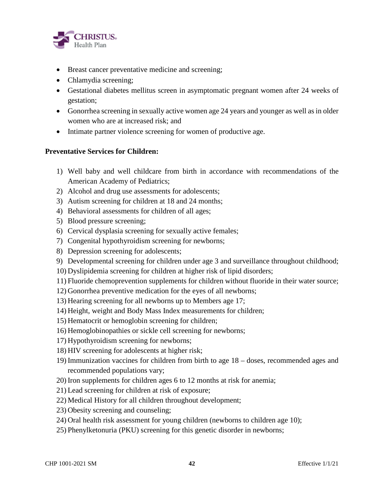

- Breast cancer preventative medicine and screening;
- Chlamydia screening;
- Gestational diabetes mellitus screen in asymptomatic pregnant women after 24 weeks of gestation;
- Gonorrhea screening in sexually active women age 24 years and younger as well as in older women who are at increased risk; and
- Intimate partner violence screening for women of productive age.

### **Preventative Services for Children:**

- 1) Well baby and well childcare from birth in accordance with recommendations of the American Academy of Pediatrics;
- 2) Alcohol and drug use assessments for adolescents;
- 3) Autism screening for children at 18 and 24 months;
- 4) Behavioral assessments for children of all ages;
- 5) Blood pressure screening;
- 6) Cervical dysplasia screening for sexually active females;
- 7) Congenital hypothyroidism screening for newborns;
- 8) Depression screening for adolescents;
- 9) Developmental screening for children under age 3 and surveillance throughout childhood;
- 10) Dyslipidemia screening for children at higher risk of lipid disorders;
- 11) Fluoride chemoprevention supplements for children without fluoride in their water source;
- 12) Gonorrhea preventive medication for the eyes of all newborns;
- 13) Hearing screening for all newborns up to Members age 17;
- 14) Height, weight and Body Mass Index measurements for children;
- 15) Hematocrit or hemoglobin screening for children;
- 16) Hemoglobinopathies or sickle cell screening for newborns;
- 17) Hypothyroidism screening for newborns;
- 18) HIV screening for adolescents at higher risk;
- 19) Immunization vaccines for children from birth to age 18 doses, recommended ages and recommended populations vary;
- 20) Iron supplements for children ages 6 to 12 months at risk for anemia;
- 21) Lead screening for children at risk of exposure;
- 22) Medical History for all children throughout development;
- 23) Obesity screening and counseling;
- 24) Oral health risk assessment for young children (newborns to children age 10);
- 25) Phenylketonuria (PKU) screening for this genetic disorder in newborns;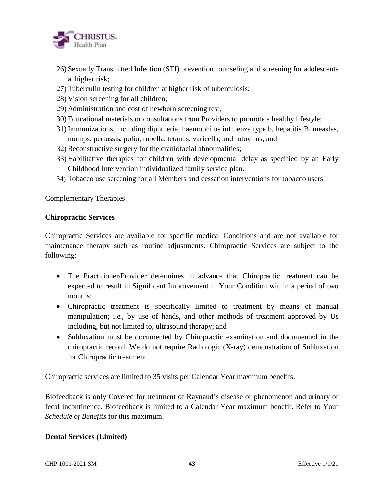

- 26) Sexually Transmitted Infection (STI) prevention counseling and screening for adolescents at higher risk;
- 27) Tuberculin testing for children at higher risk of tuberculosis;
- 28) Vision screening for all children;
- 29) Administration and cost of newborn screening test,
- 30) Educational materials or consultations from Providers to promote a healthy lifestyle;
- 31) Immunizations, including diphtheria, haemophilus influenza type b, hepatitis B, measles, mumps, pertussis, polio, rubella, tetanus, varicella, and rotovirus; and
- 32) Reconstructive surgery for the craniofacial abnormalities;
- 33) Habilitative therapies for children with developmental delay as specified by an Early Childhood Intervention individualized family service plan.
- 34) Tobacco use screening for all Members and cessation interventions for tobacco users

### Complementary Therapies

#### **Chiropractic Services**

Chiropractic Services are available for specific medical Conditions and are not available for maintenance therapy such as routine adjustments. Chiropractic Services are subject to the following:

- The Practitioner/Provider determines in advance that Chiropractic treatment can be expected to result in Significant Improvement in Your Condition within a period of two months;
- Chiropractic treatment is specifically limited to treatment by means of manual manipulation; i.e., by use of hands, and other methods of treatment approved by Us including, but not limited to, ultrasound therapy; and
- Subluxation must be documented by Chiropractic examination and documented in the chiropractic record. We do not require Radiologic (X-ray) demonstration of Subluxation for Chiropractic treatment.

Chiropractic services are limited to 35 visits per Calendar Year maximum benefits.

Biofeedback is only Covered for treatment of Raynaud's disease or phenomenon and urinary or fecal incontinence. Biofeedback is limited to a Calendar Year maximum benefit. Refer to Your *Schedule of Benefits* for this maximum.

### **Dental Services (Limited)**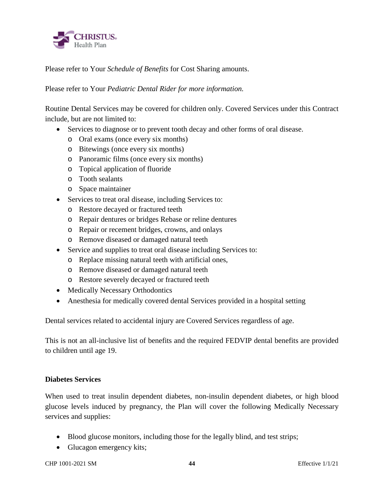

Please refer to Your *Schedule of Benefits* for Cost Sharing amounts.

Please refer to Your *Pediatric Dental Rider for more information.*

Routine Dental Services may be covered for children only. Covered Services under this Contract include, but are not limited to:

- Services to diagnose or to prevent tooth decay and other forms of oral disease.
	- o Oral exams (once every six months)
	- o Bitewings (once every six months)
	- o Panoramic films (once every six months)
	- o Topical application of fluoride
	- o Tooth sealants
	- o Space maintainer
- Services to treat oral disease, including Services to:
	- o Restore decayed or fractured teeth
	- o Repair dentures or bridges Rebase or reline dentures
	- o Repair or recement bridges, crowns, and onlays
	- o Remove diseased or damaged natural teeth
- Service and supplies to treat oral disease including Services to:
	- o Replace missing natural teeth with artificial ones,
	- o Remove diseased or damaged natural teeth
	- o Restore severely decayed or fractured teeth
- Medically Necessary Orthodontics
- Anesthesia for medically covered dental Services provided in a hospital setting

Dental services related to accidental injury are Covered Services regardless of age.

This is not an all-inclusive list of benefits and the required FEDVIP dental benefits are provided to children until age 19.

### **Diabetes Services**

When used to treat insulin dependent diabetes, non-insulin dependent diabetes, or high blood glucose levels induced by pregnancy, the Plan will cover the following Medically Necessary services and supplies:

- Blood glucose monitors, including those for the legally blind, and test strips;
- Glucagon emergency kits;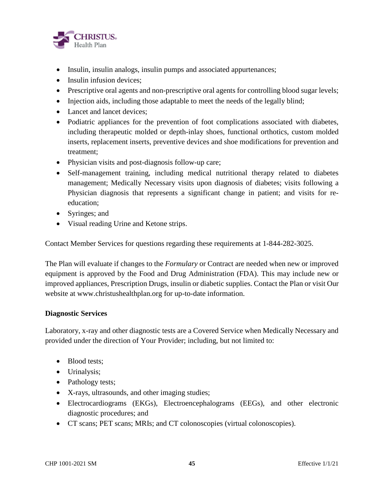

- Insulin, insulin analogs, insulin pumps and associated appurtenances;
- $\bullet$  Insulin infusion devices:
- Prescriptive oral agents and non-prescriptive oral agents for controlling blood sugar levels;
- Injection aids, including those adaptable to meet the needs of the legally blind;
- Lancet and lancet devices:
- Podiatric appliances for the prevention of foot complications associated with diabetes, including therapeutic molded or depth-inlay shoes, functional orthotics, custom molded inserts, replacement inserts, preventive devices and shoe modifications for prevention and treatment;
- Physician visits and post-diagnosis follow-up care;
- Self-management training, including medical nutritional therapy related to diabetes management; Medically Necessary visits upon diagnosis of diabetes; visits following a Physician diagnosis that represents a significant change in patient; and visits for reeducation;
- Syringes; and
- Visual reading Urine and Ketone strips.

Contact Member Services for questions regarding these requirements at 1-844-282-3025.

The Plan will evaluate if changes to the *Formulary* or Contract are needed when new or improved equipment is approved by the Food and Drug Administration (FDA). This may include new or improved appliances, Prescription Drugs, insulin or diabetic supplies. Contact the Plan or visit Our website at www.christushealthplan.org for up-to-date information.

### **Diagnostic Services**

Laboratory, x-ray and other diagnostic tests are a Covered Service when Medically Necessary and provided under the direction of Your Provider; including, but not limited to:

- Blood tests;
- Urinalysis;
- Pathology tests;
- X-rays, ultrasounds, and other imaging studies;
- Electrocardiograms (EKGs), Electroencephalograms (EEGs), and other electronic diagnostic procedures; and
- CT scans; PET scans; MRIs; and CT colonoscopies (virtual colonoscopies).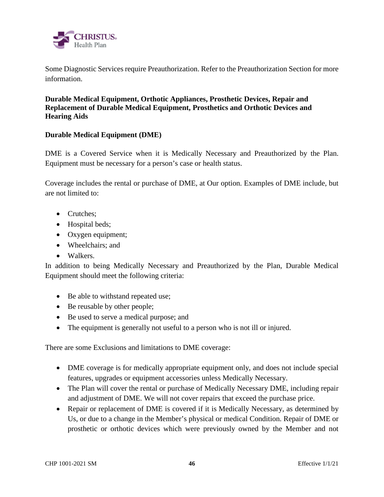

Some Diagnostic Services require Preauthorization. Refer to the Preauthorization Section for more information.

**Durable Medical Equipment, Orthotic Appliances, Prosthetic Devices, Repair and Replacement of Durable Medical Equipment, Prosthetics and Orthotic Devices and Hearing Aids** 

### **Durable Medical Equipment (DME)**

DME is a Covered Service when it is Medically Necessary and Preauthorized by the Plan. Equipment must be necessary for a person's case or health status.

Coverage includes the rental or purchase of DME, at Our option. Examples of DME include, but are not limited to:

- Crutches:
- Hospital beds;
- Oxygen equipment;
- Wheelchairs; and
- Walkers.

In addition to being Medically Necessary and Preauthorized by the Plan, Durable Medical Equipment should meet the following criteria:

- Be able to withstand repeated use;
- Be reusable by other people;
- Be used to serve a medical purpose; and
- The equipment is generally not useful to a person who is not ill or injured.

There are some Exclusions and limitations to DME coverage:

- DME coverage is for medically appropriate equipment only, and does not include special features, upgrades or equipment accessories unless Medically Necessary.
- The Plan will cover the rental or purchase of Medically Necessary DME, including repair and adjustment of DME. We will not cover repairs that exceed the purchase price.
- Repair or replacement of DME is covered if it is Medically Necessary, as determined by Us, or due to a change in the Member's physical or medical Condition. Repair of DME or prosthetic or orthotic devices which were previously owned by the Member and not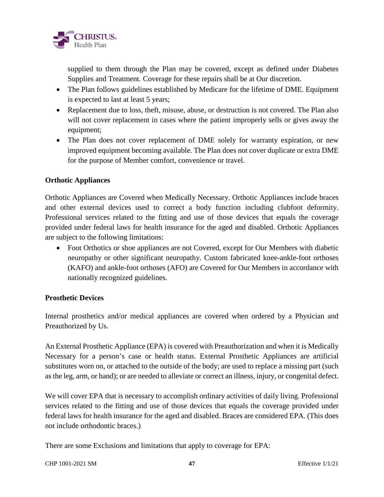

supplied to them through the Plan may be covered, except as defined under Diabetes Supplies and Treatment. Coverage for these repairs shall be at Our discretion.

- The Plan follows guidelines established by Medicare for the lifetime of DME. Equipment is expected to last at least 5 years;
- Replacement due to loss, theft, misuse, abuse, or destruction is not covered. The Plan also will not cover replacement in cases where the patient improperly sells or gives away the equipment;
- The Plan does not cover replacement of DME solely for warranty expiration, or new improved equipment becoming available. The Plan does not cover duplicate or extra DME for the purpose of Member comfort, convenience or travel.

### **Orthotic Appliances**

Orthotic Appliances are Covered when Medically Necessary. Orthotic Appliances include braces and other external devices used to correct a body function including clubfoot deformity. Professional services related to the fitting and use of those devices that equals the coverage provided under federal laws for health insurance for the aged and disabled. Orthotic Appliances are subject to the following limitations:

• Foot Orthotics or shoe appliances are not Covered, except for Our Members with diabetic neuropathy or other significant neuropathy. Custom fabricated knee-ankle-foot orthoses (KAFO) and ankle-foot orthoses (AFO) are Covered for Our Members in accordance with nationally recognized guidelines.

### **Prosthetic Devices**

Internal prosthetics and/or medical appliances are covered when ordered by a Physician and Preauthorized by Us.

An External Prosthetic Appliance (EPA) is covered with Preauthorization and when it is Medically Necessary for a person's case or health status. External Prosthetic Appliances are artificial substitutes worn on, or attached to the outside of the body; are used to replace a missing part (such as the leg, arm, or hand); or are needed to alleviate or correct an illness, injury, or congenital defect.

We will cover EPA that is necessary to accomplish ordinary activities of daily living. Professional services related to the fitting and use of those devices that equals the coverage provided under federal laws for health insurance for the aged and disabled. Braces are considered EPA. (This does not include orthodontic braces.)

There are some Exclusions and limitations that apply to coverage for EPA: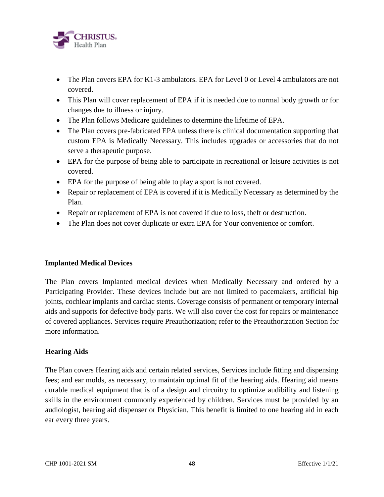

- The Plan covers EPA for K1-3 ambulators. EPA for Level 0 or Level 4 ambulators are not covered.
- This Plan will cover replacement of EPA if it is needed due to normal body growth or for changes due to illness or injury.
- The Plan follows Medicare guidelines to determine the lifetime of EPA.
- The Plan covers pre-fabricated EPA unless there is clinical documentation supporting that custom EPA is Medically Necessary. This includes upgrades or accessories that do not serve a therapeutic purpose.
- EPA for the purpose of being able to participate in recreational or leisure activities is not covered.
- EPA for the purpose of being able to play a sport is not covered.
- Repair or replacement of EPA is covered if it is Medically Necessary as determined by the Plan.
- Repair or replacement of EPA is not covered if due to loss, theft or destruction.
- The Plan does not cover duplicate or extra EPA for Your convenience or comfort.

### **Implanted Medical Devices**

The Plan covers Implanted medical devices when Medically Necessary and ordered by a Participating Provider. These devices include but are not limited to pacemakers, artificial hip joints, cochlear implants and cardiac stents. Coverage consists of permanent or temporary internal aids and supports for defective body parts. We will also cover the cost for repairs or maintenance of covered appliances. Services require Preauthorization; refer to the Preauthorization Section for more information.

# **Hearing Aids**

The Plan covers Hearing aids and certain related services, Services include fitting and dispensing fees; and ear molds, as necessary, to maintain optimal fit of the hearing aids. Hearing aid means durable medical equipment that is of a design and circuitry to optimize audibility and listening skills in the environment commonly experienced by children. Services must be provided by an audiologist, hearing aid dispenser or Physician. This benefit is limited to one hearing aid in each ear every three years.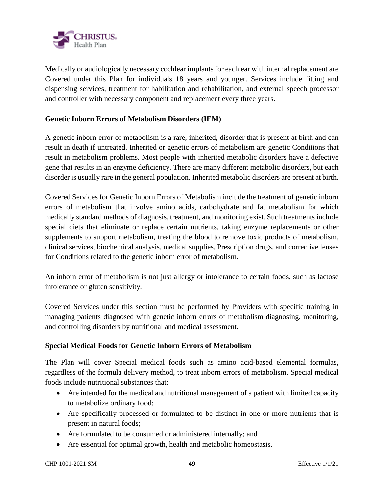

Medically or audiologically necessary cochlear implants for each ear with internal replacement are Covered under this Plan for individuals 18 years and younger. Services include fitting and dispensing services, treatment for habilitation and rehabilitation, and external speech processor and controller with necessary component and replacement every three years.

### **Genetic Inborn Errors of Metabolism Disorders (IEM)**

A genetic inborn error of metabolism is a rare, inherited, disorder that is present at birth and can result in death if untreated. Inherited or genetic errors of metabolism are genetic Conditions that result in metabolism problems. Most people with inherited metabolic disorders have a defective gene that results in an enzyme deficiency. There are many different metabolic disorders, but each disorder is usually rare in the general population. Inherited metabolic disorders are present at birth.

Covered Services for Genetic Inborn Errors of Metabolism include the treatment of genetic inborn errors of metabolism that involve amino acids, carbohydrate and fat metabolism for which medically standard methods of diagnosis, treatment, and monitoring exist. Such treatments include special diets that eliminate or replace certain nutrients, taking enzyme replacements or other supplements to support metabolism, treating the blood to remove toxic products of metabolism, clinical services, biochemical analysis, medical supplies, Prescription drugs, and corrective lenses for Conditions related to the genetic inborn error of metabolism.

An inborn error of metabolism is not just allergy or intolerance to certain foods, such as lactose intolerance or gluten sensitivity.

Covered Services under this section must be performed by Providers with specific training in managing patients diagnosed with genetic inborn errors of metabolism diagnosing, monitoring, and controlling disorders by nutritional and medical assessment.

### **Special Medical Foods for Genetic Inborn Errors of Metabolism**

The Plan will cover Special medical foods such as amino acid-based elemental formulas, regardless of the formula delivery method, to treat inborn errors of metabolism. Special medical foods include nutritional substances that:

- Are intended for the medical and nutritional management of a patient with limited capacity to metabolize ordinary food;
- Are specifically processed or formulated to be distinct in one or more nutrients that is present in natural foods;
- Are formulated to be consumed or administered internally; and
- Are essential for optimal growth, health and metabolic homeostasis.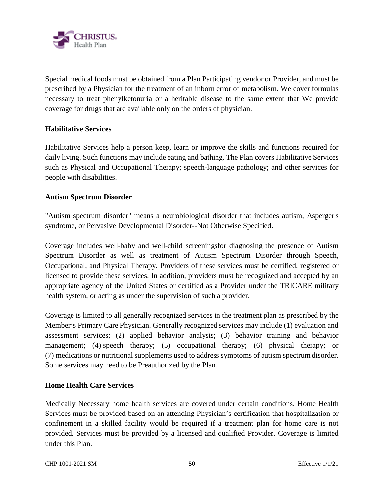

Special medical foods must be obtained from a Plan Participating vendor or Provider, and must be prescribed by a Physician for the treatment of an inborn error of metabolism. We cover formulas necessary to treat phenylketonuria or a heritable disease to the same extent that We provide coverage for drugs that are available only on the orders of physician.

### **Habilitative Services**

Habilitative Services help a person keep, learn or improve the skills and functions required for daily living. Such functions may include eating and bathing. The Plan covers Habilitative Services such as Physical and Occupational Therapy; speech-language pathology; and other services for people with disabilities.

### **Autism Spectrum Disorder**

"Autism spectrum disorder" means a neurobiological disorder that includes autism, Asperger's syndrome, or Pervasive Developmental Disorder--Not Otherwise Specified.

Coverage includes well-baby and well-child screeningsfor diagnosing the presence of Autism Spectrum Disorder as well as treatment of Autism Spectrum Disorder through Speech, Occupational, and Physical Therapy. Providers of these services must be certified, registered or licensed to provide these services. In addition, providers must be recognized and accepted by an appropriate agency of the United States or certified as a Provider under the TRICARE military health system, or acting as under the supervision of such a provider.

Coverage is limited to all generally recognized services in the treatment plan as prescribed by the Member's Primary Care Physician. Generally recognized services may include (1) evaluation and assessment services; (2) applied behavior analysis; (3) behavior training and behavior management; (4) speech therapy; (5) occupational therapy; (6) physical therapy; or (7) medications or nutritional supplements used to address symptoms of autism spectrum disorder. Some services may need to be Preauthorized by the Plan.

### **Home Health Care Services**

Medically Necessary home health services are covered under certain conditions. Home Health Services must be provided based on an attending Physician's certification that hospitalization or confinement in a skilled facility would be required if a treatment plan for home care is not provided. Services must be provided by a licensed and qualified Provider. Coverage is limited under this Plan.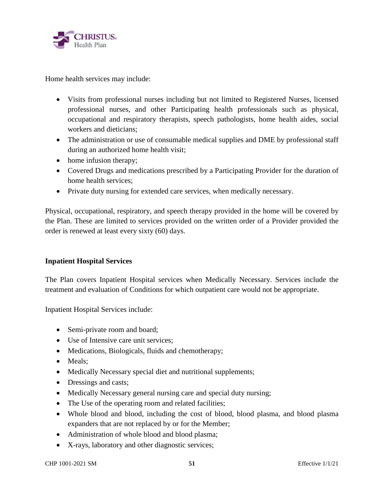

Home health services may include:

- Visits from professional nurses including but not limited to Registered Nurses, licensed professional nurses, and other Participating health professionals such as physical, occupational and respiratory therapists, speech pathologists, home health aides, social workers and dieticians;
- The administration or use of consumable medical supplies and DME by professional staff during an authorized home health visit;
- home infusion therapy;
- Covered Drugs and medications prescribed by a Participating Provider for the duration of home health services;
- Private duty nursing for extended care services, when medically necessary.

Physical, occupational, respiratory, and speech therapy provided in the home will be covered by the Plan. These are limited to services provided on the written order of a Provider provided the order is renewed at least every sixty (60) days.

# **Inpatient Hospital Services**

The Plan covers Inpatient Hospital services when Medically Necessary. Services include the treatment and evaluation of Conditions for which outpatient care would not be appropriate.

Inpatient Hospital Services include:

- Semi-private room and board;
- Use of Intensive care unit services;
- Medications, Biologicals, fluids and chemotherapy;
- Meals:
- Medically Necessary special diet and nutritional supplements;
- Dressings and casts;
- Medically Necessary general nursing care and special duty nursing;
- The Use of the operating room and related facilities;
- Whole blood and blood, including the cost of blood, blood plasma, and blood plasma expanders that are not replaced by or for the Member;
- Administration of whole blood and blood plasma;
- X-rays, laboratory and other diagnostic services;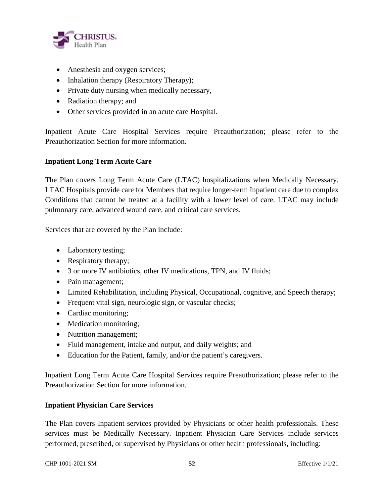

- Anesthesia and oxygen services;
- Inhalation therapy (Respiratory Therapy);
- Private duty nursing when medically necessary,
- Radiation therapy; and
- Other services provided in an acute care Hospital.

Inpatient Acute Care Hospital Services require Preauthorization; please refer to the Preauthorization Section for more information.

### **Inpatient Long Term Acute Care**

The Plan covers Long Term Acute Care (LTAC) hospitalizations when Medically Necessary. LTAC Hospitals provide care for Members that require longer-term Inpatient care due to complex Conditions that cannot be treated at a facility with a lower level of care. LTAC may include pulmonary care, advanced wound care, and critical care services.

Services that are covered by the Plan include:

- Laboratory testing;
- Respiratory therapy;
- 3 or more IV antibiotics, other IV medications, TPN, and IV fluids;
- Pain management;
- Limited Rehabilitation, including Physical, Occupational, cognitive, and Speech therapy;
- Frequent vital sign, neurologic sign, or vascular checks;
- Cardiac monitoring;
- Medication monitoring;
- Nutrition management;
- Fluid management, intake and output, and daily weights; and
- Education for the Patient, family, and/or the patient's caregivers.

Inpatient Long Term Acute Care Hospital Services require Preauthorization; please refer to the Preauthorization Section for more information.

# **Inpatient Physician Care Services**

The Plan covers Inpatient services provided by Physicians or other health professionals. These services must be Medically Necessary. Inpatient Physician Care Services include services performed, prescribed, or supervised by Physicians or other health professionals, including: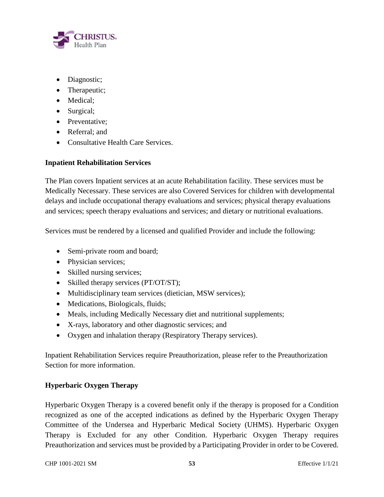

- Diagnostic;
- Therapeutic;
- Medical;
- Surgical;
- Preventative:
- Referral: and
- Consultative Health Care Services.

# **Inpatient Rehabilitation Services**

The Plan covers Inpatient services at an acute Rehabilitation facility. These services must be Medically Necessary. These services are also Covered Services for children with developmental delays and include occupational therapy evaluations and services; physical therapy evaluations and services; speech therapy evaluations and services; and dietary or nutritional evaluations.

Services must be rendered by a licensed and qualified Provider and include the following:

- Semi-private room and board;
- Physician services;
- Skilled nursing services;
- Skilled therapy services (PT/OT/ST);
- Multidisciplinary team services (dietician, MSW services);
- Medications, Biologicals, fluids;
- Meals, including Medically Necessary diet and nutritional supplements;
- X-rays, laboratory and other diagnostic services; and
- Oxygen and inhalation therapy (Respiratory Therapy services).

Inpatient Rehabilitation Services require Preauthorization, please refer to the Preauthorization Section for more information.

# **Hyperbaric Oxygen Therapy**

Hyperbaric Oxygen Therapy is a covered benefit only if the therapy is proposed for a Condition recognized as one of the accepted indications as defined by the Hyperbaric Oxygen Therapy Committee of the Undersea and Hyperbaric Medical Society (UHMS). Hyperbaric Oxygen Therapy is Excluded for any other Condition. Hyperbaric Oxygen Therapy requires Preauthorization and services must be provided by a Participating Provider in order to be Covered.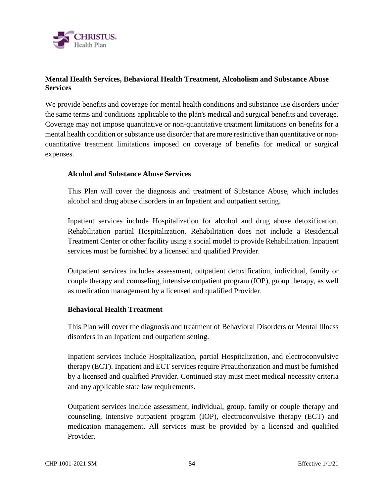

# **Mental Health Services, Behavioral Health Treatment, Alcoholism and Substance Abuse Services**

We provide benefits and coverage for mental health conditions and substance use disorders under the same terms and conditions applicable to the plan's medical and surgical benefits and coverage. Coverage may not impose quantitative or non-quantitative treatment limitations on benefits for a mental health condition or substance use disorder that are more restrictive than quantitative or nonquantitative treatment limitations imposed on coverage of benefits for medical or surgical expenses.

### **Alcohol and Substance Abuse Services**

This Plan will cover the diagnosis and treatment of Substance Abuse, which includes alcohol and drug abuse disorders in an Inpatient and outpatient setting.

Inpatient services include Hospitalization for alcohol and drug abuse detoxification, Rehabilitation partial Hospitalization. Rehabilitation does not include a Residential Treatment Center or other facility using a social model to provide Rehabilitation. Inpatient services must be furnished by a licensed and qualified Provider.

Outpatient services includes assessment, outpatient detoxification, individual, family or couple therapy and counseling, intensive outpatient program (IOP), group therapy, as well as medication management by a licensed and qualified Provider.

### **Behavioral Health Treatment**

This Plan will cover the diagnosis and treatment of Behavioral Disorders or Mental Illness disorders in an Inpatient and outpatient setting.

Inpatient services include Hospitalization, partial Hospitalization, and electroconvulsive therapy (ECT). Inpatient and ECT services require Preauthorization and must be furnished by a licensed and qualified Provider. Continued stay must meet medical necessity criteria and any applicable state law requirements.

Outpatient services include assessment, individual, group, family or couple therapy and counseling, intensive outpatient program (IOP), electroconvulsive therapy (ECT) and medication management. All services must be provided by a licensed and qualified Provider.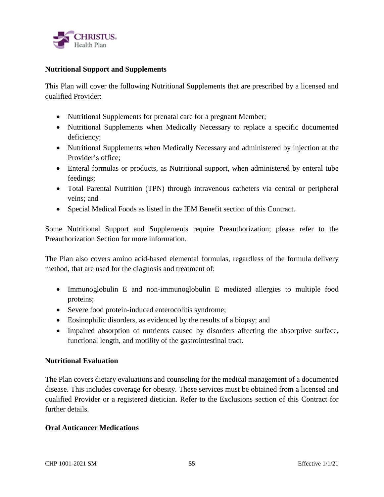

### **Nutritional Support and Supplements**

This Plan will cover the following Nutritional Supplements that are prescribed by a licensed and qualified Provider:

- Nutritional Supplements for prenatal care for a pregnant Member;
- Nutritional Supplements when Medically Necessary to replace a specific documented deficiency;
- Nutritional Supplements when Medically Necessary and administered by injection at the Provider's office;
- Enteral formulas or products, as Nutritional support, when administered by enteral tube feedings;
- Total Parental Nutrition (TPN) through intravenous catheters via central or peripheral veins; and
- Special Medical Foods as listed in the IEM Benefit section of this Contract.

Some Nutritional Support and Supplements require Preauthorization; please refer to the Preauthorization Section for more information.

The Plan also covers amino acid-based elemental formulas, regardless of the formula delivery method, that are used for the diagnosis and treatment of:

- Immunoglobulin E and non-immunoglobulin E mediated allergies to multiple food proteins;
- Severe food protein-induced enterocolitis syndrome;
- Eosinophilic disorders, as evidenced by the results of a biopsy; and
- Impaired absorption of nutrients caused by disorders affecting the absorptive surface, functional length, and motility of the gastrointestinal tract.

# **Nutritional Evaluation**

The Plan covers dietary evaluations and counseling for the medical management of a documented disease. This includes coverage for obesity. These services must be obtained from a licensed and qualified Provider or a registered dietician. Refer to the Exclusions section of this Contract for further details.

# **Oral Anticancer Medications**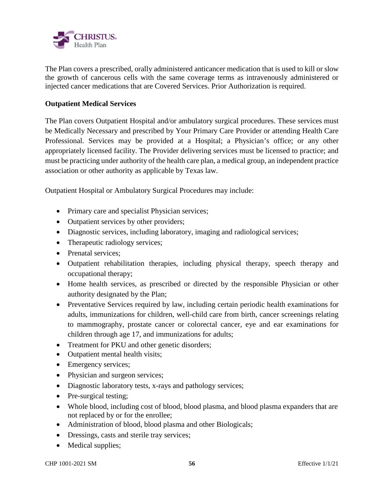

The Plan covers a prescribed, orally administered anticancer medication that is used to kill or slow the growth of cancerous cells with the same coverage terms as intravenously administered or injected cancer medications that are Covered Services. Prior Authorization is required.

### **Outpatient Medical Services**

The Plan covers Outpatient Hospital and/or ambulatory surgical procedures. These services must be Medically Necessary and prescribed by Your Primary Care Provider or attending Health Care Professional. Services may be provided at a Hospital; a Physician's office; or any other appropriately licensed facility. The Provider delivering services must be licensed to practice; and must be practicing under authority of the health care plan, a medical group, an independent practice association or other authority as applicable by Texas law.

Outpatient Hospital or Ambulatory Surgical Procedures may include:

- Primary care and specialist Physician services;
- Outpatient services by other providers;
- Diagnostic services, including laboratory, imaging and radiological services;
- Therapeutic radiology services;
- Prenatal services:
- Outpatient rehabilitation therapies, including physical therapy, speech therapy and occupational therapy;
- Home health services, as prescribed or directed by the responsible Physician or other authority designated by the Plan;
- Preventative Services required by law, including certain periodic health examinations for adults, immunizations for children, well-child care from birth, cancer screenings relating to mammography, prostate cancer or colorectal cancer, eye and ear examinations for children through age 17, and immunizations for adults;
- Treatment for PKU and other genetic disorders;
- Outpatient mental health visits;
- Emergency services;
- Physician and surgeon services;
- Diagnostic laboratory tests, x-rays and pathology services;
- Pre-surgical testing;
- Whole blood, including cost of blood, blood plasma, and blood plasma expanders that are not replaced by or for the enrollee;
- Administration of blood, blood plasma and other Biologicals;
- Dressings, casts and sterile tray services;
- Medical supplies;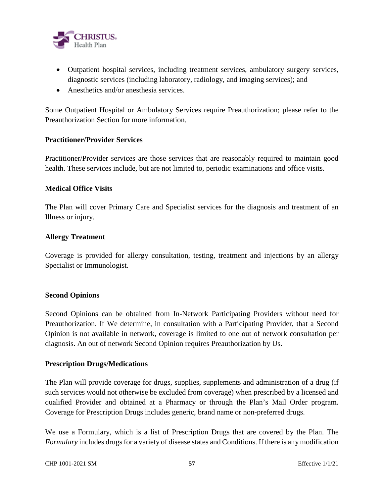

- Outpatient hospital services, including treatment services, ambulatory surgery services, diagnostic services (including laboratory, radiology, and imaging services); and
- Anesthetics and/or anesthesia services.

Some Outpatient Hospital or Ambulatory Services require Preauthorization; please refer to the Preauthorization Section for more information.

### **Practitioner/Provider Services**

Practitioner/Provider services are those services that are reasonably required to maintain good health. These services include, but are not limited to, periodic examinations and office visits.

### **Medical Office Visits**

The Plan will cover Primary Care and Specialist services for the diagnosis and treatment of an Illness or injury.

#### **Allergy Treatment**

Coverage is provided for allergy consultation, testing, treatment and injections by an allergy Specialist or Immunologist.

#### **Second Opinions**

Second Opinions can be obtained from In-Network Participating Providers without need for Preauthorization. If We determine, in consultation with a Participating Provider, that a Second Opinion is not available in network, coverage is limited to one out of network consultation per diagnosis. An out of network Second Opinion requires Preauthorization by Us.

#### **Prescription Drugs/Medications**

The Plan will provide coverage for drugs, supplies, supplements and administration of a drug (if such services would not otherwise be excluded from coverage) when prescribed by a licensed and qualified Provider and obtained at a Pharmacy or through the Plan's Mail Order program. Coverage for Prescription Drugs includes generic, brand name or non-preferred drugs.

We use a Formulary, which is a list of Prescription Drugs that are covered by the Plan. The *Formulary* includes drugs for a variety of disease states and Conditions. If there is any modification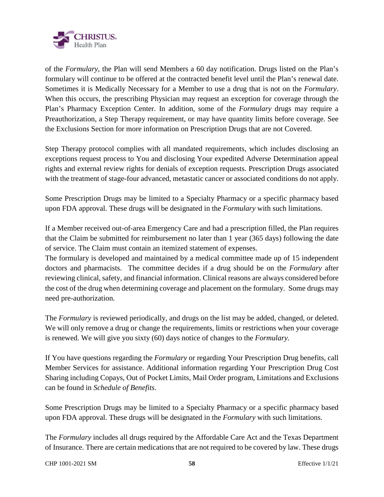

of the *Formulary*, the Plan will send Members a 60 day notification. Drugs listed on the Plan's formulary will continue to be offered at the contracted benefit level until the Plan's renewal date. Sometimes it is Medically Necessary for a Member to use a drug that is not on the *Formulary*. When this occurs, the prescribing Physician may request an exception for coverage through the Plan's Pharmacy Exception Center. In addition, some of the *Formulary* drugs may require a Preauthorization, a Step Therapy requirement, or may have quantity limits before coverage. See the Exclusions Section for more information on Prescription Drugs that are not Covered.

Step Therapy protocol complies with all mandated requirements, which includes disclosing an exceptions request process to You and disclosing Your expedited Adverse Determination appeal rights and external review rights for denials of exception requests. Prescription Drugs associated with the treatment of stage-four advanced, metastatic cancer or associated conditions do not apply.

Some Prescription Drugs may be limited to a Specialty Pharmacy or a specific pharmacy based upon FDA approval. These drugs will be designated in the *Formulary* with such limitations.

If a Member received out-of-area Emergency Care and had a prescription filled, the Plan requires that the Claim be submitted for reimbursement no later than 1 year (365 days) following the date of service. The Claim must contain an itemized statement of expenses.

The formulary is developed and maintained by a medical committee made up of 15 independent doctors and pharmacists. The committee decides if a drug should be on the *Formulary* after reviewing clinical, safety, and financial information. Clinical reasons are always considered before the cost of the drug when determining coverage and placement on the formulary. Some drugs may need pre-authorization.

The *Formulary* is reviewed periodically, and drugs on the list may be added, changed, or deleted. We will only remove a drug or change the requirements, limits or restrictions when your coverage is renewed. We will give you sixty (60) days notice of changes to the *Formulary.* 

If You have questions regarding the *Formulary* or regarding Your Prescription Drug benefits, call Member Services for assistance. Additional information regarding Your Prescription Drug Cost Sharing including Copays, Out of Pocket Limits, Mail Order program, Limitations and Exclusions can be found in *Schedule of Benefits*.

Some Prescription Drugs may be limited to a Specialty Pharmacy or a specific pharmacy based upon FDA approval. These drugs will be designated in the *Formulary* with such limitations.

The *Formulary* includes all drugs required by the Affordable Care Act and the Texas Department of Insurance. There are certain medications that are not required to be covered by law. These drugs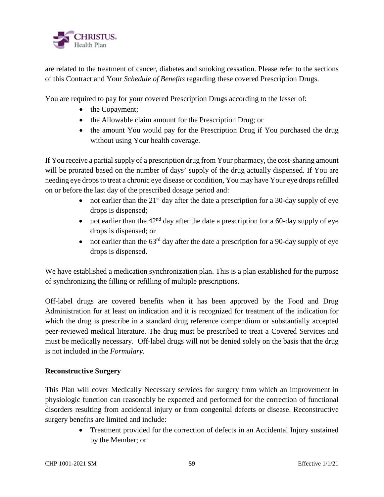

are related to the treatment of cancer, diabetes and smoking cessation. Please refer to the sections of this Contract and Your *Schedule of Benefits* regarding these covered Prescription Drugs.

You are required to pay for your covered Prescription Drugs according to the lesser of:

- the Copayment;
- the Allowable claim amount for the Prescription Drug; or
- the amount You would pay for the Prescription Drug if You purchased the drug without using Your health coverage.

If You receive a partial supply of a prescription drug from Your pharmacy, the cost-sharing amount will be prorated based on the number of days' supply of the drug actually dispensed. If You are needing eye drops to treat a chronic eye disease or condition, You may have Your eye drops refilled on or before the last day of the prescribed dosage period and:

- not earlier than the  $21<sup>st</sup>$  day after the date a prescription for a 30-day supply of eye drops is dispensed;
- not earlier than the  $42<sup>nd</sup>$  day after the date a prescription for a 60-day supply of eye drops is dispensed; or
- not earlier than the  $63<sup>rd</sup>$  day after the date a prescription for a 90-day supply of eye drops is dispensed.

We have established a medication synchronization plan. This is a plan established for the purpose of synchronizing the filling or refilling of multiple prescriptions.

Off-label drugs are covered benefits when it has been approved by the Food and Drug Administration for at least on indication and it is recognized for treatment of the indication for which the drug is prescribe in a standard drug reference compendium or substantially accepted peer-reviewed medical literature. The drug must be prescribed to treat a Covered Services and must be medically necessary. Off-label drugs will not be denied solely on the basis that the drug is not included in the *Formulary*.

# **Reconstructive Surgery**

This Plan will cover Medically Necessary services for surgery from which an improvement in physiologic function can reasonably be expected and performed for the correction of functional disorders resulting from accidental injury or from congenital defects or disease. Reconstructive surgery benefits are limited and include:

> Treatment provided for the correction of defects in an Accidental Injury sustained by the Member; or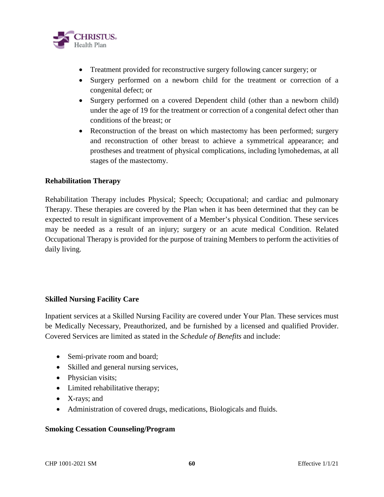

- Treatment provided for reconstructive surgery following cancer surgery; or
- Surgery performed on a newborn child for the treatment or correction of a congenital defect; or
- Surgery performed on a covered Dependent child (other than a newborn child) under the age of 19 for the treatment or correction of a congenital defect other than conditions of the breast; or
- Reconstruction of the breast on which mastectomy has been performed; surgery and reconstruction of other breast to achieve a symmetrical appearance; and prostheses and treatment of physical complications, including lymohedemas, at all stages of the mastectomy.

### **Rehabilitation Therapy**

Rehabilitation Therapy includes Physical; Speech; Occupational; and cardiac and pulmonary Therapy. These therapies are covered by the Plan when it has been determined that they can be expected to result in significant improvement of a Member's physical Condition. These services may be needed as a result of an injury; surgery or an acute medical Condition. Related Occupational Therapy is provided for the purpose of training Members to perform the activities of daily living.

### **Skilled Nursing Facility Care**

Inpatient services at a Skilled Nursing Facility are covered under Your Plan. These services must be Medically Necessary, Preauthorized, and be furnished by a licensed and qualified Provider. Covered Services are limited as stated in the *Schedule of Benefits* and include:

- Semi-private room and board;
- Skilled and general nursing services,
- Physician visits;
- Limited rehabilitative therapy;
- X-rays; and
- Administration of covered drugs, medications, Biologicals and fluids.

### **Smoking Cessation Counseling/Program**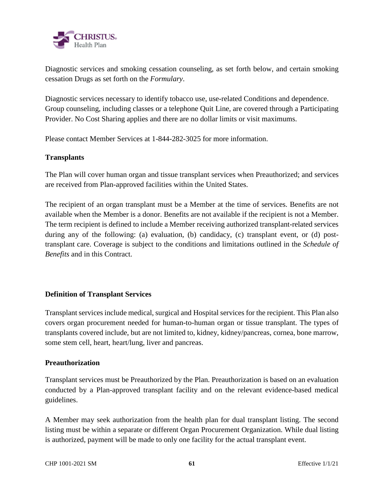

Diagnostic services and smoking cessation counseling, as set forth below, and certain smoking cessation Drugs as set forth on the *Formulary*.

Diagnostic services necessary to identify tobacco use, use-related Conditions and dependence. Group counseling, including classes or a telephone Quit Line, are covered through a Participating Provider. No Cost Sharing applies and there are no dollar limits or visit maximums.

Please contact Member Services at 1-844-282-3025 for more information.

### **Transplants**

The Plan will cover human organ and tissue transplant services when Preauthorized; and services are received from Plan-approved facilities within the United States.

The recipient of an organ transplant must be a Member at the time of services. Benefits are not available when the Member is a donor. Benefits are not available if the recipient is not a Member. The term recipient is defined to include a Member receiving authorized transplant-related services during any of the following: (a) evaluation, (b) candidacy, (c) transplant event, or (d) posttransplant care. Coverage is subject to the conditions and limitations outlined in the *Schedule of Benefits* and in this Contract.

# **Definition of Transplant Services**

Transplant services include medical, surgical and Hospital services for the recipient. This Plan also covers organ procurement needed for human-to-human organ or tissue transplant. The types of transplants covered include, but are not limited to, kidney, kidney/pancreas, cornea, bone marrow, some stem cell, heart, heart/lung, liver and pancreas.

### **Preauthorization**

Transplant services must be Preauthorized by the Plan. Preauthorization is based on an evaluation conducted by a Plan-approved transplant facility and on the relevant evidence-based medical guidelines.

A Member may seek authorization from the health plan for dual transplant listing. The second listing must be within a separate or different Organ Procurement Organization. While dual listing is authorized, payment will be made to only one facility for the actual transplant event.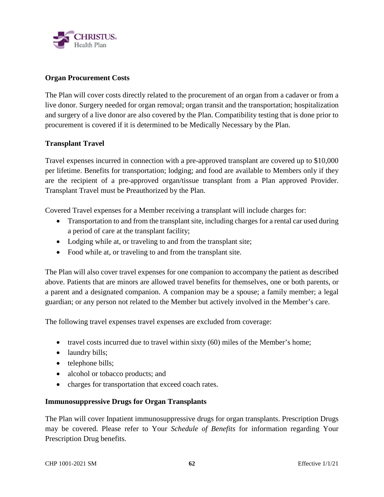

### **Organ Procurement Costs**

The Plan will cover costs directly related to the procurement of an organ from a cadaver or from a live donor. Surgery needed for organ removal; organ transit and the transportation; hospitalization and surgery of a live donor are also covered by the Plan. Compatibility testing that is done prior to procurement is covered if it is determined to be Medically Necessary by the Plan.

### **Transplant Travel**

Travel expenses incurred in connection with a pre-approved transplant are covered up to \$10,000 per lifetime. Benefits for transportation; lodging; and food are available to Members only if they are the recipient of a pre-approved organ/tissue transplant from a Plan approved Provider. Transplant Travel must be Preauthorized by the Plan.

Covered Travel expenses for a Member receiving a transplant will include charges for:

- Transportation to and from the transplant site, including charges for a rental car used during a period of care at the transplant facility;
- Lodging while at, or traveling to and from the transplant site;
- Food while at, or traveling to and from the transplant site.

The Plan will also cover travel expenses for one companion to accompany the patient as described above. Patients that are minors are allowed travel benefits for themselves, one or both parents, or a parent and a designated companion. A companion may be a spouse; a family member; a legal guardian; or any person not related to the Member but actively involved in the Member's care.

The following travel expenses travel expenses are excluded from coverage:

- $\bullet$  travel costs incurred due to travel within sixty (60) miles of the Member's home;
- laundry bills;
- telephone bills;
- alcohol or tobacco products; and
- charges for transportation that exceed coach rates.

### **Immunosuppressive Drugs for Organ Transplants**

The Plan will cover Inpatient immunosuppressive drugs for organ transplants. Prescription Drugs may be covered. Please refer to Your *Schedule of Benefits* for information regarding Your Prescription Drug benefits.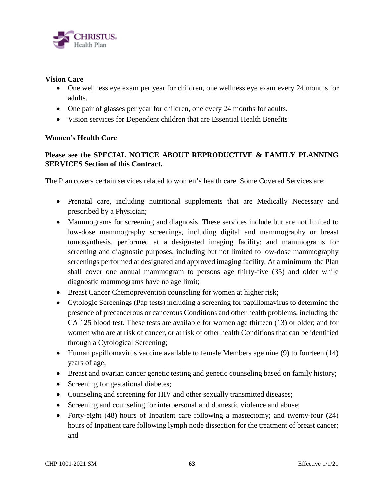

### **Vision Care**

- One wellness eye exam per year for children, one wellness eye exam every 24 months for adults.
- One pair of glasses per year for children, one every 24 months for adults.
- Vision services for Dependent children that are Essential Health Benefits

#### **Women's Health Care**

# **Please see the SPECIAL NOTICE ABOUT REPRODUCTIVE & FAMILY PLANNING SERVICES Section of this Contract.**

The Plan covers certain services related to women's health care. Some Covered Services are:

- Prenatal care, including nutritional supplements that are Medically Necessary and prescribed by a Physician;
- Mammograms for screening and diagnosis. These services include but are not limited to low-dose mammography screenings, including digital and mammography or breast tomosynthesis, performed at a designated imaging facility; and mammograms for screening and diagnostic purposes, including but not limited to low-dose mammography screenings performed at designated and approved imaging facility. At a minimum, the Plan shall cover one annual mammogram to persons age thirty-five (35) and older while diagnostic mammograms have no age limit;
- Breast Cancer Chemoprevention counseling for women at higher risk;
- Cytologic Screenings (Pap tests) including a screening for papillomavirus to determine the presence of precancerous or cancerous Conditions and other health problems, including the CA 125 blood test. These tests are available for women age thirteen (13) or older; and for women who are at risk of cancer, or at risk of other health Conditions that can be identified through a Cytological Screening;
- Human papillomavirus vaccine available to female Members age nine (9) to fourteen (14) years of age;
- Breast and ovarian cancer genetic testing and genetic counseling based on family history;
- Screening for gestational diabetes;
- Counseling and screening for HIV and other sexually transmitted diseases;
- Screening and counseling for interpersonal and domestic violence and abuse;
- Forty-eight (48) hours of Inpatient care following a mastectomy; and twenty-four (24) hours of Inpatient care following lymph node dissection for the treatment of breast cancer; and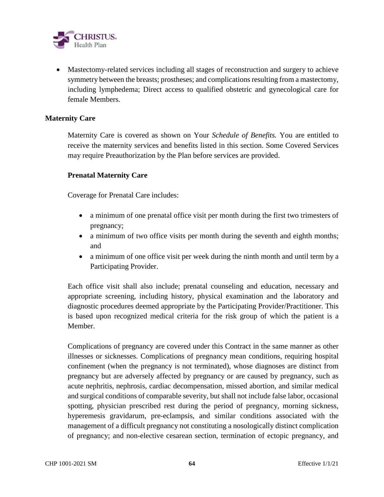

 Mastectomy-related services including all stages of reconstruction and surgery to achieve symmetry between the breasts; prostheses; and complications resulting from a mastectomy, including lymphedema; Direct access to qualified obstetric and gynecological care for female Members.

#### **Maternity Care**

Maternity Care is covered as shown on Your *Schedule of Benefits.* You are entitled to receive the maternity services and benefits listed in this section. Some Covered Services may require Preauthorization by the Plan before services are provided.

### **Prenatal Maternity Care**

Coverage for Prenatal Care includes:

- a minimum of one prenatal office visit per month during the first two trimesters of pregnancy;
- a minimum of two office visits per month during the seventh and eighth months; and
- a minimum of one office visit per week during the ninth month and until term by a Participating Provider.

Each office visit shall also include; prenatal counseling and education, necessary and appropriate screening, including history, physical examination and the laboratory and diagnostic procedures deemed appropriate by the Participating Provider/Practitioner. This is based upon recognized medical criteria for the risk group of which the patient is a Member.

Complications of pregnancy are covered under this Contract in the same manner as other illnesses or sicknesses. Complications of pregnancy mean conditions, requiring hospital confinement (when the pregnancy is not terminated), whose diagnoses are distinct from pregnancy but are adversely affected by pregnancy or are caused by pregnancy, such as acute nephritis, nephrosis, cardiac decompensation, missed abortion, and similar medical and surgical conditions of comparable severity, but shall not include false labor, occasional spotting, physician prescribed rest during the period of pregnancy, morning sickness, hyperemesis gravidarum, pre-eclampsis, and similar conditions associated with the management of a difficult pregnancy not constituting a nosologically distinct complication of pregnancy; and non-elective cesarean section, termination of ectopic pregnancy, and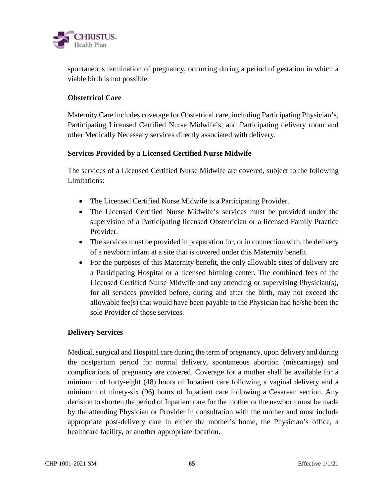

spontaneous termination of pregnancy, occurring during a period of gestation in which a viable birth is not possible.

### **Obstetrical Care**

Maternity Care includes coverage for Obstetrical care, including Participating Physician's, Participating Licensed Certified Nurse Midwife's, and Participating delivery room and other Medically Necessary services directly associated with delivery.

### **Services Provided by a Licensed Certified Nurse Midwife**

The services of a Licensed Certified Nurse Midwife are covered, subject to the following Limitations:

- The Licensed Certified Nurse Midwife is a Participating Provider.
- The Licensed Certified Nurse Midwife's services must be provided under the supervision of a Participating licensed Obstetrician or a licensed Family Practice Provider.
- The services must be provided in preparation for, or in connection with, the delivery of a newborn infant at a site that is covered under this Maternity benefit.
- For the purposes of this Maternity benefit, the only allowable sites of delivery are a Participating Hospital or a licensed birthing center. The combined fees of the Licensed Certified Nurse Midwife and any attending or supervising Physician(s), for all services provided before, during and after the birth, may not exceed the allowable fee(s) that would have been payable to the Physician had he/she been the sole Provider of those services.

# **Delivery Services**

Medical, surgical and Hospital care during the term of pregnancy, upon delivery and during the postpartum period for normal delivery, spontaneous abortion (miscarriage) and complications of pregnancy are covered. Coverage for a mother shall be available for a minimum of forty-eight (48) hours of Inpatient care following a vaginal delivery and a minimum of ninety-six (96) hours of Inpatient care following a Cesarean section. Any decision to shorten the period of Inpatient care for the mother or the newborn must be made by the attending Physician or Provider in consultation with the mother and must include appropriate post-delivery care in either the mother's home, the Physician's office, a healthcare facility, or another appropriate location.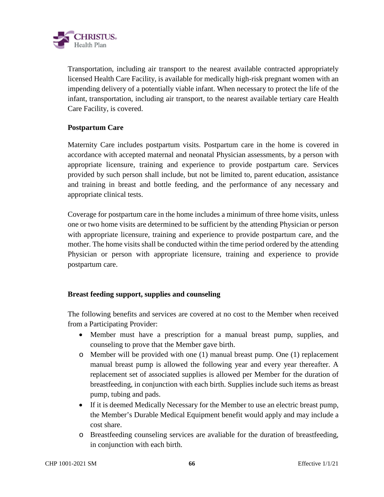

Transportation, including air transport to the nearest available contracted appropriately licensed Health Care Facility, is available for medically high-risk pregnant women with an impending delivery of a potentially viable infant. When necessary to protect the life of the infant, transportation, including air transport, to the nearest available tertiary care Health Care Facility, is covered.

### **Postpartum Care**

Maternity Care includes postpartum visits. Postpartum care in the home is covered in accordance with accepted maternal and neonatal Physician assessments, by a person with appropriate licensure, training and experience to provide postpartum care. Services provided by such person shall include, but not be limited to, parent education, assistance and training in breast and bottle feeding, and the performance of any necessary and appropriate clinical tests.

Coverage for postpartum care in the home includes a minimum of three home visits, unless one or two home visits are determined to be sufficient by the attending Physician or person with appropriate licensure, training and experience to provide postpartum care, and the mother. The home visits shall be conducted within the time period ordered by the attending Physician or person with appropriate licensure, training and experience to provide postpartum care.

### **Breast feeding support, supplies and counseling**

The following benefits and services are covered at no cost to the Member when received from a Participating Provider:

- Member must have a prescription for a manual breast pump, supplies, and counseling to prove that the Member gave birth.
- o Member will be provided with one (1) manual breast pump. One (1) replacement manual breast pump is allowed the following year and every year thereafter. A replacement set of associated supplies is allowed per Member for the duration of breastfeeding, in conjunction with each birth. Supplies include such items as breast pump, tubing and pads.
- If it is deemed Medically Necessary for the Member to use an electric breast pump, the Member's Durable Medical Equipment benefit would apply and may include a cost share.
- o Breastfeeding counseling services are avaliable for the duration of breastfeeding, in conjunction with each birth.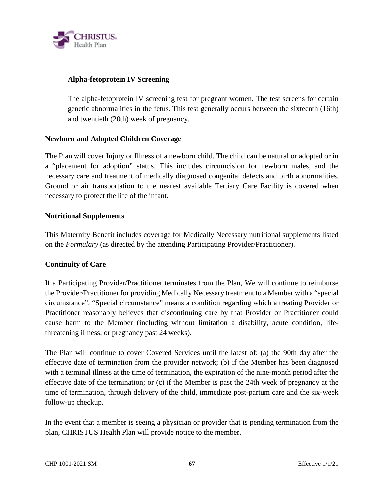

### **Alpha-fetoprotein IV Screening**

The alpha-fetoprotein IV screening test for pregnant women. The test screens for certain genetic abnormalities in the fetus. This test generally occurs between the sixteenth (16th) and twentieth (20th) week of pregnancy.

### **Newborn and Adopted Children Coverage**

The Plan will cover Injury or Illness of a newborn child. The child can be natural or adopted or in a "placement for adoption" status. This includes circumcision for newborn males, and the necessary care and treatment of medically diagnosed congenital defects and birth abnormalities. Ground or air transportation to the nearest available Tertiary Care Facility is covered when necessary to protect the life of the infant.

### **Nutritional Supplements**

This Maternity Benefit includes coverage for Medically Necessary nutritional supplements listed on the *Formulary* (as directed by the attending Participating Provider/Practitioner).

### **Continuity of Care**

If a Participating Provider/Practitioner terminates from the Plan, We will continue to reimburse the Provider/Practitioner for providing Medically Necessary treatment to a Member with a "special circumstance". "Special circumstance" means a condition regarding which a treating Provider or Practitioner reasonably believes that discontinuing care by that Provider or Practitioner could cause harm to the Member (including without limitation a disability, acute condition, lifethreatening illness, or pregnancy past 24 weeks).

The Plan will continue to cover Covered Services until the latest of: (a) the 90th day after the effective date of termination from the provider network; (b) if the Member has been diagnosed with a terminal illness at the time of termination, the expiration of the nine-month period after the effective date of the termination; or (c) if the Member is past the 24th week of pregnancy at the time of termination, through delivery of the child, immediate post-partum care and the six-week follow-up checkup.

In the event that a member is seeing a physician or provider that is pending termination from the plan, CHRISTUS Health Plan will provide notice to the member.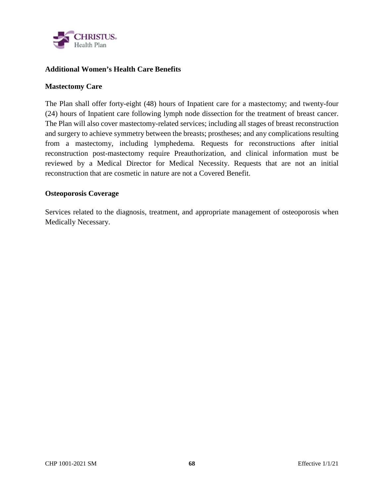

### **Additional Women's Health Care Benefits**

#### **Mastectomy Care**

The Plan shall offer forty-eight (48) hours of Inpatient care for a mastectomy; and twenty-four (24) hours of Inpatient care following lymph node dissection for the treatment of breast cancer. The Plan will also cover mastectomy-related services; including all stages of breast reconstruction and surgery to achieve symmetry between the breasts; prostheses; and any complications resulting from a mastectomy, including lymphedema. Requests for reconstructions after initial reconstruction post-mastectomy require Preauthorization, and clinical information must be reviewed by a Medical Director for Medical Necessity. Requests that are not an initial reconstruction that are cosmetic in nature are not a Covered Benefit.

#### **Osteoporosis Coverage**

Services related to the diagnosis, treatment, and appropriate management of osteoporosis when Medically Necessary.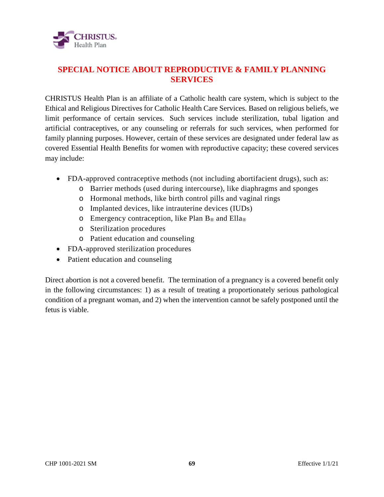

# **SPECIAL NOTICE ABOUT REPRODUCTIVE & FAMILY PLANNING SERVICES**

CHRISTUS Health Plan is an affiliate of a Catholic health care system, which is subject to the Ethical and Religious Directives for Catholic Health Care Services. Based on religious beliefs, we limit performance of certain services. Such services include sterilization, tubal ligation and artificial contraceptives, or any counseling or referrals for such services, when performed for family planning purposes. However, certain of these services are designated under federal law as covered Essential Health Benefits for women with reproductive capacity; these covered services may include:

- FDA-approved contraceptive methods (not including abortifacient drugs), such as:
	- o Barrier methods (used during intercourse), like diaphragms and sponges
	- o Hormonal methods, like birth control pills and vaginal rings
	- o Implanted devices, like intrauterine devices (IUDs)
	- $\circ$  Emergency contraception, like Plan B<sup>®</sup> and Ella<sup>®</sup>
	- o Sterilization procedures
	- o Patient education and counseling
- FDA-approved sterilization procedures
- Patient education and counseling

Direct abortion is not a covered benefit. The termination of a pregnancy is a covered benefit only in the following circumstances: 1) as a result of treating a proportionately serious pathological condition of a pregnant woman, and 2) when the intervention cannot be safely postponed until the fetus is viable.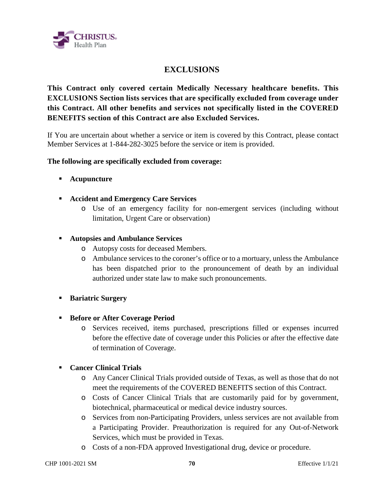

# **EXCLUSIONS**

**This Contract only covered certain Medically Necessary healthcare benefits. This EXCLUSIONS Section lists services that are specifically excluded from coverage under this Contract. All other benefits and services not specifically listed in the COVERED BENEFITS section of this Contract are also Excluded Services.** 

If You are uncertain about whether a service or item is covered by this Contract, please contact Member Services at 1-844-282-3025 before the service or item is provided.

### **The following are specifically excluded from coverage:**

- **Acupuncture**
- **Accident and Emergency Care Services**
	- o Use of an emergency facility for non-emergent services (including without limitation, Urgent Care or observation)
- **Autopsies and Ambulance Services** 
	- o Autopsy costs for deceased Members.
	- o Ambulance services to the coroner's office or to a mortuary, unless the Ambulance has been dispatched prior to the pronouncement of death by an individual authorized under state law to make such pronouncements.
- **Bariatric Surgery**
- **Before or After Coverage Period** 
	- o Services received, items purchased, prescriptions filled or expenses incurred before the effective date of coverage under this Policies or after the effective date of termination of Coverage.

### **Cancer Clinical Trials**

- o Any Cancer Clinical Trials provided outside of Texas, as well as those that do not meet the requirements of the COVERED BENEFITS section of this Contract.
- o Costs of Cancer Clinical Trials that are customarily paid for by government, biotechnical, pharmaceutical or medical device industry sources.
- o Services from non-Participating Providers, unless services are not available from a Participating Provider. Preauthorization is required for any Out-of-Network Services, which must be provided in Texas.
- o Costs of a non-FDA approved Investigational drug, device or procedure.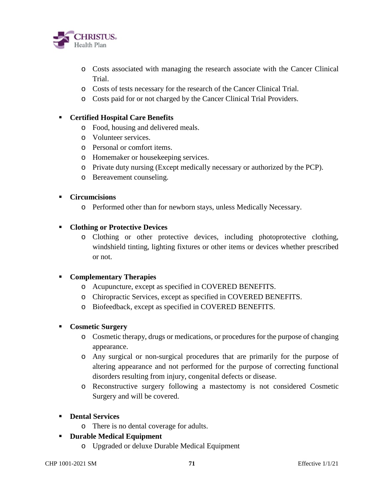

- o Costs associated with managing the research associate with the Cancer Clinical Trial.
- o Costs of tests necessary for the research of the Cancer Clinical Trial.
- o Costs paid for or not charged by the Cancer Clinical Trial Providers.

### **Certified Hospital Care Benefits**

- o Food, housing and delivered meals.
- o Volunteer services.
- o Personal or comfort items.
- o Homemaker or housekeeping services.
- o Private duty nursing (Except medically necessary or authorized by the PCP).
- o Bereavement counseling.

### **Circumcisions**

o Performed other than for newborn stays, unless Medically Necessary.

### **Clothing or Protective Devices**

o Clothing or other protective devices, including photoprotective clothing, windshield tinting, lighting fixtures or other items or devices whether prescribed or not.

# **Complementary Therapies**

- o Acupuncture, except as specified in COVERED BENEFITS.
- o Chiropractic Services, except as specified in COVERED BENEFITS.
- o Biofeedback, except as specified in COVERED BENEFITS.

### **Cosmetic Surgery**

- o Cosmetic therapy, drugs or medications, or procedures for the purpose of changing appearance.
- o Any surgical or non-surgical procedures that are primarily for the purpose of altering appearance and not performed for the purpose of correcting functional disorders resulting from injury, congenital defects or disease.
- o Reconstructive surgery following a mastectomy is not considered Cosmetic Surgery and will be covered.
- **Dental Services** 
	- o There is no dental coverage for adults.
- **Durable Medical Equipment** 
	- o Upgraded or deluxe Durable Medical Equipment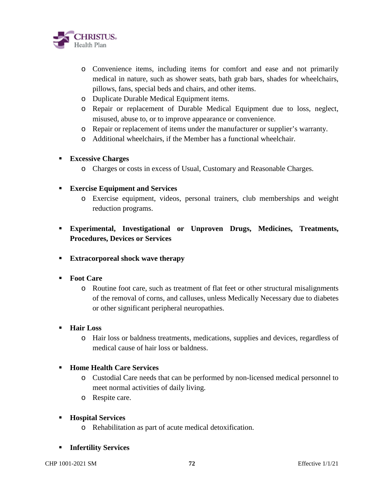

- o Convenience items, including items for comfort and ease and not primarily medical in nature, such as shower seats, bath grab bars, shades for wheelchairs, pillows, fans, special beds and chairs, and other items.
- o Duplicate Durable Medical Equipment items.
- o Repair or replacement of Durable Medical Equipment due to loss, neglect, misused, abuse to, or to improve appearance or convenience.
- o Repair or replacement of items under the manufacturer or supplier's warranty.
- o Additional wheelchairs, if the Member has a functional wheelchair.

### **Excessive Charges**

o Charges or costs in excess of Usual, Customary and Reasonable Charges.

### **Exercise Equipment and Services**

- o Exercise equipment, videos, personal trainers, club memberships and weight reduction programs.
- **Experimental, Investigational or Unproven Drugs, Medicines, Treatments, Procedures, Devices or Services**
- **Extracorporeal shock wave therapy**
- **Foot Care** 
	- o Routine foot care, such as treatment of flat feet or other structural misalignments of the removal of corns, and calluses, unless Medically Necessary due to diabetes or other significant peripheral neuropathies.
- **Hair Loss** 
	- o Hair loss or baldness treatments, medications, supplies and devices, regardless of medical cause of hair loss or baldness.

### **Home Health Care Services**

- o Custodial Care needs that can be performed by non-licensed medical personnel to meet normal activities of daily living.
- o Respite care.
- **Hospital Services** 
	- o Rehabilitation as part of acute medical detoxification.
- **Infertility Services**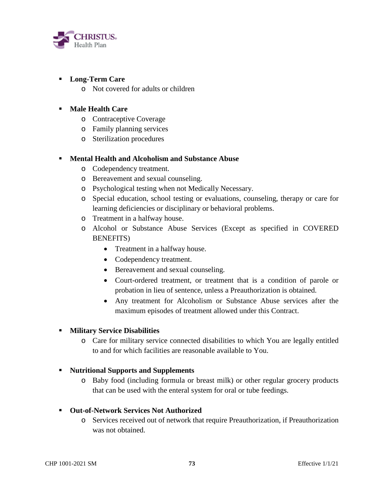

## **Long-Term Care**

o Not covered for adults or children

## **Male Health Care**

- o Contraceptive Coverage
- o Family planning services
- o Sterilization procedures

### **Mental Health and Alcoholism and Substance Abuse**

- o Codependency treatment.
- o Bereavement and sexual counseling.
- o Psychological testing when not Medically Necessary.
- o Special education, school testing or evaluations, counseling, therapy or care for learning deficiencies or disciplinary or behavioral problems.
- o Treatment in a halfway house.
- o Alcohol or Substance Abuse Services (Except as specified in COVERED BENEFITS)
	- Treatment in a halfway house.
	- Codependency treatment.
	- Bereavement and sexual counseling.
	- Court-ordered treatment, or treatment that is a condition of parole or probation in lieu of sentence, unless a Preauthorization is obtained.
	- Any treatment for Alcoholism or Substance Abuse services after the maximum episodes of treatment allowed under this Contract.

### **Military Service Disabilities**

o Care for military service connected disabilities to which You are legally entitled to and for which facilities are reasonable available to You.

### **Nutritional Supports and Supplements**

o Baby food (including formula or breast milk) or other regular grocery products that can be used with the enteral system for oral or tube feedings.

### **Out-of-Network Services Not Authorized**

o Services received out of network that require Preauthorization, if Preauthorization was not obtained.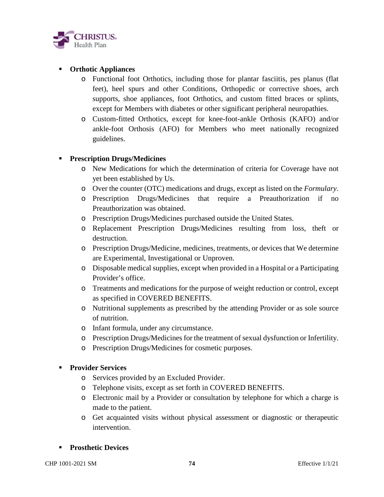

## **Orthotic Appliances**

- o Functional foot Orthotics, including those for plantar fasciitis, pes planus (flat feet), heel spurs and other Conditions, Orthopedic or corrective shoes, arch supports, shoe appliances, foot Orthotics, and custom fitted braces or splints, except for Members with diabetes or other significant peripheral neuropathies.
- o Custom-fitted Orthotics, except for knee-foot-ankle Orthosis (KAFO) and/or ankle-foot Orthosis (AFO) for Members who meet nationally recognized guidelines.

## **Prescription Drugs/Medicines**

- o New Medications for which the determination of criteria for Coverage have not yet been established by Us.
- o Over the counter (OTC) medications and drugs, except as listed on the *Formulary*.
- o Prescription Drugs/Medicines that require a Preauthorization if no Preauthorization was obtained.
- o Prescription Drugs/Medicines purchased outside the United States.
- o Replacement Prescription Drugs/Medicines resulting from loss, theft or destruction.
- o Prescription Drugs/Medicine, medicines, treatments, or devices that We determine are Experimental, Investigational or Unproven.
- o Disposable medical supplies, except when provided in a Hospital or a Participating Provider's office.
- o Treatments and medications for the purpose of weight reduction or control, except as specified in COVERED BENEFITS.
- o Nutritional supplements as prescribed by the attending Provider or as sole source of nutrition.
- o Infant formula, under any circumstance.
- o Prescription Drugs/Medicines for the treatment of sexual dysfunction or Infertility.
- o Prescription Drugs/Medicines for cosmetic purposes.

### **Provider Services**

- o Services provided by an Excluded Provider.
- o Telephone visits, except as set forth in COVERED BENEFITS.
- o Electronic mail by a Provider or consultation by telephone for which a charge is made to the patient.
- o Get acquainted visits without physical assessment or diagnostic or therapeutic intervention.

### **Prosthetic Devices**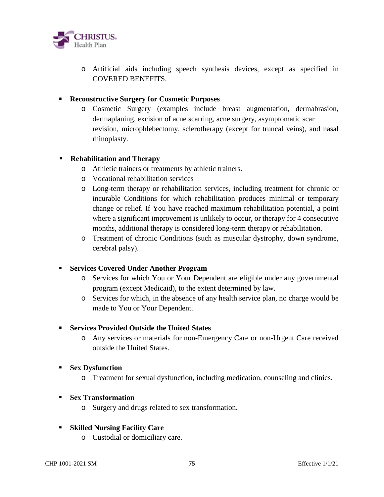

o Artificial aids including speech synthesis devices, except as specified in COVERED BENEFITS.

## **Reconstructive Surgery for Cosmetic Purposes**

o Cosmetic Surgery (examples include breast augmentation, dermabrasion, dermaplaning, excision of acne scarring, acne surgery, asymptomatic scar revision, microphlebectomy, sclerotherapy (except for truncal veins), and nasal rhinoplasty.

## **Rehabilitation and Therapy**

- o Athletic trainers or treatments by athletic trainers.
- o Vocational rehabilitation services
- o Long-term therapy or rehabilitation services, including treatment for chronic or incurable Conditions for which rehabilitation produces minimal or temporary change or relief. If You have reached maximum rehabilitation potential, a point where a significant improvement is unlikely to occur, or therapy for 4 consecutive months, additional therapy is considered long-term therapy or rehabilitation.
- o Treatment of chronic Conditions (such as muscular dystrophy, down syndrome, cerebral palsy).

### **Services Covered Under Another Program**

- o Services for which You or Your Dependent are eligible under any governmental program (except Medicaid), to the extent determined by law.
- o Services for which, in the absence of any health service plan, no charge would be made to You or Your Dependent.

### **Services Provided Outside the United States**

o Any services or materials for non-Emergency Care or non-Urgent Care received outside the United States.

### **Sex Dysfunction**

o Treatment for sexual dysfunction, including medication, counseling and clinics.

### **Sex Transformation**

o Surgery and drugs related to sex transformation.

## **Skilled Nursing Facility Care**

o Custodial or domiciliary care.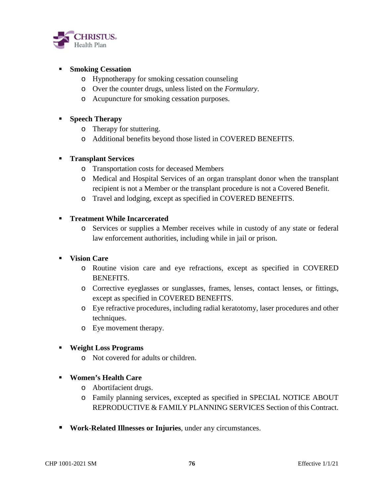

## **Smoking Cessation**

- o Hypnotherapy for smoking cessation counseling
- o Over the counter drugs, unless listed on the *Formulary*.
- o Acupuncture for smoking cessation purposes.

## **Speech Therapy**

- o Therapy for stuttering.
- o Additional benefits beyond those listed in COVERED BENEFITS.

### **Transplant Services**

- o Transportation costs for deceased Members
- o Medical and Hospital Services of an organ transplant donor when the transplant recipient is not a Member or the transplant procedure is not a Covered Benefit.
- o Travel and lodging, except as specified in COVERED BENEFITS.

## **Treatment While Incarcerated**

o Services or supplies a Member receives while in custody of any state or federal law enforcement authorities, including while in jail or prison.

## **Vision Care**

- o Routine vision care and eye refractions, except as specified in COVERED BENEFITS.
- o Corrective eyeglasses or sunglasses, frames, lenses, contact lenses, or fittings, except as specified in COVERED BENEFITS.
- o Eye refractive procedures, including radial keratotomy, laser procedures and other techniques.
- o Eye movement therapy.

### **Weight Loss Programs**

- o Not covered for adults or children.
- **Women's Health Care** 
	- o Abortifacient drugs.
	- o Family planning services, excepted as specified in SPECIAL NOTICE ABOUT REPRODUCTIVE & FAMILY PLANNING SERVICES Section of this Contract.
- **Work-Related Illnesses or Injuries**, under any circumstances.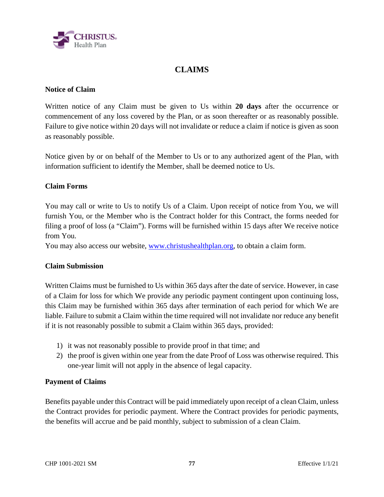

# **CLAIMS**

## **Notice of Claim**

Written notice of any Claim must be given to Us within **20 days** after the occurrence or commencement of any loss covered by the Plan, or as soon thereafter or as reasonably possible. Failure to give notice within 20 days will not invalidate or reduce a claim if notice is given as soon as reasonably possible.

Notice given by or on behalf of the Member to Us or to any authorized agent of the Plan, with information sufficient to identify the Member, shall be deemed notice to Us.

## **Claim Forms**

You may call or write to Us to notify Us of a Claim. Upon receipt of notice from You, we will furnish You, or the Member who is the Contract holder for this Contract, the forms needed for filing a proof of loss (a "Claim"). Forms will be furnished within 15 days after We receive notice from You.

You may also access our website, www.christushealthplan.org, to obtain a claim form.

### **Claim Submission**

Written Claims must be furnished to Us within 365 days after the date of service. However, in case of a Claim for loss for which We provide any periodic payment contingent upon continuing loss, this Claim may be furnished within 365 days after termination of each period for which We are liable. Failure to submit a Claim within the time required will not invalidate nor reduce any benefit if it is not reasonably possible to submit a Claim within 365 days, provided:

- 1) it was not reasonably possible to provide proof in that time; and
- 2) the proof is given within one year from the date Proof of Loss was otherwise required. This one-year limit will not apply in the absence of legal capacity.

### **Payment of Claims**

Benefits payable under this Contract will be paid immediately upon receipt of a clean Claim, unless the Contract provides for periodic payment. Where the Contract provides for periodic payments, the benefits will accrue and be paid monthly, subject to submission of a clean Claim.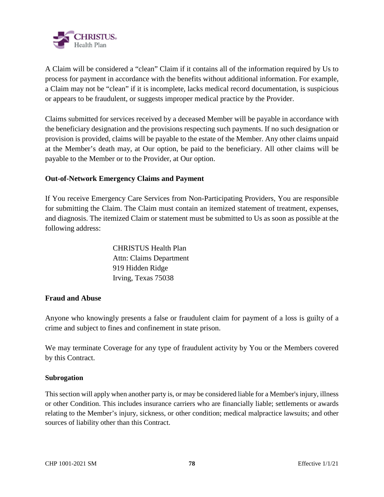

A Claim will be considered a "clean" Claim if it contains all of the information required by Us to process for payment in accordance with the benefits without additional information. For example, a Claim may not be "clean" if it is incomplete, lacks medical record documentation, is suspicious or appears to be fraudulent, or suggests improper medical practice by the Provider.

Claims submitted for services received by a deceased Member will be payable in accordance with the beneficiary designation and the provisions respecting such payments. If no such designation or provision is provided, claims will be payable to the estate of the Member. Any other claims unpaid at the Member's death may, at Our option, be paid to the beneficiary. All other claims will be payable to the Member or to the Provider, at Our option.

## **Out-of-Network Emergency Claims and Payment**

If You receive Emergency Care Services from Non-Participating Providers, You are responsible for submitting the Claim. The Claim must contain an itemized statement of treatment, expenses, and diagnosis. The itemized Claim or statement must be submitted to Us as soon as possible at the following address:

> CHRISTUS Health Plan Attn: Claims Department 919 Hidden Ridge Irving, Texas 75038

### **Fraud and Abuse**

Anyone who knowingly presents a false or fraudulent claim for payment of a loss is guilty of a crime and subject to fines and confinement in state prison.

We may terminate Coverage for any type of fraudulent activity by You or the Members covered by this Contract.

### **Subrogation**

This section will apply when another party is, or may be considered liable for a Member's injury, illness or other Condition. This includes insurance carriers who are financially liable; settlements or awards relating to the Member's injury, sickness, or other condition; medical malpractice lawsuits; and other sources of liability other than this Contract.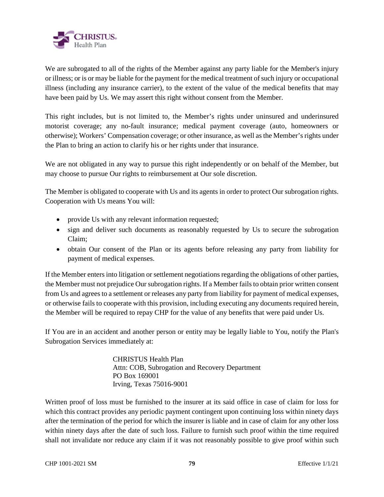

We are subrogated to all of the rights of the Member against any party liable for the Member's injury or illness; or is or may be liable for the payment for the medical treatment of such injury or occupational illness (including any insurance carrier), to the extent of the value of the medical benefits that may have been paid by Us. We may assert this right without consent from the Member.

This right includes, but is not limited to, the Member's rights under uninsured and underinsured motorist coverage; any no-fault insurance; medical payment coverage (auto, homeowners or otherwise); Workers' Compensation coverage; or other insurance, as well as the Member's rights under the Plan to bring an action to clarify his or her rights under that insurance.

We are not obligated in any way to pursue this right independently or on behalf of the Member, but may choose to pursue Our rights to reimbursement at Our sole discretion.

The Member is obligated to cooperate with Us and its agents in order to protect Our subrogation rights. Cooperation with Us means You will:

- provide Us with any relevant information requested;
- sign and deliver such documents as reasonably requested by Us to secure the subrogation Claim;
- obtain Our consent of the Plan or its agents before releasing any party from liability for payment of medical expenses.

If the Member enters into litigation or settlement negotiations regarding the obligations of other parties, the Member must not prejudice Our subrogation rights. If a Member fails to obtain prior written consent from Us and agrees to a settlement or releases any party from liability for payment of medical expenses, or otherwise fails to cooperate with this provision, including executing any documents required herein, the Member will be required to repay CHP for the value of any benefits that were paid under Us.

If You are in an accident and another person or entity may be legally liable to You, notify the Plan's Subrogation Services immediately at:

> CHRISTUS Health Plan Attn: COB, Subrogation and Recovery Department PO Box 169001 Irving, Texas 75016-9001

Written proof of loss must be furnished to the insurer at its said office in case of claim for loss for which this contract provides any periodic payment contingent upon continuing loss within ninety days after the termination of the period for which the insurer is liable and in case of claim for any other loss within ninety days after the date of such loss. Failure to furnish such proof within the time required shall not invalidate nor reduce any claim if it was not reasonably possible to give proof within such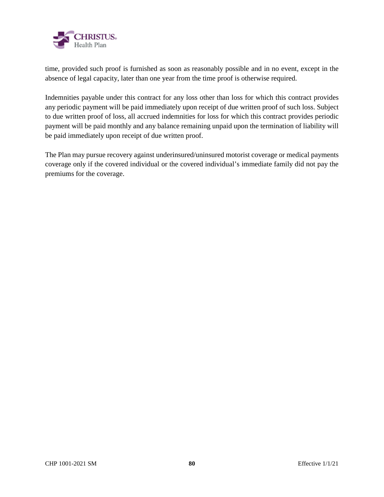

time, provided such proof is furnished as soon as reasonably possible and in no event, except in the absence of legal capacity, later than one year from the time proof is otherwise required.

Indemnities payable under this contract for any loss other than loss for which this contract provides any periodic payment will be paid immediately upon receipt of due written proof of such loss. Subject to due written proof of loss, all accrued indemnities for loss for which this contract provides periodic payment will be paid monthly and any balance remaining unpaid upon the termination of liability will be paid immediately upon receipt of due written proof.

The Plan may pursue recovery against underinsured/uninsured motorist coverage or medical payments coverage only if the covered individual or the covered individual's immediate family did not pay the premiums for the coverage.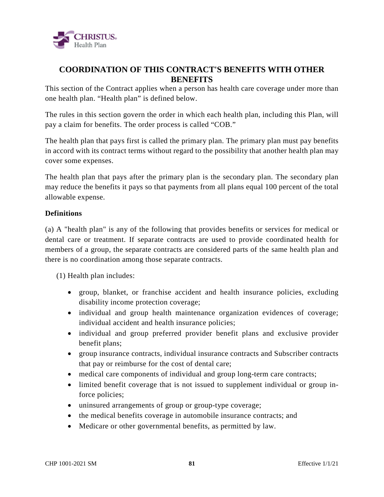

# **COORDINATION OF THIS CONTRACT'S BENEFITS WITH OTHER BENEFITS**

This section of the Contract applies when a person has health care coverage under more than one health plan. "Health plan" is defined below.

The rules in this section govern the order in which each health plan, including this Plan, will pay a claim for benefits. The order process is called "COB."

The health plan that pays first is called the primary plan. The primary plan must pay benefits in accord with its contract terms without regard to the possibility that another health plan may cover some expenses.

The health plan that pays after the primary plan is the secondary plan. The secondary plan may reduce the benefits it pays so that payments from all plans equal 100 percent of the total allowable expense.

## **Definitions**

(a) A "health plan" is any of the following that provides benefits or services for medical or dental care or treatment. If separate contracts are used to provide coordinated health for members of a group, the separate contracts are considered parts of the same health plan and there is no coordination among those separate contracts.

(1) Health plan includes:

- group, blanket, or franchise accident and health insurance policies, excluding disability income protection coverage;
- individual and group health maintenance organization evidences of coverage; individual accident and health insurance policies;
- individual and group preferred provider benefit plans and exclusive provider benefit plans;
- group insurance contracts, individual insurance contracts and Subscriber contracts that pay or reimburse for the cost of dental care;
- medical care components of individual and group long-term care contracts;
- limited benefit coverage that is not issued to supplement individual or group inforce policies;
- uninsured arrangements of group or group-type coverage;
- the medical benefits coverage in automobile insurance contracts; and
- Medicare or other governmental benefits, as permitted by law.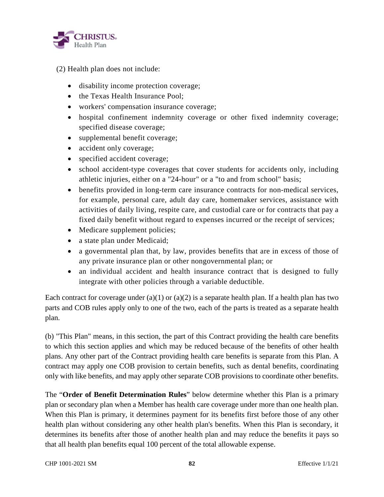

- (2) Health plan does not include:
	- disability income protection coverage;
	- the Texas Health Insurance Pool;
	- workers' compensation insurance coverage;
	- hospital confinement indemnity coverage or other fixed indemnity coverage; specified disease coverage;
	- supplemental benefit coverage;
	- accident only coverage;
	- specified accident coverage;
	- school accident-type coverages that cover students for accidents only, including athletic injuries, either on a "24-hour" or a "to and from school" basis;
	- benefits provided in long-term care insurance contracts for non-medical services, for example, personal care, adult day care, homemaker services, assistance with activities of daily living, respite care, and custodial care or for contracts that pay a fixed daily benefit without regard to expenses incurred or the receipt of services;
	- Medicare supplement policies;
	- a state plan under Medicaid;
	- a governmental plan that, by law, provides benefits that are in excess of those of any private insurance plan or other nongovernmental plan; or
	- an individual accident and health insurance contract that is designed to fully integrate with other policies through a variable deductible.

Each contract for coverage under (a)(1) or (a)(2) is a separate health plan. If a health plan has two parts and COB rules apply only to one of the two, each of the parts is treated as a separate health plan.

(b) "This Plan" means, in this section, the part of this Contract providing the health care benefits to which this section applies and which may be reduced because of the benefits of other health plans. Any other part of the Contract providing health care benefits is separate from this Plan. A contract may apply one COB provision to certain benefits, such as dental benefits, coordinating only with like benefits, and may apply other separate COB provisions to coordinate other benefits.

The "**Order of Benefit Determination Rules**" below determine whether this Plan is a primary plan or secondary plan when a Member has health care coverage under more than one health plan. When this Plan is primary, it determines payment for its benefits first before those of any other health plan without considering any other health plan's benefits. When this Plan is secondary, it determines its benefits after those of another health plan and may reduce the benefits it pays so that all health plan benefits equal 100 percent of the total allowable expense.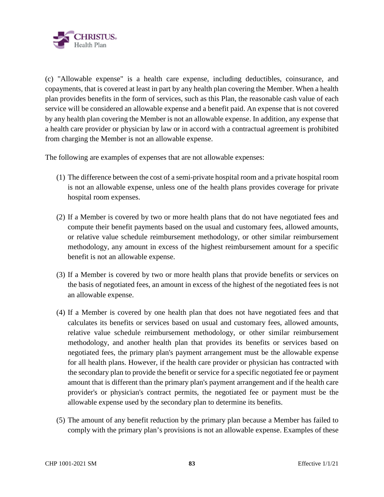

(c) "Allowable expense" is a health care expense, including deductibles, coinsurance, and copayments, that is covered at least in part by any health plan covering the Member. When a health plan provides benefits in the form of services, such as this Plan, the reasonable cash value of each service will be considered an allowable expense and a benefit paid. An expense that is not covered by any health plan covering the Member is not an allowable expense. In addition, any expense that a health care provider or physician by law or in accord with a contractual agreement is prohibited from charging the Member is not an allowable expense.

The following are examples of expenses that are not allowable expenses:

- (1) The difference between the cost of a semi-private hospital room and a private hospital room is not an allowable expense, unless one of the health plans provides coverage for private hospital room expenses.
- (2) If a Member is covered by two or more health plans that do not have negotiated fees and compute their benefit payments based on the usual and customary fees, allowed amounts, or relative value schedule reimbursement methodology, or other similar reimbursement methodology, any amount in excess of the highest reimbursement amount for a specific benefit is not an allowable expense.
- (3) If a Member is covered by two or more health plans that provide benefits or services on the basis of negotiated fees, an amount in excess of the highest of the negotiated fees is not an allowable expense.
- (4) If a Member is covered by one health plan that does not have negotiated fees and that calculates its benefits or services based on usual and customary fees, allowed amounts, relative value schedule reimbursement methodology, or other similar reimbursement methodology, and another health plan that provides its benefits or services based on negotiated fees, the primary plan's payment arrangement must be the allowable expense for all health plans. However, if the health care provider or physician has contracted with the secondary plan to provide the benefit or service for a specific negotiated fee or payment amount that is different than the primary plan's payment arrangement and if the health care provider's or physician's contract permits, the negotiated fee or payment must be the allowable expense used by the secondary plan to determine its benefits.
- (5) The amount of any benefit reduction by the primary plan because a Member has failed to comply with the primary plan's provisions is not an allowable expense. Examples of these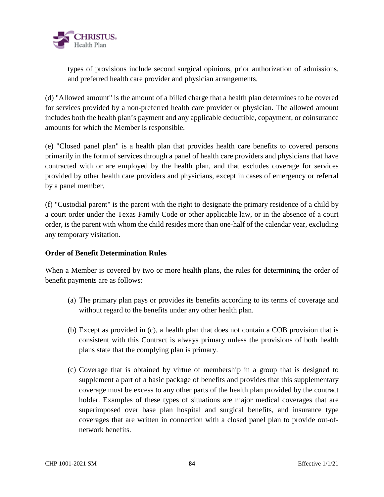

types of provisions include second surgical opinions, prior authorization of admissions, and preferred health care provider and physician arrangements.

(d) "Allowed amount" is the amount of a billed charge that a health plan determines to be covered for services provided by a non-preferred health care provider or physician. The allowed amount includes both the health plan's payment and any applicable deductible, copayment, or coinsurance amounts for which the Member is responsible.

(e) "Closed panel plan" is a health plan that provides health care benefits to covered persons primarily in the form of services through a panel of health care providers and physicians that have contracted with or are employed by the health plan, and that excludes coverage for services provided by other health care providers and physicians, except in cases of emergency or referral by a panel member.

(f) "Custodial parent" is the parent with the right to designate the primary residence of a child by a court order under the Texas Family Code or other applicable law, or in the absence of a court order, is the parent with whom the child resides more than one-half of the calendar year, excluding any temporary visitation.

### **Order of Benefit Determination Rules**

When a Member is covered by two or more health plans, the rules for determining the order of benefit payments are as follows:

- (a) The primary plan pays or provides its benefits according to its terms of coverage and without regard to the benefits under any other health plan.
- (b) Except as provided in (c), a health plan that does not contain a COB provision that is consistent with this Contract is always primary unless the provisions of both health plans state that the complying plan is primary.
- (c) Coverage that is obtained by virtue of membership in a group that is designed to supplement a part of a basic package of benefits and provides that this supplementary coverage must be excess to any other parts of the health plan provided by the contract holder. Examples of these types of situations are major medical coverages that are superimposed over base plan hospital and surgical benefits, and insurance type coverages that are written in connection with a closed panel plan to provide out-ofnetwork benefits.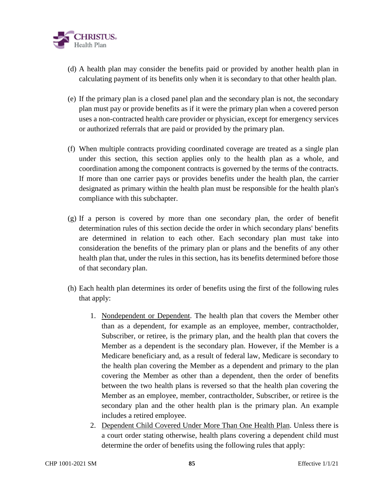

- (d) A health plan may consider the benefits paid or provided by another health plan in calculating payment of its benefits only when it is secondary to that other health plan.
- (e) If the primary plan is a closed panel plan and the secondary plan is not, the secondary plan must pay or provide benefits as if it were the primary plan when a covered person uses a non-contracted health care provider or physician, except for emergency services or authorized referrals that are paid or provided by the primary plan.
- (f) When multiple contracts providing coordinated coverage are treated as a single plan under this section, this section applies only to the health plan as a whole, and coordination among the component contracts is governed by the terms of the contracts. If more than one carrier pays or provides benefits under the health plan, the carrier designated as primary within the health plan must be responsible for the health plan's compliance with this subchapter.
- (g) If a person is covered by more than one secondary plan, the order of benefit determination rules of this section decide the order in which secondary plans' benefits are determined in relation to each other. Each secondary plan must take into consideration the benefits of the primary plan or plans and the benefits of any other health plan that, under the rules in this section, has its benefits determined before those of that secondary plan.
- (h) Each health plan determines its order of benefits using the first of the following rules that apply:
	- 1. Nondependent or Dependent. The health plan that covers the Member other than as a dependent, for example as an employee, member, contractholder, Subscriber, or retiree, is the primary plan, and the health plan that covers the Member as a dependent is the secondary plan. However, if the Member is a Medicare beneficiary and, as a result of federal law, Medicare is secondary to the health plan covering the Member as a dependent and primary to the plan covering the Member as other than a dependent, then the order of benefits between the two health plans is reversed so that the health plan covering the Member as an employee, member, contractholder, Subscriber, or retiree is the secondary plan and the other health plan is the primary plan. An example includes a retired employee.
	- 2. Dependent Child Covered Under More Than One Health Plan. Unless there is a court order stating otherwise, health plans covering a dependent child must determine the order of benefits using the following rules that apply: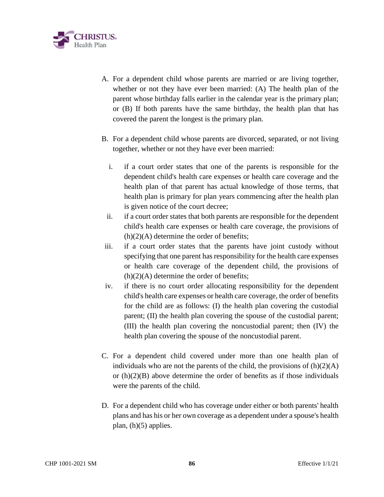

- A. For a dependent child whose parents are married or are living together, whether or not they have ever been married: (A) The health plan of the parent whose birthday falls earlier in the calendar year is the primary plan; or (B) If both parents have the same birthday, the health plan that has covered the parent the longest is the primary plan.
- B. For a dependent child whose parents are divorced, separated, or not living together, whether or not they have ever been married:
	- i. if a court order states that one of the parents is responsible for the dependent child's health care expenses or health care coverage and the health plan of that parent has actual knowledge of those terms, that health plan is primary for plan years commencing after the health plan is given notice of the court decree;
	- ii. if a court order states that both parents are responsible for the dependent child's health care expenses or health care coverage, the provisions of  $(h)(2)(A)$  determine the order of benefits;
- iii. if a court order states that the parents have joint custody without specifying that one parent has responsibility for the health care expenses or health care coverage of the dependent child, the provisions of  $(h)(2)(A)$  determine the order of benefits;
- iv. if there is no court order allocating responsibility for the dependent child's health care expenses or health care coverage, the order of benefits for the child are as follows: (I) the health plan covering the custodial parent; (II) the health plan covering the spouse of the custodial parent; (III) the health plan covering the noncustodial parent; then (IV) the health plan covering the spouse of the noncustodial parent.
- C. For a dependent child covered under more than one health plan of individuals who are not the parents of the child, the provisions of  $(h)(2)(A)$ or  $(h)(2)(B)$  above determine the order of benefits as if those individuals were the parents of the child.
- D. For a dependent child who has coverage under either or both parents' health plans and has his or her own coverage as a dependent under a spouse's health plan, (h)(5) applies.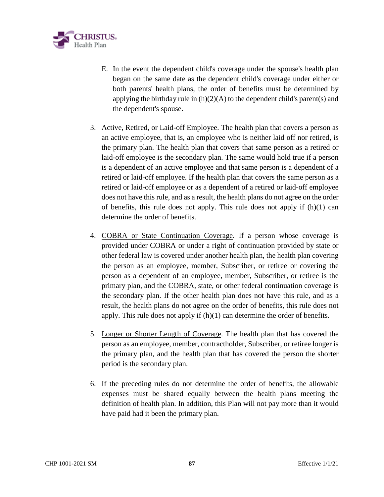

- E. In the event the dependent child's coverage under the spouse's health plan began on the same date as the dependent child's coverage under either or both parents' health plans, the order of benefits must be determined by applying the birthday rule in  $(h)(2)(A)$  to the dependent child's parent(s) and the dependent's spouse.
- 3. Active, Retired, or Laid-off Employee. The health plan that covers a person as an active employee, that is, an employee who is neither laid off nor retired, is the primary plan. The health plan that covers that same person as a retired or laid-off employee is the secondary plan. The same would hold true if a person is a dependent of an active employee and that same person is a dependent of a retired or laid-off employee. If the health plan that covers the same person as a retired or laid-off employee or as a dependent of a retired or laid-off employee does not have this rule, and as a result, the health plans do not agree on the order of benefits, this rule does not apply. This rule does not apply if (h)(1) can determine the order of benefits.
- 4. COBRA or State Continuation Coverage. If a person whose coverage is provided under COBRA or under a right of continuation provided by state or other federal law is covered under another health plan, the health plan covering the person as an employee, member, Subscriber, or retiree or covering the person as a dependent of an employee, member, Subscriber, or retiree is the primary plan, and the COBRA, state, or other federal continuation coverage is the secondary plan. If the other health plan does not have this rule, and as a result, the health plans do not agree on the order of benefits, this rule does not apply. This rule does not apply if (h)(1) can determine the order of benefits.
- 5. Longer or Shorter Length of Coverage. The health plan that has covered the person as an employee, member, contractholder, Subscriber, or retiree longer is the primary plan, and the health plan that has covered the person the shorter period is the secondary plan.
- 6. If the preceding rules do not determine the order of benefits, the allowable expenses must be shared equally between the health plans meeting the definition of health plan. In addition, this Plan will not pay more than it would have paid had it been the primary plan.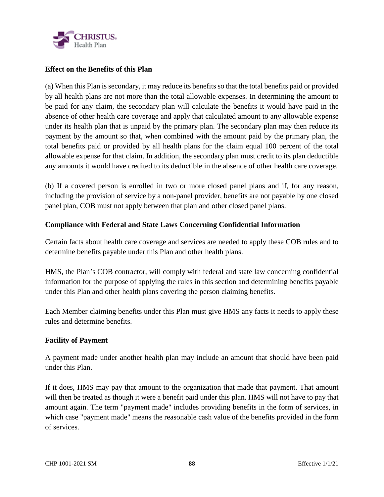

## **Effect on the Benefits of this Plan**

(a) When this Plan is secondary, it may reduce its benefits so that the total benefits paid or provided by all health plans are not more than the total allowable expenses. In determining the amount to be paid for any claim, the secondary plan will calculate the benefits it would have paid in the absence of other health care coverage and apply that calculated amount to any allowable expense under its health plan that is unpaid by the primary plan. The secondary plan may then reduce its payment by the amount so that, when combined with the amount paid by the primary plan, the total benefits paid or provided by all health plans for the claim equal 100 percent of the total allowable expense for that claim. In addition, the secondary plan must credit to its plan deductible any amounts it would have credited to its deductible in the absence of other health care coverage.

(b) If a covered person is enrolled in two or more closed panel plans and if, for any reason, including the provision of service by a non-panel provider, benefits are not payable by one closed panel plan, COB must not apply between that plan and other closed panel plans.

## **Compliance with Federal and State Laws Concerning Confidential Information**

Certain facts about health care coverage and services are needed to apply these COB rules and to determine benefits payable under this Plan and other health plans.

HMS, the Plan's COB contractor, will comply with federal and state law concerning confidential information for the purpose of applying the rules in this section and determining benefits payable under this Plan and other health plans covering the person claiming benefits.

Each Member claiming benefits under this Plan must give HMS any facts it needs to apply these rules and determine benefits.

### **Facility of Payment**

A payment made under another health plan may include an amount that should have been paid under this Plan.

If it does, HMS may pay that amount to the organization that made that payment. That amount will then be treated as though it were a benefit paid under this plan. HMS will not have to pay that amount again. The term "payment made" includes providing benefits in the form of services, in which case "payment made" means the reasonable cash value of the benefits provided in the form of services.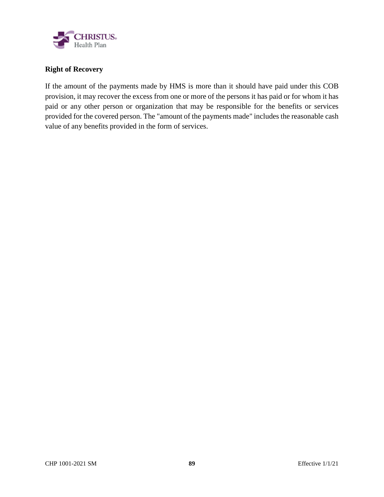

# **Right of Recovery**

If the amount of the payments made by HMS is more than it should have paid under this COB provision, it may recover the excess from one or more of the persons it has paid or for whom it has paid or any other person or organization that may be responsible for the benefits or services provided for the covered person. The "amount of the payments made" includes the reasonable cash value of any benefits provided in the form of services.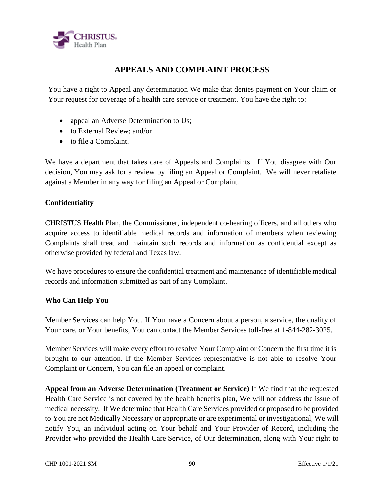

# **APPEALS AND COMPLAINT PROCESS**

You have a right to Appeal any determination We make that denies payment on Your claim or Your request for coverage of a health care service or treatment. You have the right to:

- appeal an Adverse Determination to Us;
- to External Review; and/or
- to file a Complaint.

We have a department that takes care of Appeals and Complaints. If You disagree with Our decision, You may ask for a review by filing an Appeal or Complaint. We will never retaliate against a Member in any way for filing an Appeal or Complaint.

## **Confidentiality**

CHRISTUS Health Plan, the Commissioner, independent co-hearing officers, and all others who acquire access to identifiable medical records and information of members when reviewing Complaints shall treat and maintain such records and information as confidential except as otherwise provided by federal and Texas law.

We have procedures to ensure the confidential treatment and maintenance of identifiable medical records and information submitted as part of any Complaint.

### **Who Can Help You**

Member Services can help You. If You have a Concern about a person, a service, the quality of Your care, or Your benefits, You can contact the Member Services toll-free at 1-844-282-3025.

Member Services will make every effort to resolve Your Complaint or Concern the first time it is brought to our attention. If the Member Services representative is not able to resolve Your Complaint or Concern, You can file an appeal or complaint.

**Appeal from an Adverse Determination (Treatment or Service)** If We find that the requested Health Care Service is not covered by the health benefits plan, We will not address the issue of medical necessity. If We determine that Health Care Services provided or proposed to be provided to You are not Medically Necessary or appropriate or are experimental or investigational, We will notify You, an individual acting on Your behalf and Your Provider of Record, including the Provider who provided the Health Care Service, of Our determination, along with Your right to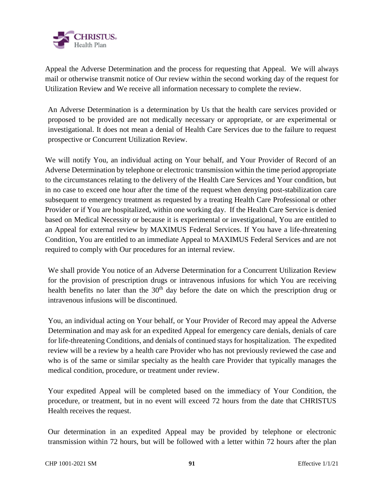

Appeal the Adverse Determination and the process for requesting that Appeal. We will always mail or otherwise transmit notice of Our review within the second working day of the request for Utilization Review and We receive all information necessary to complete the review.

An Adverse Determination is a determination by Us that the health care services provided or proposed to be provided are not medically necessary or appropriate, or are experimental or investigational. It does not mean a denial of Health Care Services due to the failure to request prospective or Concurrent Utilization Review.

We will notify You, an individual acting on Your behalf, and Your Provider of Record of an Adverse Determination by telephone or electronic transmission within the time period appropriate to the circumstances relating to the delivery of the Health Care Services and Your condition, but in no case to exceed one hour after the time of the request when denying post-stabilization care subsequent to emergency treatment as requested by a treating Health Care Professional or other Provider or if You are hospitalized, within one working day. If the Health Care Service is denied based on Medical Necessity or because it is experimental or investigational, You are entitled to an Appeal for external review by MAXIMUS Federal Services. If You have a life-threatening Condition, You are entitled to an immediate Appeal to MAXIMUS Federal Services and are not required to comply with Our procedures for an internal review.

We shall provide You notice of an Adverse Determination for a Concurrent Utilization Review for the provision of prescription drugs or intravenous infusions for which You are receiving health benefits no later than the  $30<sup>th</sup>$  day before the date on which the prescription drug or intravenous infusions will be discontinued.

You, an individual acting on Your behalf, or Your Provider of Record may appeal the Adverse Determination and may ask for an expedited Appeal for emergency care denials, denials of care for life-threatening Conditions, and denials of continued stays for hospitalization. The expedited review will be a review by a health care Provider who has not previously reviewed the case and who is of the same or similar specialty as the health care Provider that typically manages the medical condition, procedure, or treatment under review.

Your expedited Appeal will be completed based on the immediacy of Your Condition, the procedure, or treatment, but in no event will exceed 72 hours from the date that CHRISTUS Health receives the request.

Our determination in an expedited Appeal may be provided by telephone or electronic transmission within 72 hours, but will be followed with a letter within 72 hours after the plan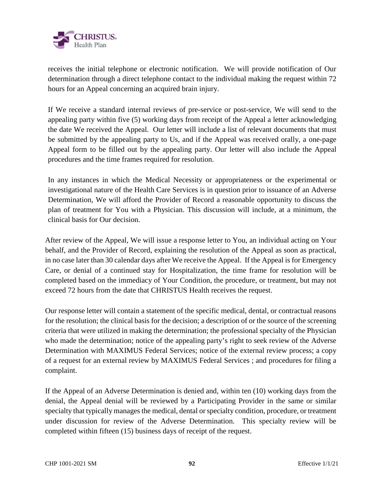

receives the initial telephone or electronic notification. We will provide notification of Our determination through a direct telephone contact to the individual making the request within 72 hours for an Appeal concerning an acquired brain injury.

If We receive a standard internal reviews of pre-service or post-service, We will send to the appealing party within five (5) working days from receipt of the Appeal a letter acknowledging the date We received the Appeal. Our letter will include a list of relevant documents that must be submitted by the appealing party to Us, and if the Appeal was received orally, a one-page Appeal form to be filled out by the appealing party. Our letter will also include the Appeal procedures and the time frames required for resolution.

In any instances in which the Medical Necessity or appropriateness or the experimental or investigational nature of the Health Care Services is in question prior to issuance of an Adverse Determination, We will afford the Provider of Record a reasonable opportunity to discuss the plan of treatment for You with a Physician. This discussion will include, at a minimum, the clinical basis for Our decision.

After review of the Appeal, We will issue a response letter to You, an individual acting on Your behalf, and the Provider of Record, explaining the resolution of the Appeal as soon as practical, in no case later than 30 calendar days after We receive the Appeal. If the Appeal is for Emergency Care, or denial of a continued stay for Hospitalization, the time frame for resolution will be completed based on the immediacy of Your Condition, the procedure, or treatment, but may not exceed 72 hours from the date that CHRISTUS Health receives the request.

Our response letter will contain a statement of the specific medical, dental, or contractual reasons for the resolution; the clinical basis for the decision; a description of or the source of the screening criteria that were utilized in making the determination; the professional specialty of the Physician who made the determination; notice of the appealing party's right to seek review of the Adverse Determination with MAXIMUS Federal Services; notice of the external review process; a copy of a request for an external review by MAXIMUS Federal Services ; and procedures for filing a complaint.

If the Appeal of an Adverse Determination is denied and, within ten (10) working days from the denial, the Appeal denial will be reviewed by a Participating Provider in the same or similar specialty that typically manages the medical, dental or specialty condition, procedure, or treatment under discussion for review of the Adverse Determination. This specialty review will be completed within fifteen (15) business days of receipt of the request.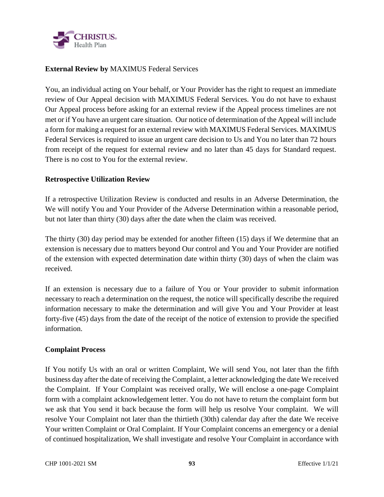

## **External Review by** MAXIMUS Federal Services

You, an individual acting on Your behalf, or Your Provider has the right to request an immediate review of Our Appeal decision with MAXIMUS Federal Services. You do not have to exhaust Our Appeal process before asking for an external review if the Appeal process timelines are not met or if You have an urgent care situation. Our notice of determination of the Appeal will include a form for making a request for an external review with MAXIMUS Federal Services. MAXIMUS Federal Services is required to issue an urgent care decision to Us and You no later than 72 hours from receipt of the request for external review and no later than 45 days for Standard request. There is no cost to You for the external review.

### **Retrospective Utilization Review**

If a retrospective Utilization Review is conducted and results in an Adverse Determination, the We will notify You and Your Provider of the Adverse Determination within a reasonable period, but not later than thirty (30) days after the date when the claim was received.

The thirty (30) day period may be extended for another fifteen (15) days if We determine that an extension is necessary due to matters beyond Our control and You and Your Provider are notified of the extension with expected determination date within thirty (30) days of when the claim was received.

If an extension is necessary due to a failure of You or Your provider to submit information necessary to reach a determination on the request, the notice will specifically describe the required information necessary to make the determination and will give You and Your Provider at least forty-five (45) days from the date of the receipt of the notice of extension to provide the specified information.

### **Complaint Process**

If You notify Us with an oral or written Complaint, We will send You, not later than the fifth business day after the date of receiving the Complaint, a letter acknowledging the date We received the Complaint. If Your Complaint was received orally, We will enclose a one-page Complaint form with a complaint acknowledgement letter. You do not have to return the complaint form but we ask that You send it back because the form will help us resolve Your complaint. We will resolve Your Complaint not later than the thirtieth (30th) calendar day after the date We receive Your written Complaint or Oral Complaint. If Your Complaint concerns an emergency or a denial of continued hospitalization, We shall investigate and resolve Your Complaint in accordance with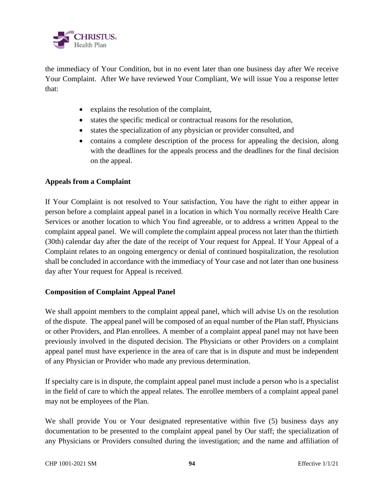

the immediacy of Your Condition, but in no event later than one business day after We receive Your Complaint. After We have reviewed Your Compliant, We will issue You a response letter that:

- explains the resolution of the complaint,
- states the specific medical or contractual reasons for the resolution,
- states the specialization of any physician or provider consulted, and
- contains a complete description of the process for appealing the decision, along with the deadlines for the appeals process and the deadlines for the final decision on the appeal.

## **Appeals from a Complaint**

If Your Complaint is not resolved to Your satisfaction, You have the right to either appear in person before a complaint appeal panel in a location in which You normally receive Health Care Services or another location to which You find agreeable, or to address a written Appeal to the complaint appeal panel. We will complete the complaint appeal process not later than the thirtieth (30th) calendar day after the date of the receipt of Your request for Appeal. If Your Appeal of a Complaint relates to an ongoing emergency or denial of continued hospitalization, the resolution shall be concluded in accordance with the immediacy of Your case and not later than one business day after Your request for Appeal is received.

### **Composition of Complaint Appeal Panel**

We shall appoint members to the complaint appeal panel, which will advise Us on the resolution of the dispute. The appeal panel will be composed of an equal number of the Plan staff, Physicians or other Providers, and Plan enrollees. A member of a complaint appeal panel may not have been previously involved in the disputed decision. The Physicians or other Providers on a complaint appeal panel must have experience in the area of care that is in dispute and must be independent of any Physician or Provider who made any previous determination.

If specialty care is in dispute, the complaint appeal panel must include a person who is a specialist in the field of care to which the appeal relates. The enrollee members of a complaint appeal panel may not be employees of the Plan.

We shall provide You or Your designated representative within five (5) business days any documentation to be presented to the complaint appeal panel by Our staff; the specialization of any Physicians or Providers consulted during the investigation; and the name and affiliation of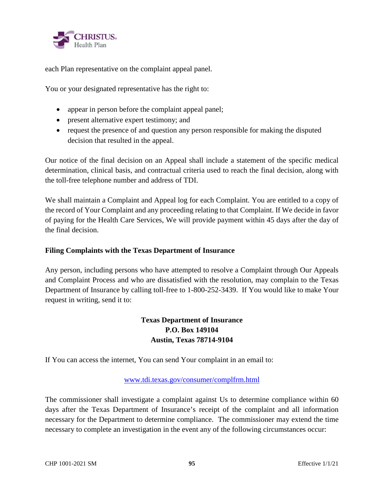

each Plan representative on the complaint appeal panel.

You or your designated representative has the right to:

- appear in person before the complaint appeal panel;
- present alternative expert testimony; and
- request the presence of and question any person responsible for making the disputed decision that resulted in the appeal.

Our notice of the final decision on an Appeal shall include a statement of the specific medical determination, clinical basis, and contractual criteria used to reach the final decision, along with the toll-free telephone number and address of TDI.

We shall maintain a Complaint and Appeal log for each Complaint. You are entitled to a copy of the record of Your Complaint and any proceeding relating to that Complaint. If We decide in favor of paying for the Health Care Services, We will provide payment within 45 days after the day of the final decision.

## **Filing Complaints with the Texas Department of Insurance**

Any person, including persons who have attempted to resolve a Complaint through Our Appeals and Complaint Process and who are dissatisfied with the resolution, may complain to the Texas Department of Insurance by calling toll-free to 1-800-252-3439. If You would like to make Your request in writing, send it to:

# **Texas Department of Insurance P.O. Box 149104 Austin, Texas 78714-9104**

If You can access the internet, You can send Your complaint in an email to:

### www.tdi.texas.gov/consumer/complfrm.html

The commissioner shall investigate a complaint against Us to determine compliance within 60 days after the Texas Department of Insurance's receipt of the complaint and all information necessary for the Department to determine compliance. The commissioner may extend the time necessary to complete an investigation in the event any of the following circumstances occur: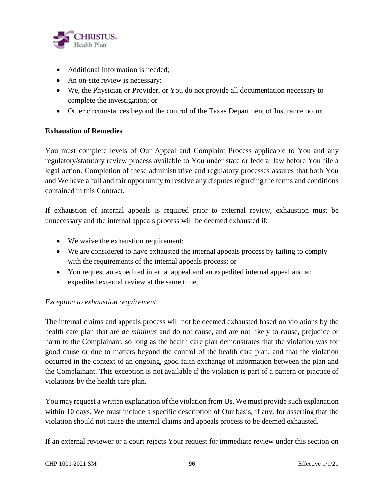

- Additional information is needed:
- An on-site review is necessary;
- We, the Physician or Provider, or You do not provide all documentation necessary to complete the investigation; or
- Other circumstances beyond the control of the Texas Department of Insurance occur.

## **Exhaustion of Remedies**

You must complete levels of Our Appeal and Complaint Process applicable to You and any regulatory/statutory review process available to You under state or federal law before You file a legal action. Completion of these administrative and regulatory processes assures that both You and We have a full and fair opportunity to resolve any disputes regarding the terms and conditions contained in this Contract.

If exhaustion of internal appeals is required prior to external review, exhaustion must be unnecessary and the internal appeals process will be deemed exhausted if:

- We waive the exhaustion requirement;
- We are considered to have exhausted the internal appeals process by failing to comply with the requirements of the internal appeals process; or
- You request an expedited internal appeal and an expedited internal appeal and an expedited external review at the same time.

### *Exception to exhaustion requirement.*

The internal claims and appeals process will not be deemed exhausted based on violations by the health care plan that are *de minimus* and do not cause, and are not likely to cause, prejudice or harm to the Complainant, so long as the health care plan demonstrates that the violation was for good cause or due to matters beyond the control of the health care plan, and that the violation occurred in the context of an ongoing, good faith exchange of information between the plan and the Complainant. This exception is not available if the violation is part of a pattern or practice of violations by the health care plan.

You may request a written explanation of the violation from Us. We must provide such explanation within 10 days. We must include a specific description of Our basis, if any, for asserting that the violation should not cause the internal claims and appeals process to be deemed exhausted.

If an external reviewer or a court rejects Your request for immediate review under this section on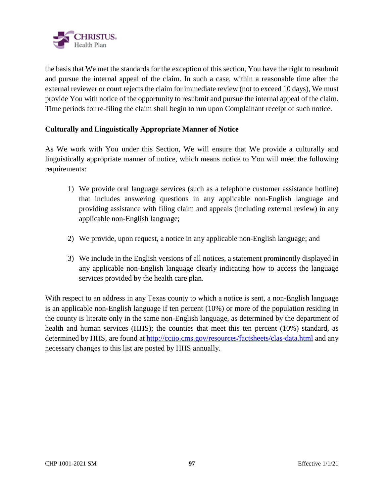

the basis that We met the standards for the exception of this section, You have the right to resubmit and pursue the internal appeal of the claim. In such a case, within a reasonable time after the external reviewer or court rejects the claim for immediate review (not to exceed 10 days), We must provide You with notice of the opportunity to resubmit and pursue the internal appeal of the claim. Time periods for re-filing the claim shall begin to run upon Complainant receipt of such notice.

## **Culturally and Linguistically Appropriate Manner of Notice**

As We work with You under this Section, We will ensure that We provide a culturally and linguistically appropriate manner of notice, which means notice to You will meet the following requirements:

- 1) We provide oral language services (such as a telephone customer assistance hotline) that includes answering questions in any applicable non-English language and providing assistance with filing claim and appeals (including external review) in any applicable non-English language;
- 2) We provide, upon request, a notice in any applicable non-English language; and
- 3) We include in the English versions of all notices, a statement prominently displayed in any applicable non-English language clearly indicating how to access the language services provided by the health care plan.

With respect to an address in any Texas county to which a notice is sent, a non-English language is an applicable non-English language if ten percent (10%) or more of the population residing in the county is literate only in the same non-English language, as determined by the department of health and human services (HHS); the counties that meet this ten percent (10%) standard, as determined by HHS, are found at http://cciio.cms.gov/resources/factsheets/clas-data.html and any necessary changes to this list are posted by HHS annually.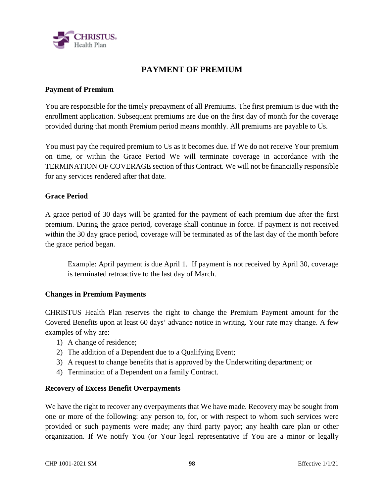

# **PAYMENT OF PREMIUM**

### **Payment of Premium**

You are responsible for the timely prepayment of all Premiums. The first premium is due with the enrollment application. Subsequent premiums are due on the first day of month for the coverage provided during that month Premium period means monthly. All premiums are payable to Us.

You must pay the required premium to Us as it becomes due. If We do not receive Your premium on time, or within the Grace Period We will terminate coverage in accordance with the TERMINATION OF COVERAGE section of this Contract. We will not be financially responsible for any services rendered after that date.

### **Grace Period**

A grace period of 30 days will be granted for the payment of each premium due after the first premium. During the grace period, coverage shall continue in force. If payment is not received within the 30 day grace period, coverage will be terminated as of the last day of the month before the grace period began.

Example: April payment is due April 1. If payment is not received by April 30, coverage is terminated retroactive to the last day of March.

#### **Changes in Premium Payments**

CHRISTUS Health Plan reserves the right to change the Premium Payment amount for the Covered Benefits upon at least 60 days' advance notice in writing. Your rate may change. A few examples of why are:

- 1) A change of residence;
- 2) The addition of a Dependent due to a Qualifying Event;
- 3) A request to change benefits that is approved by the Underwriting department; or
- 4) Termination of a Dependent on a family Contract.

### **Recovery of Excess Benefit Overpayments**

We have the right to recover any overpayments that We have made. Recovery may be sought from one or more of the following: any person to, for, or with respect to whom such services were provided or such payments were made; any third party payor; any health care plan or other organization. If We notify You (or Your legal representative if You are a minor or legally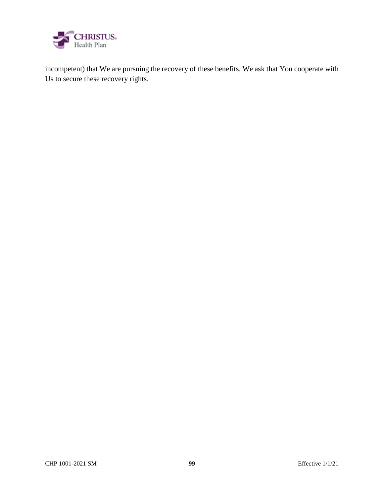

incompetent) that We are pursuing the recovery of these benefits, We ask that You cooperate with Us to secure these recovery rights.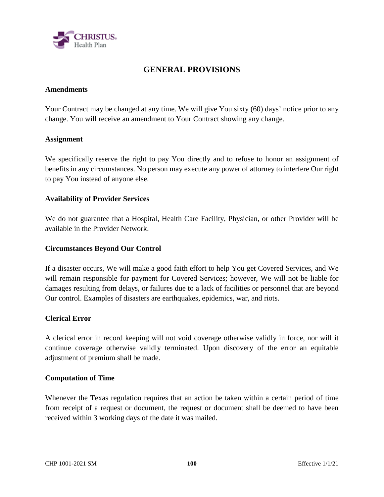

# **GENERAL PROVISIONS**

### **Amendments**

Your Contract may be changed at any time. We will give You sixty (60) days' notice prior to any change. You will receive an amendment to Your Contract showing any change.

### **Assignment**

We specifically reserve the right to pay You directly and to refuse to honor an assignment of benefits in any circumstances. No person may execute any power of attorney to interfere Our right to pay You instead of anyone else.

### **Availability of Provider Services**

We do not guarantee that a Hospital, Health Care Facility, Physician, or other Provider will be available in the Provider Network.

### **Circumstances Beyond Our Control**

If a disaster occurs, We will make a good faith effort to help You get Covered Services, and We will remain responsible for payment for Covered Services; however, We will not be liable for damages resulting from delays, or failures due to a lack of facilities or personnel that are beyond Our control. Examples of disasters are earthquakes, epidemics, war, and riots.

#### **Clerical Error**

A clerical error in record keeping will not void coverage otherwise validly in force, nor will it continue coverage otherwise validly terminated. Upon discovery of the error an equitable adjustment of premium shall be made.

#### **Computation of Time**

Whenever the Texas regulation requires that an action be taken within a certain period of time from receipt of a request or document, the request or document shall be deemed to have been received within 3 working days of the date it was mailed.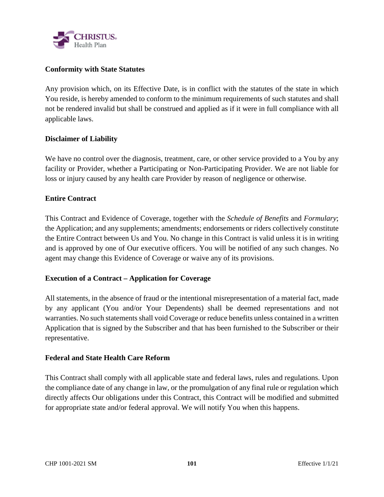

## **Conformity with State Statutes**

Any provision which, on its Effective Date, is in conflict with the statutes of the state in which You reside, is hereby amended to conform to the minimum requirements of such statutes and shall not be rendered invalid but shall be construed and applied as if it were in full compliance with all applicable laws.

### **Disclaimer of Liability**

We have no control over the diagnosis, treatment, care, or other service provided to a You by any facility or Provider, whether a Participating or Non-Participating Provider. We are not liable for loss or injury caused by any health care Provider by reason of negligence or otherwise.

### **Entire Contract**

This Contract and Evidence of Coverage, together with the *Schedule of Benefits* and *Formulary*; the Application; and any supplements; amendments; endorsements or riders collectively constitute the Entire Contract between Us and You. No change in this Contract is valid unless it is in writing and is approved by one of Our executive officers. You will be notified of any such changes. No agent may change this Evidence of Coverage or waive any of its provisions.

### **Execution of a Contract – Application for Coverage**

All statements, in the absence of fraud or the intentional misrepresentation of a material fact, made by any applicant (You and/or Your Dependents) shall be deemed representations and not warranties. No such statements shall void Coverage or reduce benefits unless contained in a written Application that is signed by the Subscriber and that has been furnished to the Subscriber or their representative.

### **Federal and State Health Care Reform**

This Contract shall comply with all applicable state and federal laws, rules and regulations. Upon the compliance date of any change in law, or the promulgation of any final rule or regulation which directly affects Our obligations under this Contract, this Contract will be modified and submitted for appropriate state and/or federal approval. We will notify You when this happens.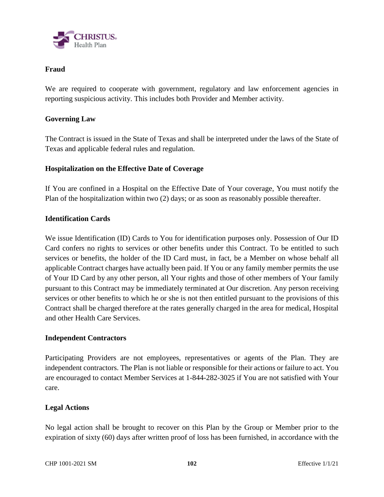

## **Fraud**

We are required to cooperate with government, regulatory and law enforcement agencies in reporting suspicious activity. This includes both Provider and Member activity.

## **Governing Law**

The Contract is issued in the State of Texas and shall be interpreted under the laws of the State of Texas and applicable federal rules and regulation.

## **Hospitalization on the Effective Date of Coverage**

If You are confined in a Hospital on the Effective Date of Your coverage, You must notify the Plan of the hospitalization within two (2) days; or as soon as reasonably possible thereafter.

### **Identification Cards**

We issue Identification (ID) Cards to You for identification purposes only. Possession of Our ID Card confers no rights to services or other benefits under this Contract. To be entitled to such services or benefits, the holder of the ID Card must, in fact, be a Member on whose behalf all applicable Contract charges have actually been paid. If You or any family member permits the use of Your ID Card by any other person, all Your rights and those of other members of Your family pursuant to this Contract may be immediately terminated at Our discretion. Any person receiving services or other benefits to which he or she is not then entitled pursuant to the provisions of this Contract shall be charged therefore at the rates generally charged in the area for medical, Hospital and other Health Care Services.

### **Independent Contractors**

Participating Providers are not employees, representatives or agents of the Plan. They are independent contractors. The Plan is not liable or responsible for their actions or failure to act. You are encouraged to contact Member Services at 1-844-282-3025 if You are not satisfied with Your care.

### **Legal Actions**

No legal action shall be brought to recover on this Plan by the Group or Member prior to the expiration of sixty (60) days after written proof of loss has been furnished, in accordance with the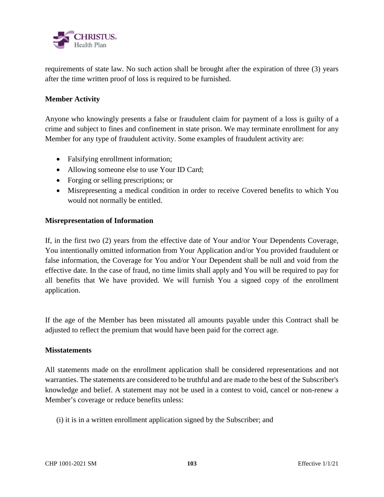

requirements of state law. No such action shall be brought after the expiration of three (3) years after the time written proof of loss is required to be furnished.

## **Member Activity**

Anyone who knowingly presents a false or fraudulent claim for payment of a loss is guilty of a crime and subject to fines and confinement in state prison. We may terminate enrollment for any Member for any type of fraudulent activity. Some examples of fraudulent activity are:

- Falsifying enrollment information;
- Allowing someone else to use Your ID Card;
- Forging or selling prescriptions; or
- Misrepresenting a medical condition in order to receive Covered benefits to which You would not normally be entitled.

### **Misrepresentation of Information**

If, in the first two (2) years from the effective date of Your and/or Your Dependents Coverage, You intentionally omitted information from Your Application and/or You provided fraudulent or false information, the Coverage for You and/or Your Dependent shall be null and void from the effective date. In the case of fraud, no time limits shall apply and You will be required to pay for all benefits that We have provided. We will furnish You a signed copy of the enrollment application.

If the age of the Member has been misstated all amounts payable under this Contract shall be adjusted to reflect the premium that would have been paid for the correct age.

### **Misstatements**

All statements made on the enrollment application shall be considered representations and not warranties. The statements are considered to be truthful and are made to the best of the Subscriber's knowledge and belief. A statement may not be used in a contest to void, cancel or non-renew a Member's coverage or reduce benefits unless:

(i) it is in a written enrollment application signed by the Subscriber; and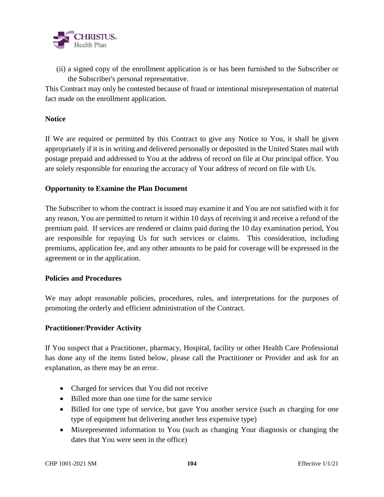

 (ii) a signed copy of the enrollment application is or has been furnished to the Subscriber or the Subscriber's personal representative.

This Contract may only be contested because of fraud or intentional misrepresentation of material fact made on the enrollment application.

## **Notice**

If We are required or permitted by this Contract to give any Notice to You, it shall be given appropriately if it is in writing and delivered personally or deposited in the United States mail with postage prepaid and addressed to You at the address of record on file at Our principal office. You are solely responsible for ensuring the accuracy of Your address of record on file with Us.

## **Opportunity to Examine the Plan Document**

The Subscriber to whom the contract is issued may examine it and You are not satisfied with it for any reason, You are permitted to return it within 10 days of receiving it and receive a refund of the premium paid. If services are rendered or claims paid during the 10 day examination period, You are responsible for repaying Us for such services or claims. This consideration, including premiums, application fee, and any other amounts to be paid for coverage will be expressed in the agreement or in the application.

### **Policies and Procedures**

We may adopt reasonable policies, procedures, rules, and interpretations for the purposes of promoting the orderly and efficient administration of the Contract.

### **Practitioner/Provider Activity**

If You suspect that a Practitioner, pharmacy, Hospital, facility or other Health Care Professional has done any of the items listed below, please call the Practitioner or Provider and ask for an explanation, as there may be an error.

- Charged for services that You did not receive
- Billed more than one time for the same service
- Billed for one type of service, but gave You another service (such as charging for one type of equipment but delivering another less expensive type)
- Misrepresented information to You (such as changing Your diagnosis or changing the dates that You were seen in the office)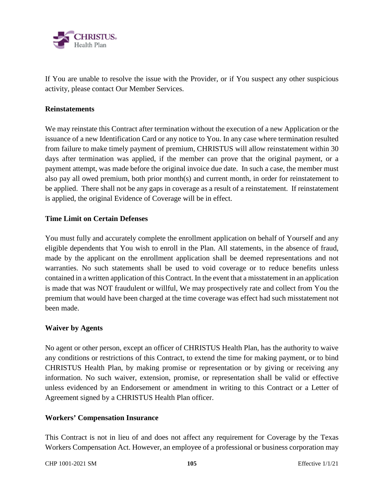

If You are unable to resolve the issue with the Provider, or if You suspect any other suspicious activity, please contact Our Member Services.

### **Reinstatements**

We may reinstate this Contract after termination without the execution of a new Application or the issuance of a new Identification Card or any notice to You. In any case where termination resulted from failure to make timely payment of premium, CHRISTUS will allow reinstatement within 30 days after termination was applied, if the member can prove that the original payment, or a payment attempt, was made before the original invoice due date. In such a case, the member must also pay all owed premium, both prior month(s) and current month, in order for reinstatement to be applied. There shall not be any gaps in coverage as a result of a reinstatement. If reinstatement is applied, the original Evidence of Coverage will be in effect.

### **Time Limit on Certain Defenses**

You must fully and accurately complete the enrollment application on behalf of Yourself and any eligible dependents that You wish to enroll in the Plan. All statements, in the absence of fraud, made by the applicant on the enrollment application shall be deemed representations and not warranties. No such statements shall be used to void coverage or to reduce benefits unless contained in a written application of this Contract. In the event that a misstatement in an application is made that was NOT fraudulent or willful, We may prospectively rate and collect from You the premium that would have been charged at the time coverage was effect had such misstatement not been made.

### **Waiver by Agents**

No agent or other person, except an officer of CHRISTUS Health Plan, has the authority to waive any conditions or restrictions of this Contract, to extend the time for making payment, or to bind CHRISTUS Health Plan, by making promise or representation or by giving or receiving any information. No such waiver, extension, promise, or representation shall be valid or effective unless evidenced by an Endorsement or amendment in writing to this Contract or a Letter of Agreement signed by a CHRISTUS Health Plan officer.

### **Workers' Compensation Insurance**

This Contract is not in lieu of and does not affect any requirement for Coverage by the Texas Workers Compensation Act. However, an employee of a professional or business corporation may

CHP 1001-2021 SM **105** Effective 1/1/21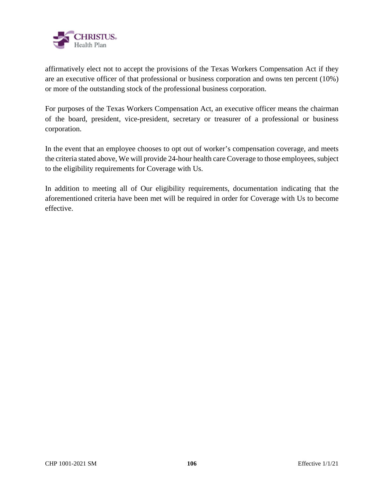

affirmatively elect not to accept the provisions of the Texas Workers Compensation Act if they are an executive officer of that professional or business corporation and owns ten percent (10%) or more of the outstanding stock of the professional business corporation.

For purposes of the Texas Workers Compensation Act, an executive officer means the chairman of the board, president, vice-president, secretary or treasurer of a professional or business corporation.

In the event that an employee chooses to opt out of worker's compensation coverage, and meets the criteria stated above, We will provide 24-hour health care Coverage to those employees, subject to the eligibility requirements for Coverage with Us.

In addition to meeting all of Our eligibility requirements, documentation indicating that the aforementioned criteria have been met will be required in order for Coverage with Us to become effective.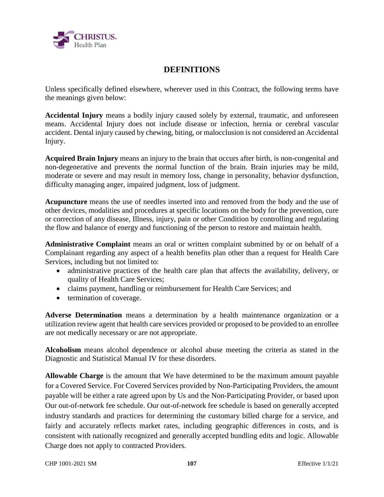

# **DEFINITIONS**

Unless specifically defined elsewhere, wherever used in this Contract, the following terms have the meanings given below:

**Accidental Injury** means a bodily injury caused solely by external, traumatic, and unforeseen means. Accidental Injury does not include disease or infection, hernia or cerebral vascular accident. Dental injury caused by chewing, biting, or malocclusion is not considered an Accidental Injury.

**Acquired Brain Injury** means an injury to the brain that occurs after birth, is non-congenital and non-degenerative and prevents the normal function of the brain. Brain injuries may be mild, moderate or severe and may result in memory loss, change in personality, behavior dysfunction, difficulty managing anger, impaired judgment, loss of judgment.

**Acupuncture** means the use of needles inserted into and removed from the body and the use of other devices, modalities and procedures at specific locations on the body for the prevention, cure or correction of any disease, Illness, injury, pain or other Condition by controlling and regulating the flow and balance of energy and functioning of the person to restore and maintain health.

**Administrative Complaint** means an oral or written complaint submitted by or on behalf of a Complainant regarding any aspect of a health benefits plan other than a request for Health Care Services, including but not limited to:

- administrative practices of the health care plan that affects the availability, delivery, or quality of Health Care Services;
- claims payment, handling or reimbursement for Health Care Services; and
- termination of coverage.

**Adverse Determination** means a determination by a health maintenance organization or a utilization review agent that health care services provided or proposed to be provided to an enrollee are not medically necessary or are not appropriate.

**Alcoholism** means alcohol dependence or alcohol abuse meeting the criteria as stated in the Diagnostic and Statistical Manual IV for these disorders.

**Allowable Charge** is the amount that We have determined to be the maximum amount payable for a Covered Service. For Covered Services provided by Non-Participating Providers, the amount payable will be either a rate agreed upon by Us and the Non-Participating Provider, or based upon Our out-of-network fee schedule. Our out-of-network fee schedule is based on generally accepted industry standards and practices for determining the customary billed charge for a service, and fairly and accurately reflects market rates, including geographic differences in costs, and is consistent with nationally recognized and generally accepted bundling edits and logic. Allowable Charge does not apply to contracted Providers.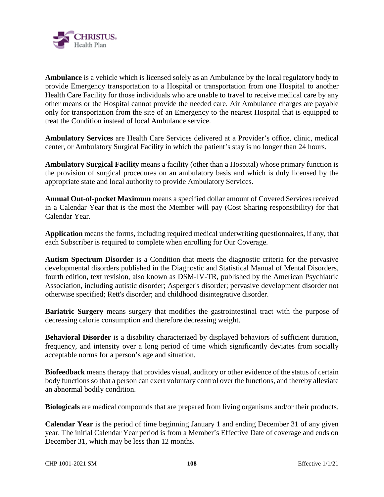

**Ambulance** is a vehicle which is licensed solely as an Ambulance by the local regulatory body to provide Emergency transportation to a Hospital or transportation from one Hospital to another Health Care Facility for those individuals who are unable to travel to receive medical care by any other means or the Hospital cannot provide the needed care. Air Ambulance charges are payable only for transportation from the site of an Emergency to the nearest Hospital that is equipped to treat the Condition instead of local Ambulance service.

**Ambulatory Services** are Health Care Services delivered at a Provider's office, clinic, medical center, or Ambulatory Surgical Facility in which the patient's stay is no longer than 24 hours.

**Ambulatory Surgical Facility** means a facility (other than a Hospital) whose primary function is the provision of surgical procedures on an ambulatory basis and which is duly licensed by the appropriate state and local authority to provide Ambulatory Services.

**Annual Out-of-pocket Maximum** means a specified dollar amount of Covered Services received in a Calendar Year that is the most the Member will pay (Cost Sharing responsibility) for that Calendar Year.

**Application** means the forms, including required medical underwriting questionnaires, if any, that each Subscriber is required to complete when enrolling for Our Coverage.

**Autism Spectrum Disorder** is a Condition that meets the diagnostic criteria for the pervasive developmental disorders published in the Diagnostic and Statistical Manual of Mental Disorders, fourth edition, text revision, also known as DSM-IV-TR, published by the American Psychiatric Association, including autistic disorder; Asperger's disorder; pervasive development disorder not otherwise specified; Rett's disorder; and childhood disintegrative disorder.

**Bariatric Surgery** means surgery that modifies the gastrointestinal tract with the purpose of decreasing calorie consumption and therefore decreasing weight.

**Behavioral Disorder** is a disability characterized by displayed behaviors of sufficient duration, frequency, and intensity over a long period of time which significantly deviates from socially acceptable norms for a person's age and situation.

**Biofeedback** means therapy that provides visual, auditory or other evidence of the status of certain body functions so that a person can exert voluntary control over the functions, and thereby alleviate an abnormal bodily condition.

**Biologicals** are medical compounds that are prepared from living organisms and/or their products.

**Calendar Year** is the period of time beginning January 1 and ending December 31 of any given year. The initial Calendar Year period is from a Member's Effective Date of coverage and ends on December 31, which may be less than 12 months.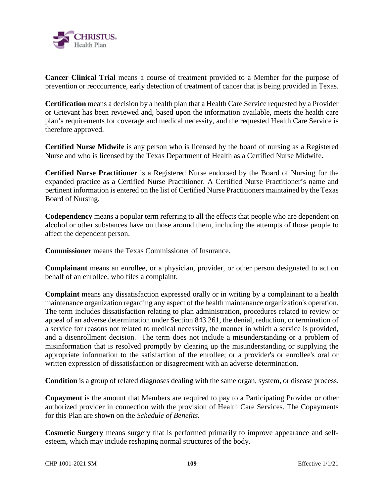

**Cancer Clinical Trial** means a course of treatment provided to a Member for the purpose of prevention or reoccurrence, early detection of treatment of cancer that is being provided in Texas.

**Certification** means a decision by a health plan that a Health Care Service requested by a Provider or Grievant has been reviewed and, based upon the information available, meets the health care plan's requirements for coverage and medical necessity, and the requested Health Care Service is therefore approved.

**Certified Nurse Midwife** is any person who is licensed by the board of nursing as a Registered Nurse and who is licensed by the Texas Department of Health as a Certified Nurse Midwife.

**Certified Nurse Practitioner** is a Registered Nurse endorsed by the Board of Nursing for the expanded practice as a Certified Nurse Practitioner. A Certified Nurse Practitioner's name and pertinent information is entered on the list of Certified Nurse Practitioners maintained by the Texas Board of Nursing.

**Codependency** means a popular term referring to all the effects that people who are dependent on alcohol or other substances have on those around them, including the attempts of those people to affect the dependent person.

**Commissioner** means the Texas Commissioner of Insurance.

**Complainant** means an enrollee, or a physician, provider, or other person designated to act on behalf of an enrollee, who files a complaint.

**Complaint** means any dissatisfaction expressed orally or in writing by a complainant to a health maintenance organization regarding any aspect of the health maintenance organization's operation. The term includes dissatisfaction relating to plan administration, procedures related to review or appeal of an adverse determination under Section 843.261, the denial, reduction, or termination of a service for reasons not related to medical necessity, the manner in which a service is provided, and a disenrollment decision. The term does not include a misunderstanding or a problem of misinformation that is resolved promptly by clearing up the misunderstanding or supplying the appropriate information to the satisfaction of the enrollee; or a provider's or enrollee's oral or written expression of dissatisfaction or disagreement with an adverse determination.

**Condition** is a group of related diagnoses dealing with the same organ, system, or disease process.

**Copayment** is the amount that Members are required to pay to a Participating Provider or other authorized provider in connection with the provision of Health Care Services. The Copayments for this Plan are shown on the *Schedule of Benefits*.

**Cosmetic Surgery** means surgery that is performed primarily to improve appearance and selfesteem, which may include reshaping normal structures of the body.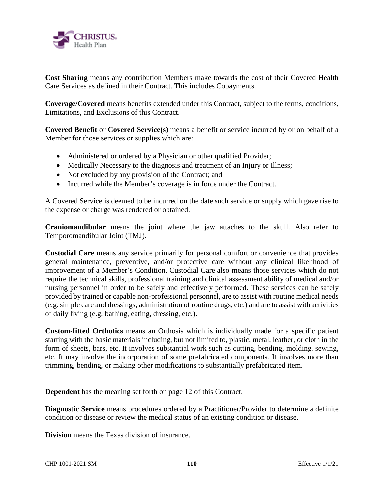

**Cost Sharing** means any contribution Members make towards the cost of their Covered Health Care Services as defined in their Contract. This includes Copayments.

**Coverage/Covered** means benefits extended under this Contract, subject to the terms, conditions, Limitations, and Exclusions of this Contract.

**Covered Benefit** or **Covered Service(s)** means a benefit or service incurred by or on behalf of a Member for those services or supplies which are:

- Administered or ordered by a Physician or other qualified Provider;
- Medically Necessary to the diagnosis and treatment of an Injury or Illness;
- Not excluded by any provision of the Contract; and
- Incurred while the Member's coverage is in force under the Contract.

A Covered Service is deemed to be incurred on the date such service or supply which gave rise to the expense or charge was rendered or obtained.

**Craniomandibular** means the joint where the jaw attaches to the skull. Also refer to Temporomandibular Joint (TMJ).

**Custodial Care** means any service primarily for personal comfort or convenience that provides general maintenance, preventive, and/or protective care without any clinical likelihood of improvement of a Member's Condition. Custodial Care also means those services which do not require the technical skills, professional training and clinical assessment ability of medical and/or nursing personnel in order to be safely and effectively performed. These services can be safely provided by trained or capable non-professional personnel, are to assist with routine medical needs (e.g. simple care and dressings, administration of routine drugs, etc.) and are to assist with activities of daily living (e.g. bathing, eating, dressing, etc.).

**Custom-fitted Orthotics** means an Orthosis which is individually made for a specific patient starting with the basic materials including, but not limited to, plastic, metal, leather, or cloth in the form of sheets, bars, etc. It involves substantial work such as cutting, bending, molding, sewing, etc. It may involve the incorporation of some prefabricated components. It involves more than trimming, bending, or making other modifications to substantially prefabricated item.

**Dependent** has the meaning set forth on page 12 of this Contract.

**Diagnostic Service** means procedures ordered by a Practitioner/Provider to determine a definite condition or disease or review the medical status of an existing condition or disease.

**Division** means the Texas division of insurance.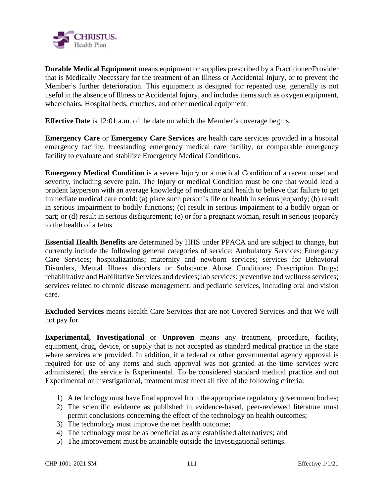

**Durable Medical Equipment** means equipment or supplies prescribed by a Practitioner/Provider that is Medically Necessary for the treatment of an Illness or Accidental Injury, or to prevent the Member's further deterioration. This equipment is designed for repeated use, generally is not useful in the absence of Illness or Accidental Injury, and includes items such as oxygen equipment, wheelchairs, Hospital beds, crutches, and other medical equipment.

**Effective Date** is 12:01 a.m. of the date on which the Member's coverage begins.

**Emergency Care** or **Emergency Care Services** are health care services provided in a hospital emergency facility, freestanding emergency medical care facility, or comparable emergency facility to evaluate and stabilize Emergency Medical Conditions.

**Emergency Medical Condition** is a severe Injury or a medical Condition of a recent onset and severity, including severe pain. The Injury or medical Condition must be one that would lead a prudent layperson with an average knowledge of medicine and health to believe that failure to get immediate medical care could: (a) place such person's life or health in serious jeopardy; (b) result in serious impairment to bodily functions; (c) result in serious impairment to a bodily organ or part; or (d) result in serious disfigurement; (e) or for a pregnant woman, result in serious jeopardy to the health of a fetus.

**Essential Health Benefits** are determined by HHS under PPACA and are subject to change, but currently include the following general categories of service: Ambulatory Services; Emergency Care Services; hospitalizations; maternity and newborn services; services for Behavioral Disorders, Mental Illness disorders or Substance Abuse Conditions; Prescription Drugs; rehabilitative and Habilitative Services and devices; lab services; preventive and wellness services; services related to chronic disease management; and pediatric services, including oral and vision care.

**Excluded Services** means Health Care Services that are not Covered Services and that We will not pay for.

**Experimental, Investigational** or **Unproven** means any treatment, procedure, facility, equipment, drug, device, or supply that is not accepted as standard medical practice in the state where services are provided. In addition, if a federal or other governmental agency approval is required for use of any items and such approval was not granted at the time services were administered, the service is Experimental. To be considered standard medical practice and not Experimental or Investigational, treatment must meet all five of the following criteria:

- 1) A technology must have final approval from the appropriate regulatory government bodies;
- 2) The scientific evidence as published in evidence-based, peer-reviewed literature must permit conclusions concerning the effect of the technology on health outcomes;
- 3) The technology must improve the net health outcome;
- 4) The technology must be as beneficial as any established alternatives; and
- 5) The improvement must be attainable outside the Investigational settings.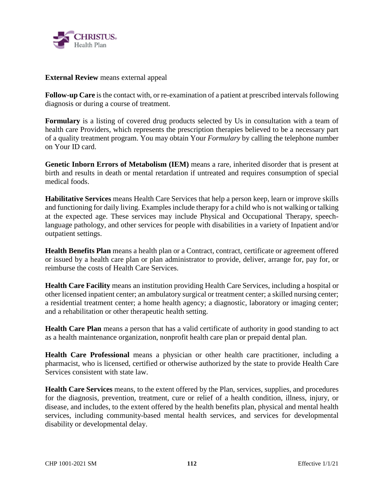

**External Review** means external appeal

**Follow-up Care** is the contact with, or re-examination of a patient at prescribed intervals following diagnosis or during a course of treatment.

**Formulary** is a listing of covered drug products selected by Us in consultation with a team of health care Providers, which represents the prescription therapies believed to be a necessary part of a quality treatment program. You may obtain Your *Formulary* by calling the telephone number on Your ID card.

**Genetic Inborn Errors of Metabolism (IEM)** means a rare, inherited disorder that is present at birth and results in death or mental retardation if untreated and requires consumption of special medical foods.

**Habilitative Services** means Health Care Services that help a person keep, learn or improve skills and functioning for daily living. Examples include therapy for a child who is not walking or talking at the expected age. These services may include Physical and Occupational Therapy, speechlanguage pathology, and other services for people with disabilities in a variety of Inpatient and/or outpatient settings.

**Health Benefits Plan** means a health plan or a Contract, contract, certificate or agreement offered or issued by a health care plan or plan administrator to provide, deliver, arrange for, pay for, or reimburse the costs of Health Care Services.

**Health Care Facility** means an institution providing Health Care Services, including a hospital or other licensed inpatient center; an ambulatory surgical or treatment center; a skilled nursing center; a residential treatment center; a home health agency; a diagnostic, laboratory or imaging center; and a rehabilitation or other therapeutic health setting.

**Health Care Plan** means a person that has a valid certificate of authority in good standing to act as a health maintenance organization, nonprofit health care plan or prepaid dental plan.

**Health Care Professional** means a physician or other health care practitioner, including a pharmacist, who is licensed, certified or otherwise authorized by the state to provide Health Care Services consistent with state law.

**Health Care Services** means, to the extent offered by the Plan, services, supplies, and procedures for the diagnosis, prevention, treatment, cure or relief of a health condition, illness, injury, or disease, and includes, to the extent offered by the health benefits plan, physical and mental health services, including community-based mental health services, and services for developmental disability or developmental delay.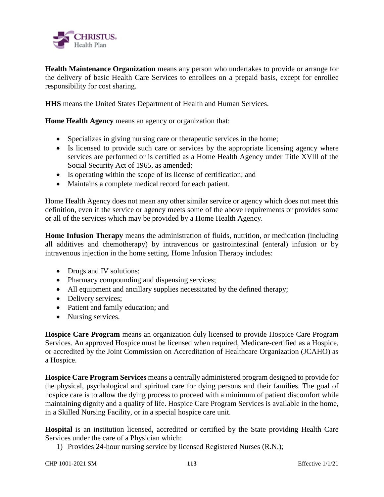

**Health Maintenance Organization** means any person who undertakes to provide or arrange for the delivery of basic Health Care Services to enrollees on a prepaid basis, except for enrollee responsibility for cost sharing.

**HHS** means the United States Department of Health and Human Services.

**Home Health Agency** means an agency or organization that:

- Specializes in giving nursing care or therapeutic services in the home;
- Is licensed to provide such care or services by the appropriate licensing agency where services are performed or is certified as a Home Health Agency under Title XVlll of the Social Security Act of 1965, as amended;
- Is operating within the scope of its license of certification; and
- Maintains a complete medical record for each patient.

Home Health Agency does not mean any other similar service or agency which does not meet this definition, even if the service or agency meets some of the above requirements or provides some or all of the services which may be provided by a Home Health Agency.

**Home Infusion Therapy** means the administration of fluids, nutrition, or medication (including all additives and chemotherapy) by intravenous or gastrointestinal (enteral) infusion or by intravenous injection in the home setting. Home Infusion Therapy includes:

- Drugs and IV solutions;
- Pharmacy compounding and dispensing services;
- All equipment and ancillary supplies necessitated by the defined therapy;
- Delivery services;
- Patient and family education; and
- Nursing services.

**Hospice Care Program** means an organization duly licensed to provide Hospice Care Program Services. An approved Hospice must be licensed when required, Medicare-certified as a Hospice, or accredited by the Joint Commission on Accreditation of Healthcare Organization (JCAHO) as a Hospice.

**Hospice Care Program Services** means a centrally administered program designed to provide for the physical, psychological and spiritual care for dying persons and their families. The goal of hospice care is to allow the dying process to proceed with a minimum of patient discomfort while maintaining dignity and a quality of life. Hospice Care Program Services is available in the home, in a Skilled Nursing Facility, or in a special hospice care unit.

**Hospital** is an institution licensed, accredited or certified by the State providing Health Care Services under the care of a Physician which:

1) Provides 24-hour nursing service by licensed Registered Nurses (R.N.);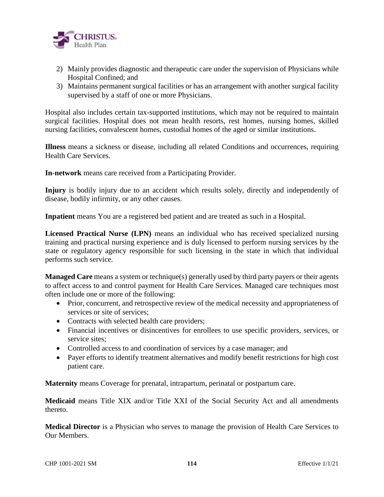

- 2) Mainly provides diagnostic and therapeutic care under the supervision of Physicians while Hospital Confined; and
- 3) Maintains permanent surgical facilities or has an arrangement with another surgical facility supervised by a staff of one or more Physicians.

Hospital also includes certain tax-supported institutions, which may not be required to maintain surgical facilities. Hospital does not mean health resorts, rest homes, nursing homes, skilled nursing facilities, convalescent homes, custodial homes of the aged or similar institutions.

**Illness** means a sickness or disease, including all related Conditions and occurrences, requiring Health Care Services.

**In-network** means care received from a Participating Provider.

**Injury** is bodily injury due to an accident which results solely, directly and independently of disease, bodily infirmity, or any other causes.

**Inpatient** means You are a registered bed patient and are treated as such in a Hospital.

**Licensed Practical Nurse (LPN)** means an individual who has received specialized nursing training and practical nursing experience and is duly licensed to perform nursing services by the state or regulatory agency responsible for such licensing in the state in which that individual performs such service.

**Managed Care** means a system or technique(s) generally used by third party payers or their agents to affect access to and control payment for Health Care Services. Managed care techniques most often include one or more of the following:

- Prior, concurrent, and retrospective review of the medical necessity and appropriateness of services or site of services;
- Contracts with selected health care providers;
- Financial incentives or disincentives for enrollees to use specific providers, services, or service sites;
- Controlled access to and coordination of services by a case manager; and
- Payer efforts to identify treatment alternatives and modify benefit restrictions for high cost patient care.

**Maternity** means Coverage for prenatal, intrapartum, perinatal or postpartum care.

**Medicaid** means Title XIX and/or Title XXI of the Social Security Act and all amendments thereto.

**Medical Director** is a Physician who serves to manage the provision of Health Care Services to Our Members.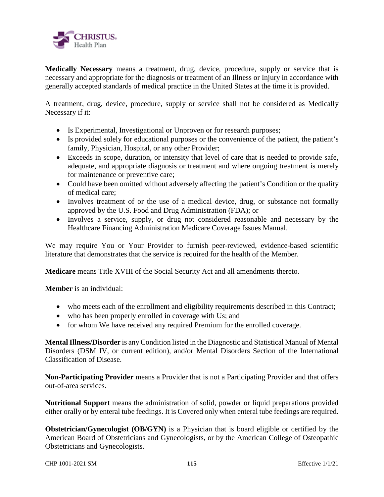

**Medically Necessary** means a treatment, drug, device, procedure, supply or service that is necessary and appropriate for the diagnosis or treatment of an Illness or Injury in accordance with generally accepted standards of medical practice in the United States at the time it is provided.

A treatment, drug, device, procedure, supply or service shall not be considered as Medically Necessary if it:

- Is Experimental, Investigational or Unproven or for research purposes;
- Is provided solely for educational purposes or the convenience of the patient, the patient's family, Physician, Hospital, or any other Provider;
- Exceeds in scope, duration, or intensity that level of care that is needed to provide safe, adequate, and appropriate diagnosis or treatment and where ongoing treatment is merely for maintenance or preventive care;
- Could have been omitted without adversely affecting the patient's Condition or the quality of medical care;
- Involves treatment of or the use of a medical device, drug, or substance not formally approved by the U.S. Food and Drug Administration (FDA); or
- Involves a service, supply, or drug not considered reasonable and necessary by the Healthcare Financing Administration Medicare Coverage Issues Manual.

We may require You or Your Provider to furnish peer-reviewed, evidence-based scientific literature that demonstrates that the service is required for the health of the Member.

**Medicare** means Title XVIII of the Social Security Act and all amendments thereto.

**Member** is an individual:

- who meets each of the enrollment and eligibility requirements described in this Contract;
- who has been properly enrolled in coverage with Us; and
- for whom We have received any required Premium for the enrolled coverage.

**Mental Illness/Disorder** is any Condition listed in the Diagnostic and Statistical Manual of Mental Disorders (DSM IV, or current edition), and/or Mental Disorders Section of the International Classification of Disease.

**Non-Participating Provider** means a Provider that is not a Participating Provider and that offers out-of-area services.

**Nutritional Support** means the administration of solid, powder or liquid preparations provided either orally or by enteral tube feedings. It is Covered only when enteral tube feedings are required.

**Obstetrician/Gynecologist (OB/GYN)** is a Physician that is board eligible or certified by the American Board of Obstetricians and Gynecologists, or by the American College of Osteopathic Obstetricians and Gynecologists.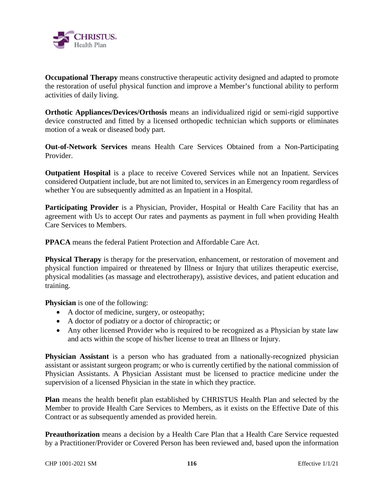

**Occupational Therapy** means constructive therapeutic activity designed and adapted to promote the restoration of useful physical function and improve a Member's functional ability to perform activities of daily living.

**Orthotic Appliances/Devices/Orthosis** means an individualized rigid or semi-rigid supportive device constructed and fitted by a licensed orthopedic technician which supports or eliminates motion of a weak or diseased body part.

**Out-of-Network Services** means Health Care Services Obtained from a Non-Participating Provider.

**Outpatient Hospital** is a place to receive Covered Services while not an Inpatient. Services considered Outpatient include, but are not limited to, services in an Emergency room regardless of whether You are subsequently admitted as an Inpatient in a Hospital.

Participating Provider is a Physician, Provider, Hospital or Health Care Facility that has an agreement with Us to accept Our rates and payments as payment in full when providing Health Care Services to Members.

**PPACA** means the federal Patient Protection and Affordable Care Act.

**Physical Therapy** is therapy for the preservation, enhancement, or restoration of movement and physical function impaired or threatened by Illness or Injury that utilizes therapeutic exercise, physical modalities (as massage and electrotherapy), assistive devices, and patient education and training.

**Physician** is one of the following:

- A doctor of medicine, surgery, or osteopathy;
- A doctor of podiatry or a doctor of chiropractic; or
- Any other licensed Provider who is required to be recognized as a Physician by state law and acts within the scope of his/her license to treat an Illness or Injury.

**Physician Assistant** is a person who has graduated from a nationally-recognized physician assistant or assistant surgeon program; or who is currently certified by the national commission of Physician Assistants. A Physician Assistant must be licensed to practice medicine under the supervision of a licensed Physician in the state in which they practice.

**Plan** means the health benefit plan established by CHRISTUS Health Plan and selected by the Member to provide Health Care Services to Members, as it exists on the Effective Date of this Contract or as subsequently amended as provided herein.

**Preauthorization** means a decision by a Health Care Plan that a Health Care Service requested by a Practitioner/Provider or Covered Person has been reviewed and, based upon the information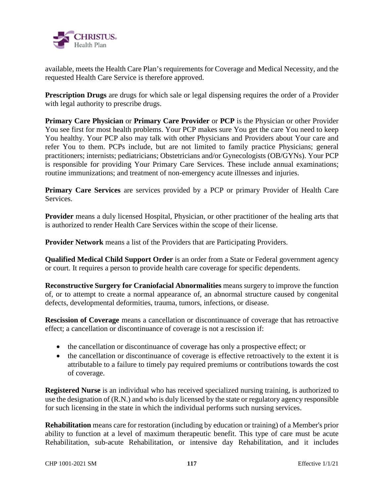

available, meets the Health Care Plan's requirements for Coverage and Medical Necessity, and the requested Health Care Service is therefore approved.

**Prescription Drugs** are drugs for which sale or legal dispensing requires the order of a Provider with legal authority to prescribe drugs.

**Primary Care Physician** or **Primary Care Provider** or **PCP** is the Physician or other Provider You see first for most health problems. Your PCP makes sure You get the care You need to keep You healthy. Your PCP also may talk with other Physicians and Providers about Your care and refer You to them. PCPs include, but are not limited to family practice Physicians; general practitioners; internists; pediatricians; Obstetricians and/or Gynecologists (OB/GYNs). Your PCP is responsible for providing Your Primary Care Services. These include annual examinations; routine immunizations; and treatment of non-emergency acute illnesses and injuries.

**Primary Care Services** are services provided by a PCP or primary Provider of Health Care Services.

**Provider** means a duly licensed Hospital, Physician, or other practitioner of the healing arts that is authorized to render Health Care Services within the scope of their license.

**Provider Network** means a list of the Providers that are Participating Providers.

**Qualified Medical Child Support Order** is an order from a State or Federal government agency or court. It requires a person to provide health care coverage for specific dependents.

**Reconstructive Surgery for Craniofacial Abnormalities** means surgery to improve the function of, or to attempt to create a normal appearance of, an abnormal structure caused by congenital defects, developmental deformities, trauma, tumors, infections, or disease.

**Rescission of Coverage** means a cancellation or discontinuance of coverage that has retroactive effect; a cancellation or discontinuance of coverage is not a rescission if:

- the cancellation or discontinuance of coverage has only a prospective effect; or
- the cancellation or discontinuance of coverage is effective retroactively to the extent it is attributable to a failure to timely pay required premiums or contributions towards the cost of coverage.

**Registered Nurse** is an individual who has received specialized nursing training, is authorized to use the designation of (R.N.) and who is duly licensed by the state or regulatory agency responsible for such licensing in the state in which the individual performs such nursing services.

**Rehabilitation** means care for restoration (including by education or training) of a Member's prior ability to function at a level of maximum therapeutic benefit. This type of care must be acute Rehabilitation, sub-acute Rehabilitation, or intensive day Rehabilitation, and it includes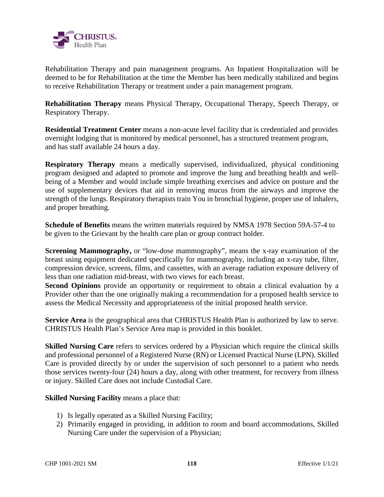

Rehabilitation Therapy and pain management programs. An Inpatient Hospitalization will be deemed to be for Rehabilitation at the time the Member has been medically stabilized and begins to receive Rehabilitation Therapy or treatment under a pain management program.

**Rehabilitation Therapy** means Physical Therapy, Occupational Therapy, Speech Therapy, or Respiratory Therapy.

**Residential Treatment Center** means a non-acute level facility that is credentialed and provides overnight lodging that is monitored by medical personnel, has a structured treatment program, and has staff available 24 hours a day.

**Respiratory Therapy** means a medically supervised, individualized, physical conditioning program designed and adapted to promote and improve the lung and breathing health and wellbeing of a Member and would include simple breathing exercises and advice on posture and the use of supplementary devices that aid in removing mucus from the airways and improve the strength of the lungs. Respiratory therapists train You in bronchial hygiene, proper use of inhalers, and proper breathing.

**Schedule of Benefits** means the written materials required by NMSA 1978 Section 59A-57-4 to be given to the Grievant by the health care plan or group contract holder.

**Screening Mammography,** or "low-dose mammography", means the x-ray examination of the breast using equipment dedicated specifically for mammography, including an x-ray tube, filter, compression device, screens, films, and cassettes, with an average radiation exposure delivery of less than one radiation mid-breast, with two views for each breast.

**Second Opinions** provide an opportunity or requirement to obtain a clinical evaluation by a Provider other than the one originally making a recommendation for a proposed health service to assess the Medical Necessity and appropriateness of the initial proposed health service.

**Service Area** is the geographical area that CHRISTUS Health Plan is authorized by law to serve. CHRISTUS Health Plan's Service Area map is provided in this booklet.

**Skilled Nursing Care** refers to services ordered by a Physician which require the clinical skills and professional personnel of a Registered Nurse (RN) or Licensed Practical Nurse (LPN). Skilled Care is provided directly by or under the supervision of such personnel to a patient who needs those services twenty-four (24) hours a day, along with other treatment, for recovery from illness or injury. Skilled Care does not include Custodial Care.

**Skilled Nursing Facility** means a place that:

- 1) Is legally operated as a Skilled Nursing Facility;
- 2) Primarily engaged in providing, in addition to room and board accommodations, Skilled Nursing Care under the supervision of a Physician;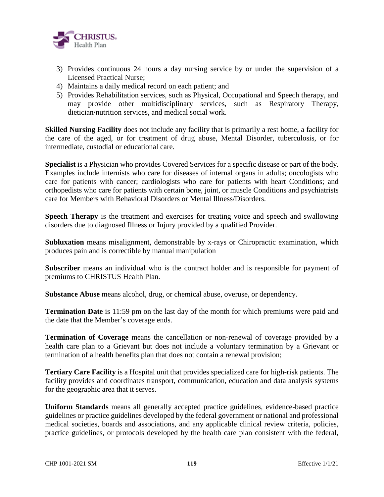

- 3) Provides continuous 24 hours a day nursing service by or under the supervision of a Licensed Practical Nurse;
- 4) Maintains a daily medical record on each patient; and
- 5) Provides Rehabilitation services, such as Physical, Occupational and Speech therapy, and may provide other multidisciplinary services, such as Respiratory Therapy, dietician/nutrition services, and medical social work.

**Skilled Nursing Facility** does not include any facility that is primarily a rest home, a facility for the care of the aged, or for treatment of drug abuse, Mental Disorder, tuberculosis, or for intermediate, custodial or educational care.

**Specialist** is a Physician who provides Covered Services for a specific disease or part of the body. Examples include internists who care for diseases of internal organs in adults; oncologists who care for patients with cancer; cardiologists who care for patients with heart Conditions; and orthopedists who care for patients with certain bone, joint, or muscle Conditions and psychiatrists care for Members with Behavioral Disorders or Mental Illness/Disorders.

**Speech Therapy** is the treatment and exercises for treating voice and speech and swallowing disorders due to diagnosed Illness or Injury provided by a qualified Provider.

**Subluxation** means misalignment, demonstrable by x-rays or Chiropractic examination, which produces pain and is correctible by manual manipulation

**Subscriber** means an individual who is the contract holder and is responsible for payment of premiums to CHRISTUS Health Plan.

**Substance Abuse** means alcohol, drug, or chemical abuse, overuse, or dependency.

**Termination Date** is 11:59 pm on the last day of the month for which premiums were paid and the date that the Member's coverage ends.

**Termination of Coverage** means the cancellation or non-renewal of coverage provided by a health care plan to a Grievant but does not include a voluntary termination by a Grievant or termination of a health benefits plan that does not contain a renewal provision;

**Tertiary Care Facility** is a Hospital unit that provides specialized care for high-risk patients. The facility provides and coordinates transport, communication, education and data analysis systems for the geographic area that it serves.

**Uniform Standards** means all generally accepted practice guidelines, evidence-based practice guidelines or practice guidelines developed by the federal government or national and professional medical societies, boards and associations, and any applicable clinical review criteria, policies, practice guidelines, or protocols developed by the health care plan consistent with the federal,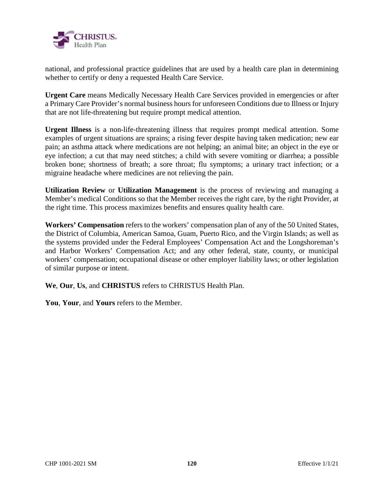

national, and professional practice guidelines that are used by a health care plan in determining whether to certify or deny a requested Health Care Service.

**Urgent Care** means Medically Necessary Health Care Services provided in emergencies or after a Primary Care Provider's normal business hours for unforeseen Conditions due to Illness or Injury that are not life-threatening but require prompt medical attention.

**Urgent Illness** is a non-life-threatening illness that requires prompt medical attention. Some examples of urgent situations are sprains; a rising fever despite having taken medication; new ear pain; an asthma attack where medications are not helping; an animal bite; an object in the eye or eye infection; a cut that may need stitches; a child with severe vomiting or diarrhea; a possible broken bone; shortness of breath; a sore throat; flu symptoms; a urinary tract infection; or a migraine headache where medicines are not relieving the pain.

**Utilization Review** or **Utilization Management** is the process of reviewing and managing a Member's medical Conditions so that the Member receives the right care, by the right Provider, at the right time. This process maximizes benefits and ensures quality health care.

**Workers' Compensation** refers to the workers' compensation plan of any of the 50 United States, the District of Columbia, American Samoa, Guam, Puerto Rico, and the Virgin Islands; as well as the systems provided under the Federal Employees' Compensation Act and the Longshoreman's and Harbor Workers' Compensation Act; and any other federal, state, county, or municipal workers' compensation; occupational disease or other employer liability laws; or other legislation of similar purpose or intent.

**We**, **Our**, **Us**, and **CHRISTUS** refers to CHRISTUS Health Plan.

**You**, **Your**, and **Yours** refers to the Member.